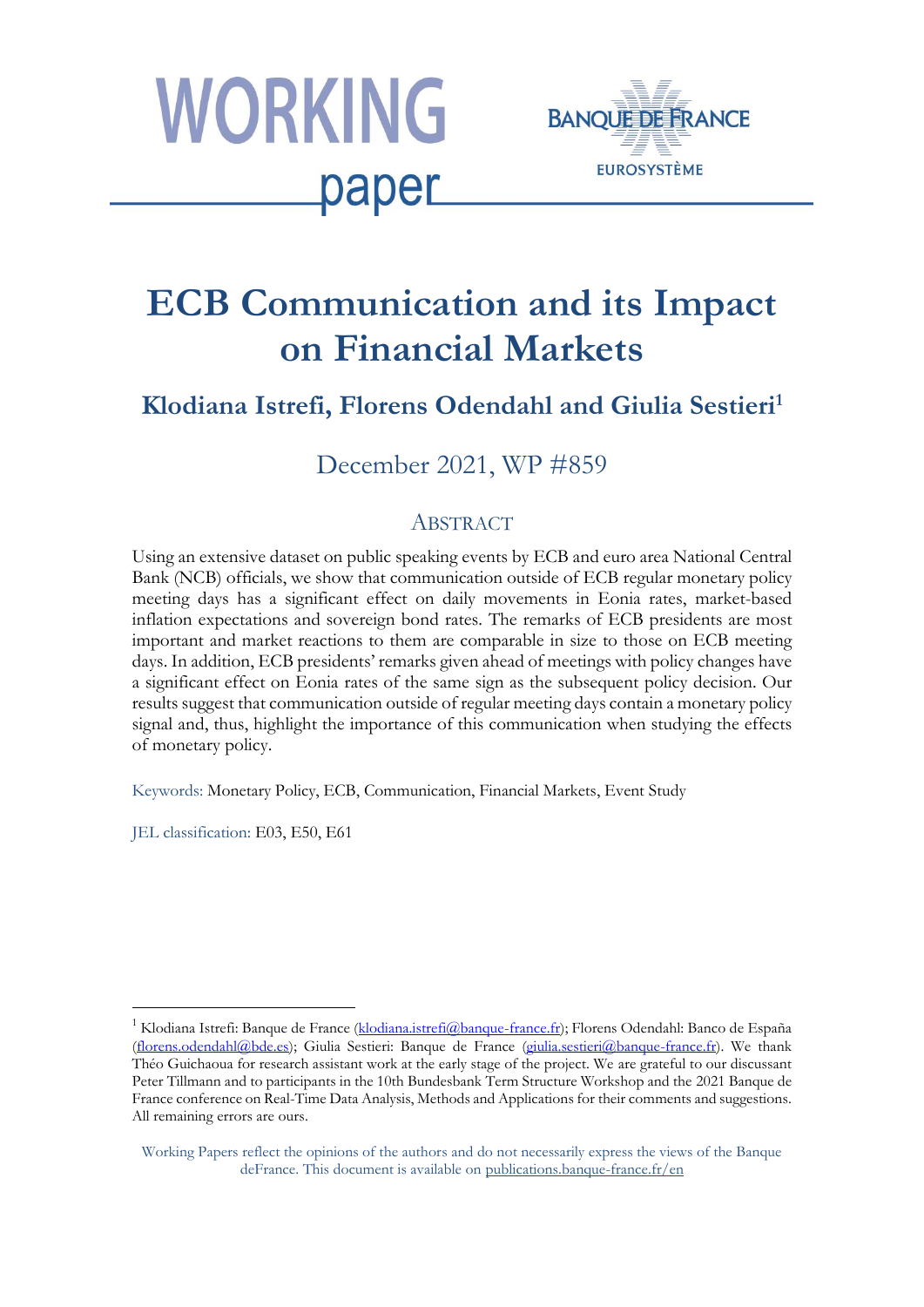



# **ECB Communication and its Impact on Financial Markets**

# **Klodiana Istrefi, Florens Odendahl and Giulia Sestieri<sup>1</sup>**

# December 2021, WP #859

# **ABSTRACT**

Using an extensive dataset on public speaking events by ECB and euro area National Central Bank (NCB) officials, we show that communication outside of ECB regular monetary policy meeting days has a significant effect on daily movements in Eonia rates, market-based inflation expectations and sovereign bond rates. The remarks of ECB presidents are most important and market reactions to them are comparable in size to those on ECB meeting days. In addition, ECB presidents' remarks given ahead of meetings with policy changes have a significant effect on Eonia rates of the same sign as the subsequent policy decision. Our results suggest that communication outside of regular meeting days contain a monetary policy signal and, thus, highlight the importance of this communication when studying the effects of monetary policy.

Keywords: Monetary Policy, ECB, Communication, Financial Markets, Event Study

JEL classification: E03, E50, E61

1

<sup>&</sup>lt;sup>1</sup> Klodiana Istrefi: Banque de France [\(klodiana.istrefi@banque-france.fr\)](mailto:klodiana.istrefi@banque-france.fr); Florens Odendahl: Banco de España [\(florens.odendahl@bde.es\)](mailto:florens.odendahl@bde.es); Giulia Sestieri: Banque de France [\(giulia.sestieri@banque-france.fr\)](mailto:giulia.sestieri@banque-france.fr). We thank Théo Guichaoua for research assistant work at the early stage of the project. We are grateful to our discussant Peter Tillmann and to participants in the 10th Bundesbank Term Structure Workshop and the 2021 Banque de France conference on Real-Time Data Analysis, Methods and Applications for their comments and suggestions. All remaining errors are ours.

Working Papers reflect the opinions of the authors and do not necessarily express the views of the Banque deFrance. This document is available on [publications.banque-france.fr/en](https://publications.banque-france.fr/en)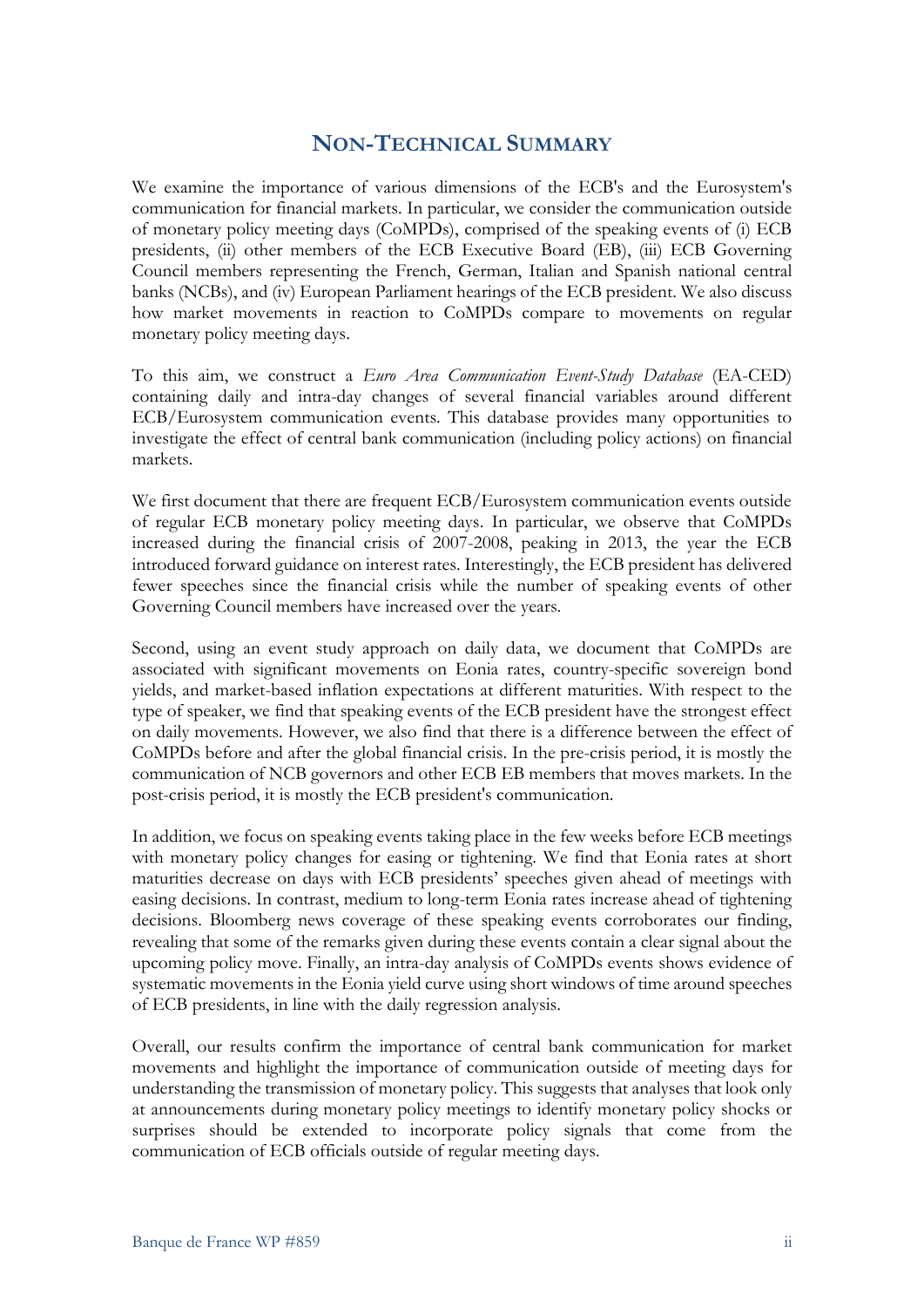# **NON-TECHNICAL SUMMARY**

We examine the importance of various dimensions of the ECB's and the Eurosystem's communication for financial markets. In particular, we consider the communication outside of monetary policy meeting days (CoMPDs), comprised of the speaking events of (i) ECB presidents, (ii) other members of the ECB Executive Board (EB), (iii) ECB Governing Council members representing the French, German, Italian and Spanish national central banks (NCBs), and (iv) European Parliament hearings of the ECB president. We also discuss how market movements in reaction to CoMPDs compare to movements on regular monetary policy meeting days.

To this aim, we construct a *Euro Area Communication Event-Study Database* (EA-CED) containing daily and intra-day changes of several financial variables around different ECB/Eurosystem communication events. This database provides many opportunities to investigate the effect of central bank communication (including policy actions) on financial markets.

We first document that there are frequent ECB/Eurosystem communication events outside of regular ECB monetary policy meeting days. In particular, we observe that CoMPDs increased during the financial crisis of 2007-2008, peaking in 2013, the year the ECB introduced forward guidance on interest rates. Interestingly, the ECB president has delivered fewer speeches since the financial crisis while the number of speaking events of other Governing Council members have increased over the years.

Second, using an event study approach on daily data, we document that CoMPDs are associated with significant movements on Eonia rates, country-specific sovereign bond yields, and market-based inflation expectations at different maturities. With respect to the type of speaker, we find that speaking events of the ECB president have the strongest effect on daily movements. However, we also find that there is a difference between the effect of CoMPDs before and after the global financial crisis. In the pre-crisis period, it is mostly the communication of NCB governors and other ECB EB members that moves markets. In the post-crisis period, it is mostly the ECB president's communication.

In addition, we focus on speaking events taking place in the few weeks before ECB meetings with monetary policy changes for easing or tightening. We find that Eonia rates at short maturities decrease on days with ECB presidents' speeches given ahead of meetings with easing decisions. In contrast, medium to long-term Eonia rates increase ahead of tightening decisions. Bloomberg news coverage of these speaking events corroborates our finding, revealing that some of the remarks given during these events contain a clear signal about the upcoming policy move. Finally, an intra-day analysis of CoMPDs events shows evidence of systematic movements in the Eonia yield curve using short windows of time around speeches of ECB presidents, in line with the daily regression analysis.

Overall, our results confirm the importance of central bank communication for market movements and highlight the importance of communication outside of meeting days for understanding the transmission of monetary policy. This suggests that analyses that look only at announcements during monetary policy meetings to identify monetary policy shocks or surprises should be extended to incorporate policy signals that come from the communication of ECB officials outside of regular meeting days.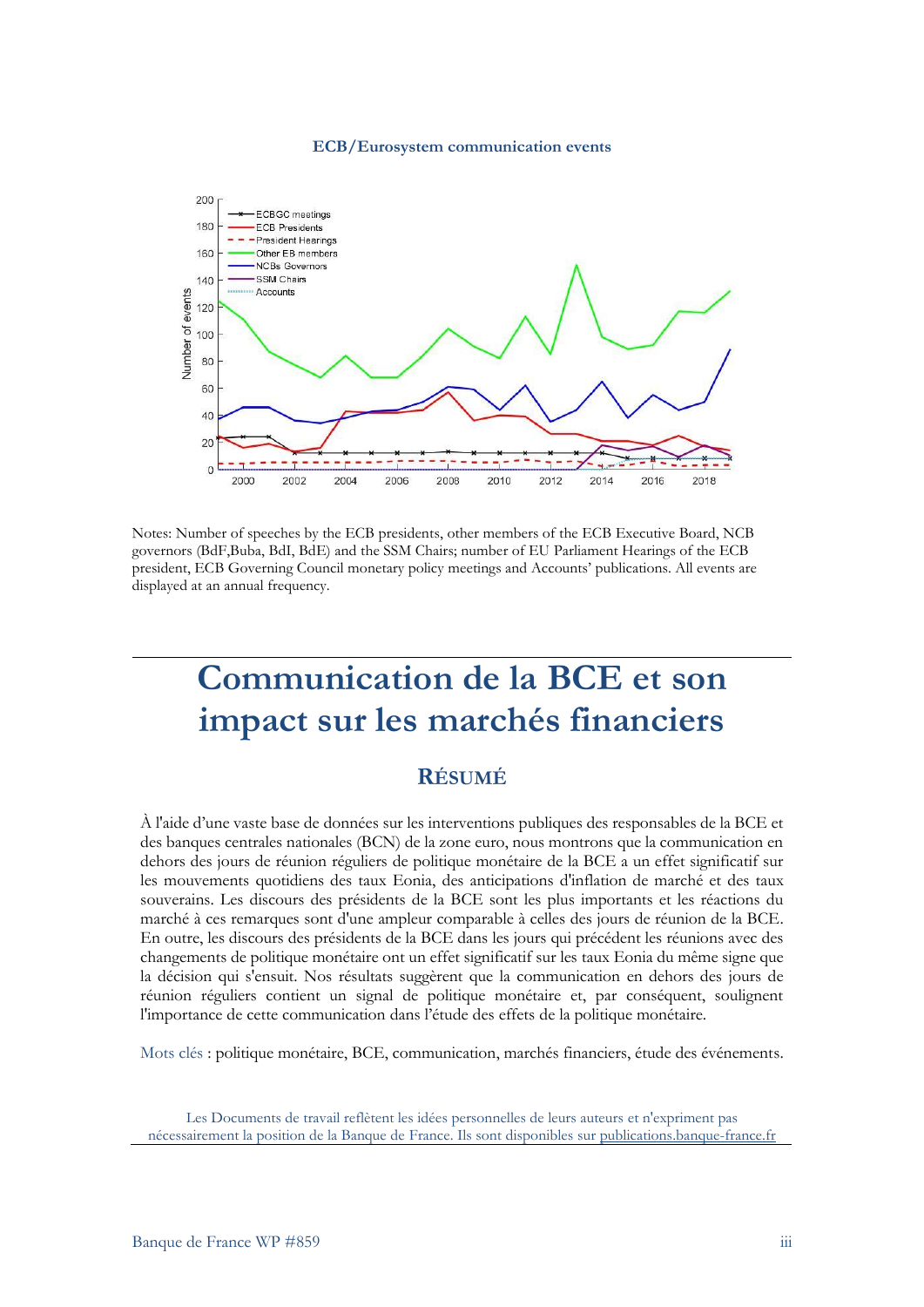#### **ECB/Eurosystem communication events**



Notes: Number of speeches by the ECB presidents, other members of the ECB Executive Board, NCB governors (BdF,Buba, BdI, BdE) and the SSM Chairs; number of EU Parliament Hearings of the ECB president, ECB Governing Council monetary policy meetings and Accounts' publications. All events are displayed at an annual frequency.

# **Communication de la BCE et son impact sur les marchés financiers**

# **RÉSUMÉ**

À l'aide d'une vaste base de données sur les interventions publiques des responsables de la BCE et des banques centrales nationales (BCN) de la zone euro, nous montrons que la communication en dehors des jours de réunion réguliers de politique monétaire de la BCE a un effet significatif sur les mouvements quotidiens des taux Eonia, des anticipations d'inflation de marché et des taux souverains. Les discours des présidents de la BCE sont les plus importants et les réactions du marché à ces remarques sont d'une ampleur comparable à celles des jours de réunion de la BCE. En outre, les discours des présidents de la BCE dans les jours qui précédent les réunions avec des changements de politique monétaire ont un effet significatif sur les taux Eonia du même signe que la décision qui s'ensuit. Nos résultats suggèrent que la communication en dehors des jours de réunion réguliers contient un signal de politique monétaire et, par conséquent, soulignent l'importance de cette communication dans l'étude des effets de la politique monétaire.

Mots clés : politique monétaire, BCE, communication, marchés financiers, étude des événements.

Les Documents de travail reflètent les idées personnelles de leurs auteurs et n'expriment pas nécessairement la position de la Banque de France. Ils sont disponibles su[r publications.banque-france.fr](https://publications.banque-france.fr/)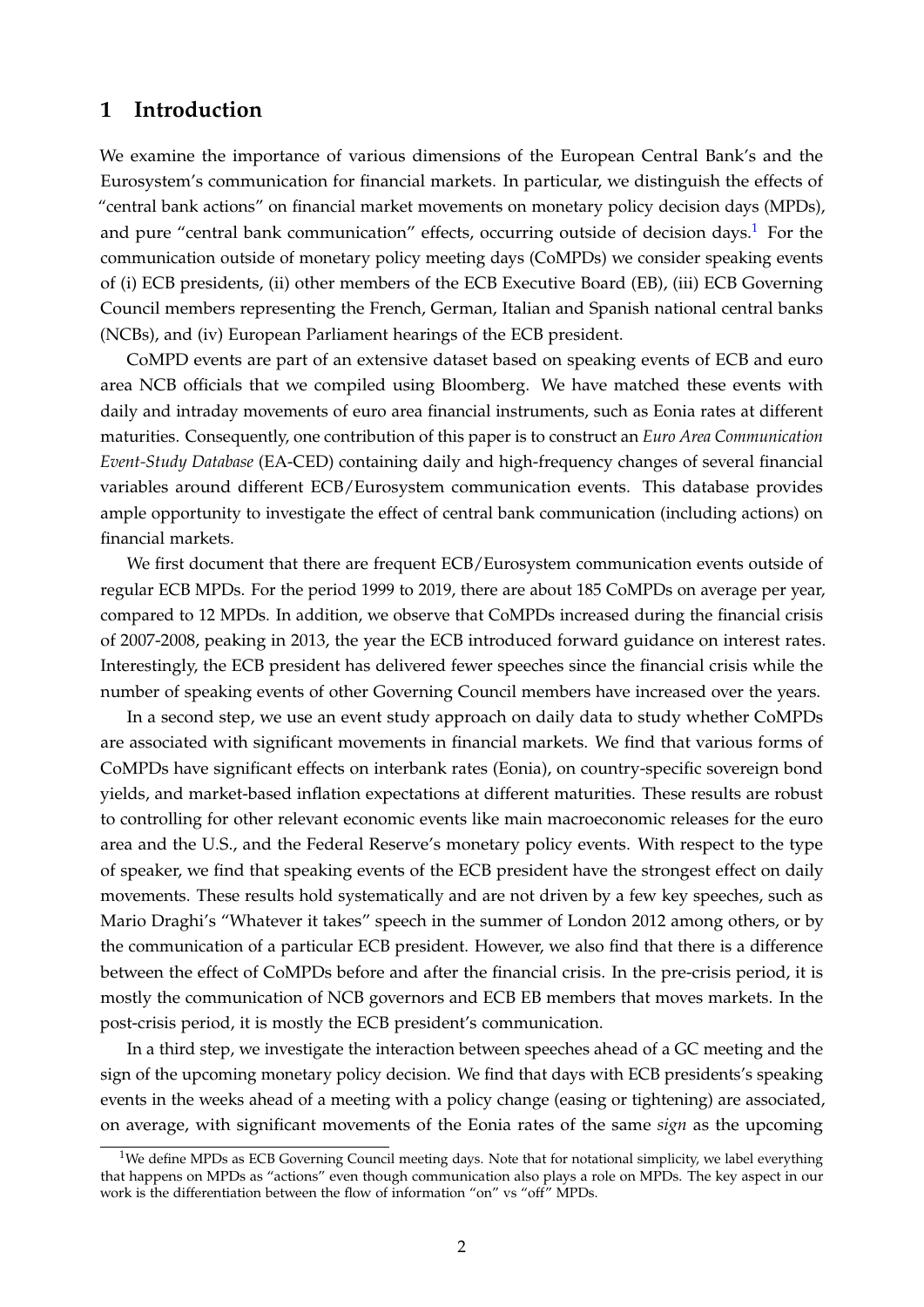# **1 Introduction**

We examine the importance of various dimensions of the European Central Bank's and the Eurosystem's communication for financial markets. In particular, we distinguish the effects of "central bank actions" on financial market movements on monetary policy decision days (MPDs), and pure "central bank communication" effects, occurring outside of decision days.<sup>[1](#page-3-0)</sup> For the communication outside of monetary policy meeting days (CoMPDs) we consider speaking events of (i) ECB presidents, (ii) other members of the ECB Executive Board (EB), (iii) ECB Governing Council members representing the French, German, Italian and Spanish national central banks (NCBs), and (iv) European Parliament hearings of the ECB president.

CoMPD events are part of an extensive dataset based on speaking events of ECB and euro area NCB officials that we compiled using Bloomberg. We have matched these events with daily and intraday movements of euro area financial instruments, such as Eonia rates at different maturities. Consequently, one contribution of this paper is to construct an *Euro Area Communication Event-Study Database* (EA-CED) containing daily and high-frequency changes of several financial variables around different ECB/Eurosystem communication events. This database provides ample opportunity to investigate the effect of central bank communication (including actions) on financial markets.

We first document that there are frequent ECB/Eurosystem communication events outside of regular ECB MPDs. For the period 1999 to 2019, there are about 185 CoMPDs on average per year, compared to 12 MPDs. In addition, we observe that CoMPDs increased during the financial crisis of 2007-2008, peaking in 2013, the year the ECB introduced forward guidance on interest rates. Interestingly, the ECB president has delivered fewer speeches since the financial crisis while the number of speaking events of other Governing Council members have increased over the years.

In a second step, we use an event study approach on daily data to study whether CoMPDs are associated with significant movements in financial markets. We find that various forms of CoMPDs have significant effects on interbank rates (Eonia), on country-specific sovereign bond yields, and market-based inflation expectations at different maturities. These results are robust to controlling for other relevant economic events like main macroeconomic releases for the euro area and the U.S., and the Federal Reserve's monetary policy events. With respect to the type of speaker, we find that speaking events of the ECB president have the strongest effect on daily movements. These results hold systematically and are not driven by a few key speeches, such as Mario Draghi's "Whatever it takes" speech in the summer of London 2012 among others, or by the communication of a particular ECB president. However, we also find that there is a difference between the effect of CoMPDs before and after the financial crisis. In the pre-crisis period, it is mostly the communication of NCB governors and ECB EB members that moves markets. In the post-crisis period, it is mostly the ECB president's communication.

In a third step, we investigate the interaction between speeches ahead of a GC meeting and the sign of the upcoming monetary policy decision. We find that days with ECB presidents's speaking events in the weeks ahead of a meeting with a policy change (easing or tightening) are associated, on average, with significant movements of the Eonia rates of the same *sign* as the upcoming

<span id="page-3-0"></span><sup>&</sup>lt;sup>1</sup>We define MPDs as ECB Governing Council meeting days. Note that for notational simplicity, we label everything that happens on MPDs as "actions" even though communication also plays a role on MPDs. The key aspect in our work is the differentiation between the flow of information "on" vs "off" MPDs.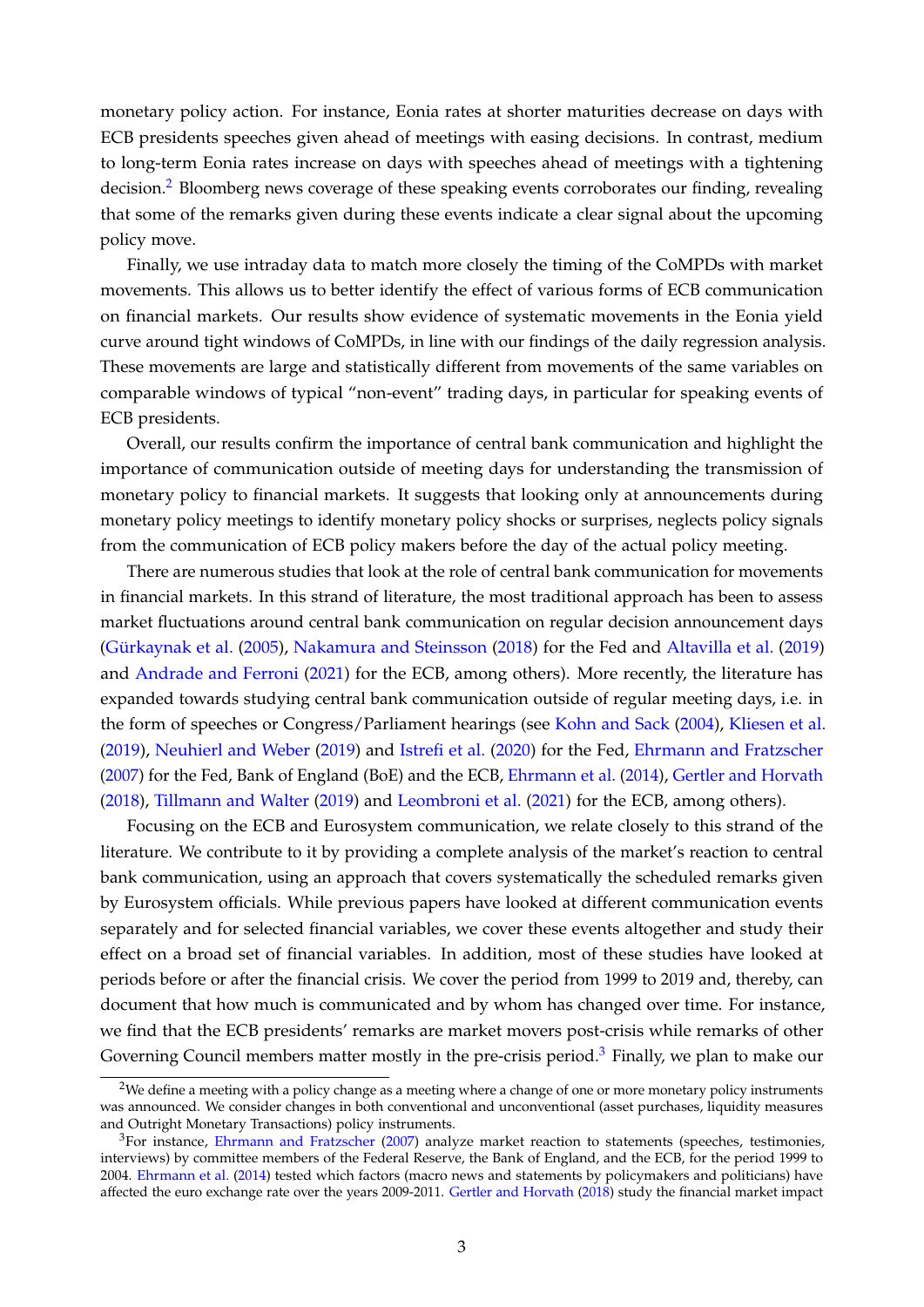monetary policy action. For instance, Eonia rates at shorter maturities decrease on days with ECB presidents speeches given ahead of meetings with easing decisions. In contrast, medium to long-term Eonia rates increase on days with speeches ahead of meetings with a tightening decision.<sup>[2](#page-4-0)</sup> Bloomberg news coverage of these speaking events corroborates our finding, revealing that some of the remarks given during these events indicate a clear signal about the upcoming policy move.

Finally, we use intraday data to match more closely the timing of the CoMPDs with market movements. This allows us to better identify the effect of various forms of ECB communication on financial markets. Our results show evidence of systematic movements in the Eonia yield curve around tight windows of CoMPDs, in line with our findings of the daily regression analysis. These movements are large and statistically different from movements of the same variables on comparable windows of typical "non-event" trading days, in particular for speaking events of ECB presidents.

Overall, our results confirm the importance of central bank communication and highlight the importance of communication outside of meeting days for understanding the transmission of monetary policy to financial markets. It suggests that looking only at announcements during monetary policy meetings to identify monetary policy shocks or surprises, neglects policy signals from the communication of ECB policy makers before the day of the actual policy meeting.

There are numerous studies that look at the role of central bank communication for movements in financial markets. In this strand of literature, the most traditional approach has been to assess market fluctuations around central bank communication on regular decision announcement days [\(Gürkaynak et al.](#page-21-0) [\(2005\)](#page-21-0), [Nakamura and Steinsson](#page-21-1) [\(2018\)](#page-21-1) for the Fed and [Altavilla et al.](#page-21-2) [\(2019\)](#page-21-2) and [Andrade and Ferroni](#page-21-3) [\(2021\)](#page-21-3) for the ECB, among others). More recently, the literature has expanded towards studying central bank communication outside of regular meeting days, i.e. in the form of speeches or Congress/Parliament hearings (see [Kohn and Sack](#page-21-4) [\(2004\)](#page-21-4), [Kliesen et al.](#page-21-5) [\(2019\)](#page-21-5), [Neuhierl and Weber](#page-21-6) [\(2019\)](#page-21-6) and [Istrefi et al.](#page-21-7) [\(2020\)](#page-21-7) for the Fed, [Ehrmann and Fratzscher](#page-21-8) [\(2007\)](#page-21-8) for the Fed, Bank of England (BoE) and the ECB, [Ehrmann et al.](#page-21-9) [\(2014\)](#page-21-9), [Gertler and Horvath](#page-21-10) [\(2018\)](#page-21-10), [Tillmann and Walter](#page-21-11) [\(2019\)](#page-21-11) and [Leombroni et al.](#page-21-12) [\(2021\)](#page-21-12) for the ECB, among others).

Focusing on the ECB and Eurosystem communication, we relate closely to this strand of the literature. We contribute to it by providing a complete analysis of the market's reaction to central bank communication, using an approach that covers systematically the scheduled remarks given by Eurosystem officials. While previous papers have looked at different communication events separately and for selected financial variables, we cover these events altogether and study their effect on a broad set of financial variables. In addition, most of these studies have looked at periods before or after the financial crisis. We cover the period from 1999 to 2019 and, thereby, can document that how much is communicated and by whom has changed over time. For instance, we find that the ECB presidents' remarks are market movers post-crisis while remarks of other Governing Council members matter mostly in the pre-crisis period.<sup>[3](#page-4-1)</sup> Finally, we plan to make our

<span id="page-4-0"></span><sup>&</sup>lt;sup>2</sup>We define a meeting with a policy change as a meeting where a change of one or more monetary policy instruments was announced. We consider changes in both conventional and unconventional (asset purchases, liquidity measures and Outright Monetary Transactions) policy instruments.

<span id="page-4-1"></span> $3$ For instance, [Ehrmann and Fratzscher](#page-21-8) [\(2007\)](#page-21-8) analyze market reaction to statements (speeches, testimonies, interviews) by committee members of the Federal Reserve, the Bank of England, and the ECB, for the period 1999 to 2004. [Ehrmann et al.](#page-21-9) [\(2014\)](#page-21-9) tested which factors (macro news and statements by policymakers and politicians) have affected the euro exchange rate over the years 2009-2011. [Gertler and Horvath](#page-21-10) [\(2018\)](#page-21-10) study the financial market impact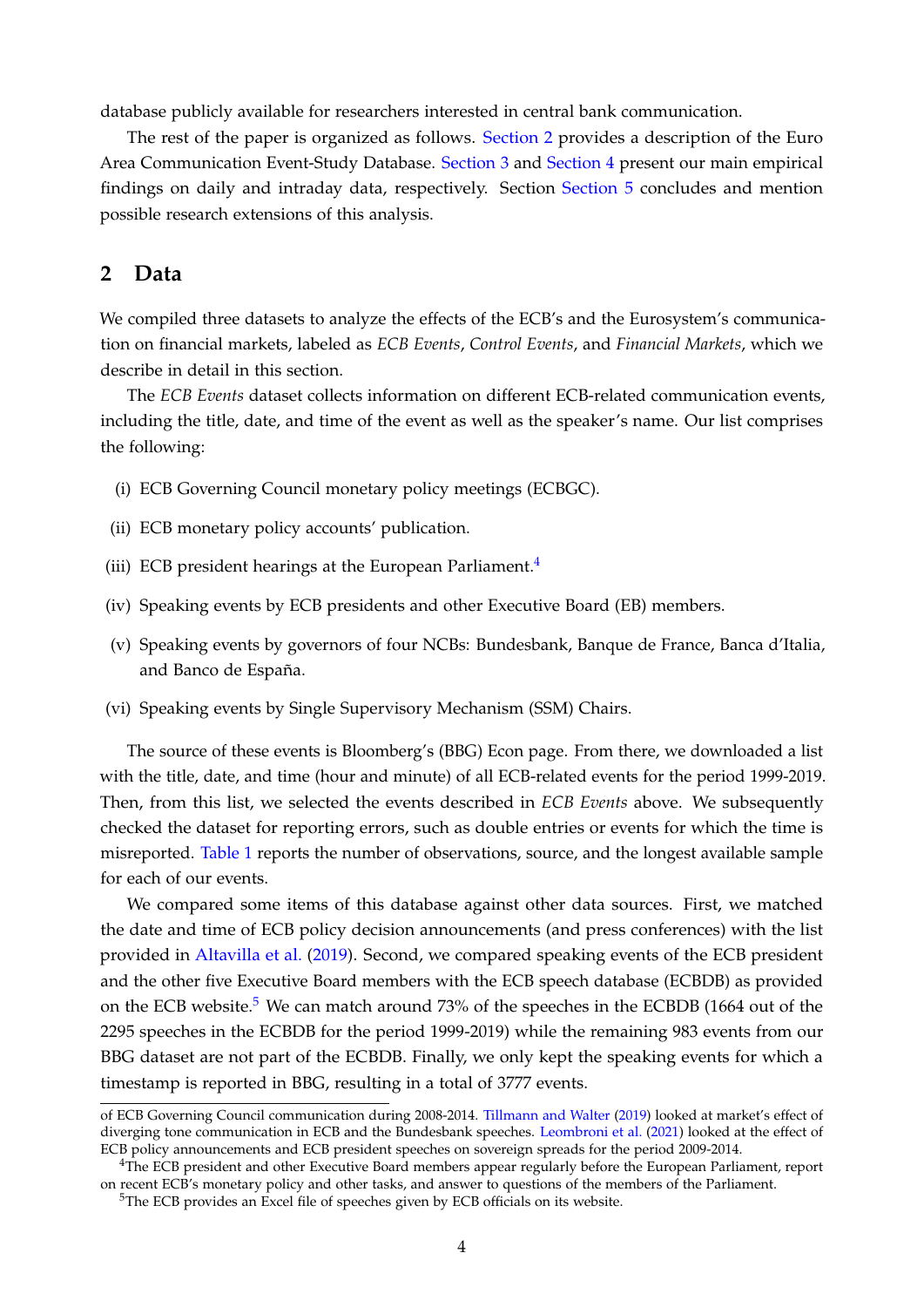database publicly available for researchers interested in central bank communication.

The rest of the paper is organized as follows. [Section 2](#page-5-0) provides a description of the Euro Area Communication Event-Study Database. [Section 3](#page-8-0) and [Section 4](#page-17-0) present our main empirical findings on daily and intraday data, respectively. Section [Section 5](#page-19-0) concludes and mention possible research extensions of this analysis.

### <span id="page-5-0"></span>**2 Data**

We compiled three datasets to analyze the effects of the ECB's and the Eurosystem's communication on financial markets, labeled as *ECB Events*, *Control Events*, and *Financial Markets*, which we describe in detail in this section.

The *ECB Events* dataset collects information on different ECB-related communication events, including the title, date, and time of the event as well as the speaker's name. Our list comprises the following:

- (i) ECB Governing Council monetary policy meetings (ECBGC).
- (ii) ECB monetary policy accounts' publication.
- (iii) ECB president hearings at the European Parliament.<sup>[4](#page-5-1)</sup>
- (iv) Speaking events by ECB presidents and other Executive Board (EB) members.
- (v) Speaking events by governors of four NCBs: Bundesbank, Banque de France, Banca d'Italia, and Banco de España.
- (vi) Speaking events by Single Supervisory Mechanism (SSM) Chairs.

The source of these events is Bloomberg's (BBG) Econ page. From there, we downloaded a list with the title, date, and time (hour and minute) of all ECB-related events for the period 1999-2019. Then, from this list, we selected the events described in *ECB Events* above. We subsequently checked the dataset for reporting errors, such as double entries or events for which the time is misreported. [Table 1](#page-6-0) reports the number of observations, source, and the longest available sample for each of our events.

We compared some items of this database against other data sources. First, we matched the date and time of ECB policy decision announcements (and press conferences) with the list provided in [Altavilla et al.](#page-21-2) [\(2019\)](#page-21-2). Second, we compared speaking events of the ECB president and the other five Executive Board members with the ECB speech database (ECBDB) as provided on the ECB website.<sup>[5](#page-5-2)</sup> We can match around 73% of the speeches in the ECBDB (1664 out of the 2295 speeches in the ECBDB for the period 1999-2019) while the remaining 983 events from our BBG dataset are not part of the ECBDB. Finally, we only kept the speaking events for which a timestamp is reported in BBG, resulting in a total of 3777 events.

of ECB Governing Council communication during 2008-2014. [Tillmann and Walter](#page-21-11) [\(2019\)](#page-21-11) looked at market's effect of diverging tone communication in ECB and the Bundesbank speeches. [Leombroni et al.](#page-21-12) [\(2021\)](#page-21-12) looked at the effect of ECB policy announcements and ECB president speeches on sovereign spreads for the period 2009-2014.

<span id="page-5-1"></span><sup>&</sup>lt;sup>4</sup>The ECB president and other Executive Board members appear regularly before the European Parliament, report on recent ECB's monetary policy and other tasks, and answer to questions of the members of the Parliament.

<span id="page-5-2"></span><sup>5</sup>The ECB provides an Excel file of speeches given by ECB officials on its website.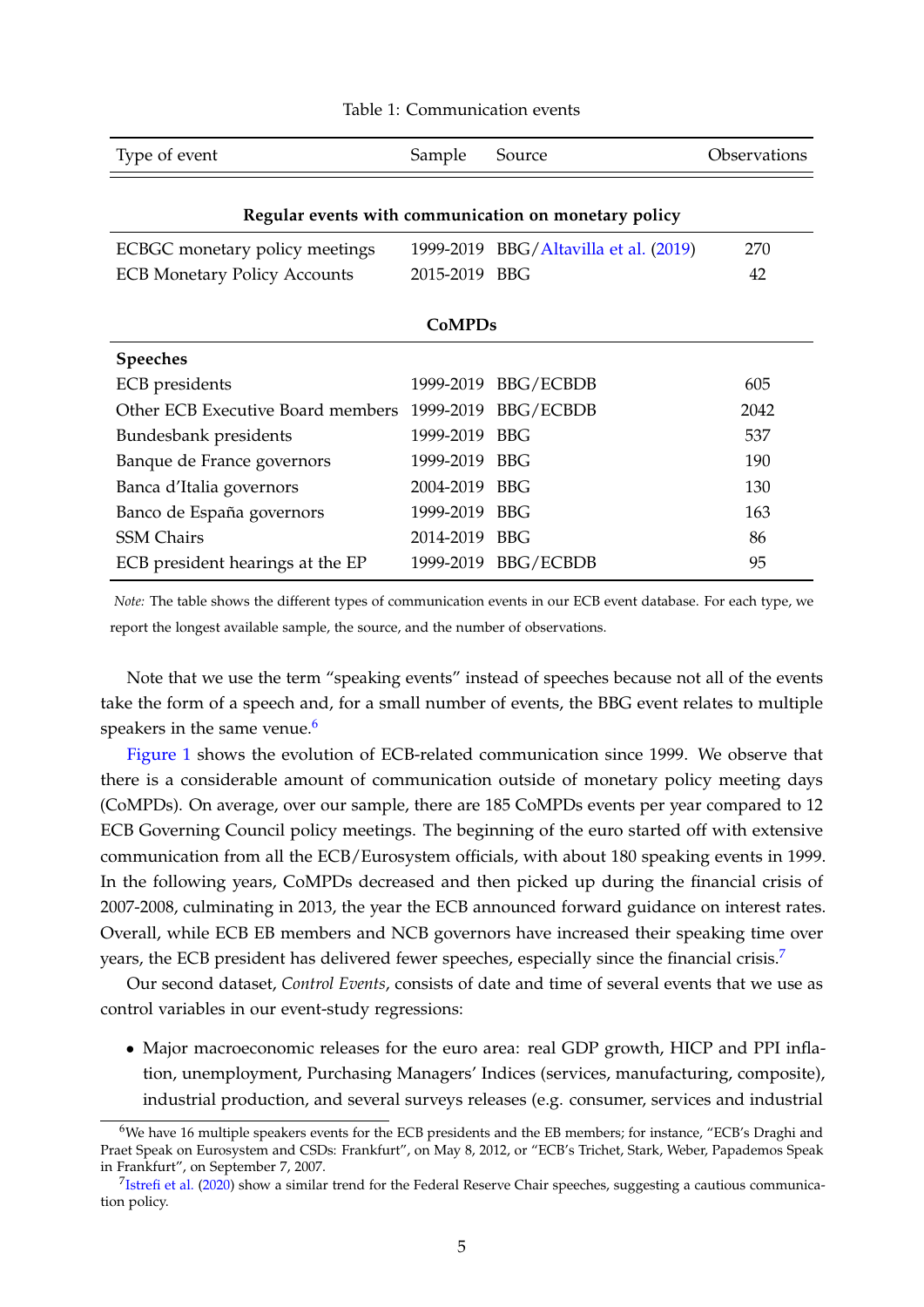<span id="page-6-0"></span>

| Type of event                                        | Sample        | Source                      | Observations |  |  |  |  |  |  |  |  |
|------------------------------------------------------|---------------|-----------------------------|--------------|--|--|--|--|--|--|--|--|
|                                                      |               |                             |              |  |  |  |  |  |  |  |  |
| Regular events with communication on monetary policy |               |                             |              |  |  |  |  |  |  |  |  |
| ECBGC monetary policy meetings                       | 1999-2019     | BBG/Altavilla et al. (2019) | 270          |  |  |  |  |  |  |  |  |
| <b>ECB Monetary Policy Accounts</b>                  | 2015-2019 BBG |                             | 42           |  |  |  |  |  |  |  |  |
|                                                      |               |                             |              |  |  |  |  |  |  |  |  |
|                                                      | <b>CoMPDs</b> |                             |              |  |  |  |  |  |  |  |  |
| <b>Speeches</b>                                      |               |                             |              |  |  |  |  |  |  |  |  |
| ECB presidents                                       |               | 1999-2019 BBG/ECBDB         | 605          |  |  |  |  |  |  |  |  |
| Other ECB Executive Board members                    |               | 1999-2019 BBG/ECBDB         | 2042         |  |  |  |  |  |  |  |  |
| Bundesbank presidents                                | 1999-2019     | <b>BBG</b>                  | 537          |  |  |  |  |  |  |  |  |
| Banque de France governors                           | 1999-2019     | <b>BBG</b>                  | 190          |  |  |  |  |  |  |  |  |
| Banca d'Italia governors                             | 2004-2019     | <b>BBG</b>                  | 130          |  |  |  |  |  |  |  |  |
| Banco de España governors                            | 1999-2019     | <b>BBG</b>                  | 163          |  |  |  |  |  |  |  |  |
| <b>SSM</b> Chairs                                    | 2014-2019 BBG |                             | 86           |  |  |  |  |  |  |  |  |
| ECB president hearings at the EP                     | 1999-2019     | <b>BBG/ECBDB</b>            | 95           |  |  |  |  |  |  |  |  |

#### Table 1: Communication events

*Note:* The table shows the different types of communication events in our ECB event database. For each type, we report the longest available sample, the source, and the number of observations.

Note that we use the term "speaking events" instead of speeches because not all of the events take the form of a speech and, for a small number of events, the BBG event relates to multiple speakers in the same venue.<sup>[6](#page-6-1)</sup>

[Figure 1](#page-7-0) shows the evolution of ECB-related communication since 1999. We observe that there is a considerable amount of communication outside of monetary policy meeting days (CoMPDs). On average, over our sample, there are 185 CoMPDs events per year compared to 12 ECB Governing Council policy meetings. The beginning of the euro started off with extensive communication from all the ECB/Eurosystem officials, with about 180 speaking events in 1999. In the following years, CoMPDs decreased and then picked up during the financial crisis of 2007-2008, culminating in 2013, the year the ECB announced forward guidance on interest rates. Overall, while ECB EB members and NCB governors have increased their speaking time over years, the ECB president has delivered fewer speeches, especially since the financial crisis.<sup>[7](#page-6-2)</sup>

Our second dataset, *Control Events*, consists of date and time of several events that we use as control variables in our event-study regressions:

• Major macroeconomic releases for the euro area: real GDP growth, HICP and PPI inflation, unemployment, Purchasing Managers' Indices (services, manufacturing, composite), industrial production, and several surveys releases (e.g. consumer, services and industrial

<span id="page-6-1"></span><sup>6</sup>We have 16 multiple speakers events for the ECB presidents and the EB members; for instance, "ECB's Draghi and Praet Speak on Eurosystem and CSDs: Frankfurt", on May 8, 2012, or "ECB's Trichet, Stark, Weber, Papademos Speak in Frankfurt", on September 7, 2007.

<span id="page-6-2"></span> $^{7}$ [Istrefi et al.](#page-21-7) [\(2020\)](#page-21-7) show a similar trend for the Federal Reserve Chair speeches, suggesting a cautious communication policy.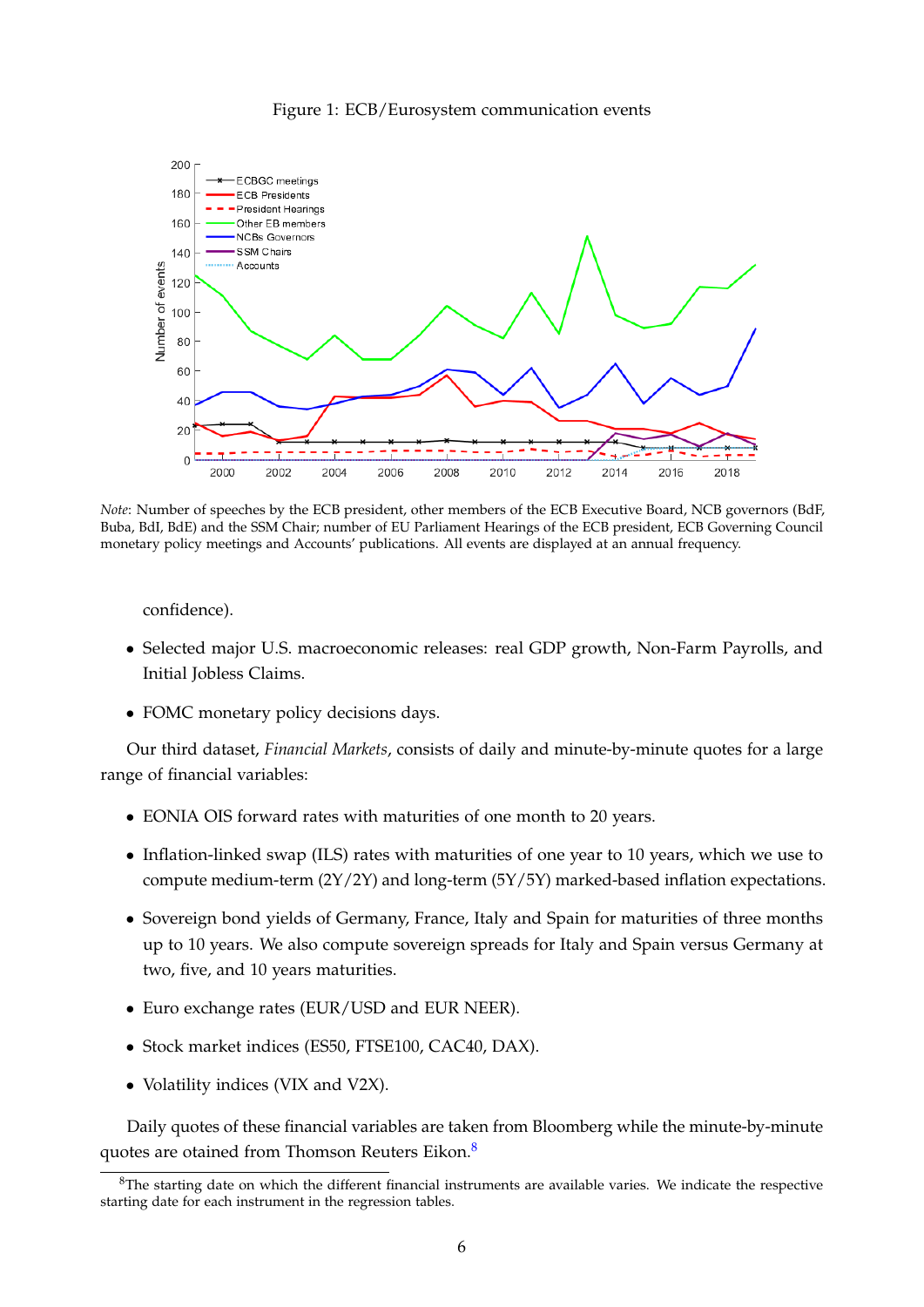

<span id="page-7-0"></span>

*Note*: Number of speeches by the ECB president, other members of the ECB Executive Board, NCB governors (BdF, Buba, BdI, BdE) and the SSM Chair; number of EU Parliament Hearings of the ECB president, ECB Governing Council monetary policy meetings and Accounts' publications. All events are displayed at an annual frequency.

confidence).

- Selected major U.S. macroeconomic releases: real GDP growth, Non-Farm Payrolls, and Initial Jobless Claims.
- FOMC monetary policy decisions days.

Our third dataset, *Financial Markets*, consists of daily and minute-by-minute quotes for a large range of financial variables:

- EONIA OIS forward rates with maturities of one month to 20 years.
- Inflation-linked swap (ILS) rates with maturities of one year to 10 years, which we use to compute medium-term (2Y/2Y) and long-term (5Y/5Y) marked-based inflation expectations.
- Sovereign bond yields of Germany, France, Italy and Spain for maturities of three months up to 10 years. We also compute sovereign spreads for Italy and Spain versus Germany at two, five, and 10 years maturities.
- Euro exchange rates (EUR/USD and EUR NEER).
- Stock market indices (ES50, FTSE100, CAC40, DAX).
- Volatility indices (VIX and V2X).

Daily quotes of these financial variables are taken from Bloomberg while the minute-by-minute quotes are otained from Thomson Reuters Eikon.[8](#page-7-1)

<span id="page-7-1"></span> $8$ The starting date on which the different financial instruments are available varies. We indicate the respective starting date for each instrument in the regression tables.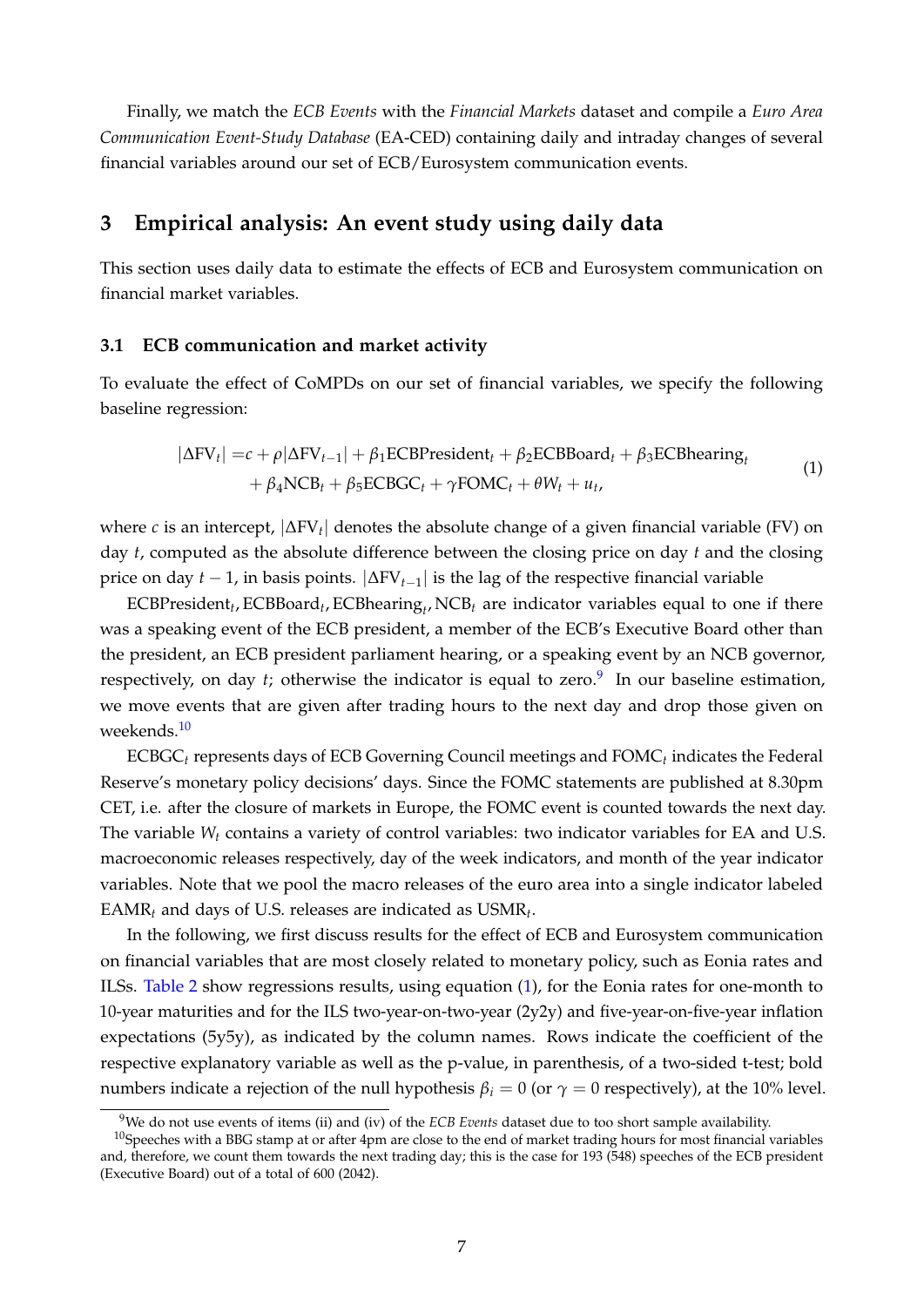Finally, we match the *ECB Events* with the *Financial Markets* dataset and compile a *Euro Area Communication Event-Study Database* (EA-CED) containing daily and intraday changes of several financial variables around our set of ECB/Eurosystem communication events.

# <span id="page-8-0"></span>**3 Empirical analysis: An event study using daily data**

This section uses daily data to estimate the effects of ECB and Eurosystem communication on financial market variables.

#### **3.1 ECB communication and market activity**

To evaluate the effect of CoMPDs on our set of financial variables, we specify the following baseline regression:

<span id="page-8-3"></span>
$$
|\Delta \text{FV}_t| = c + \rho |\Delta \text{FV}_{t-1}| + \beta_1 \text{ECBPresident}_t + \beta_2 \text{ECBBoard}_t + \beta_3 \text{ECBhearing}_t + \beta_4 \text{NCB}_t + \beta_5 \text{ECBGC}_t + \gamma \text{FOMC}_t + \theta W_t + u_t,
$$
\n(1)

where *c* is an intercept, |∆FV*<sup>t</sup>* | denotes the absolute change of a given financial variable (FV) on day *t*, computed as the absolute difference between the closing price on day *t* and the closing price on day *t* − 1, in basis points. |∆FV*t*−1| is the lag of the respective financial variable

ECBPresident<sub>t</sub>, ECBBoard<sub>t</sub>, ECBhearing<sub>t</sub>, NCB<sub>t</sub> are indicator variables equal to one if there was a speaking event of the ECB president, a member of the ECB's Executive Board other than the president, an ECB president parliament hearing, or a speaking event by an NCB governor, respectively, on day *t*; otherwise the indicator is equal to zero.<sup>[9](#page-8-1)</sup> In our baseline estimation, we move events that are given after trading hours to the next day and drop those given on weekends.<sup>[10](#page-8-2)</sup>

ECBGC*<sup>t</sup>* represents days of ECB Governing Council meetings and FOMC*<sup>t</sup>* indicates the Federal Reserve's monetary policy decisions' days. Since the FOMC statements are published at 8.30pm CET, i.e. after the closure of markets in Europe, the FOMC event is counted towards the next day. The variable *W<sup>t</sup>* contains a variety of control variables: two indicator variables for EA and U.S. macroeconomic releases respectively, day of the week indicators, and month of the year indicator variables. Note that we pool the macro releases of the euro area into a single indicator labeled EAMR*<sup>t</sup>* and days of U.S. releases are indicated as USMR*<sup>t</sup>* .

In the following, we first discuss results for the effect of ECB and Eurosystem communication on financial variables that are most closely related to monetary policy, such as Eonia rates and ILSs. [Table 2](#page-10-0) show regressions results, using equation [\(1\)](#page-8-3), for the Eonia rates for one-month to 10-year maturities and for the ILS two-year-on-two-year (2y2y) and five-year-on-five-year inflation expectations (5y5y), as indicated by the column names. Rows indicate the coefficient of the respective explanatory variable as well as the p-value, in parenthesis, of a two-sided t-test; bold numbers indicate a rejection of the null hypothesis  $β<sub>i</sub> = 0$  (or  $γ = 0$  respectively), at the 10% level.

<span id="page-8-2"></span><span id="page-8-1"></span><sup>9</sup>We do not use events of items (ii) and (iv) of the *ECB Events* dataset due to too short sample availability.

 $10$ Speeches with a BBG stamp at or after 4pm are close to the end of market trading hours for most financial variables and, therefore, we count them towards the next trading day; this is the case for 193 (548) speeches of the ECB president (Executive Board) out of a total of 600 (2042).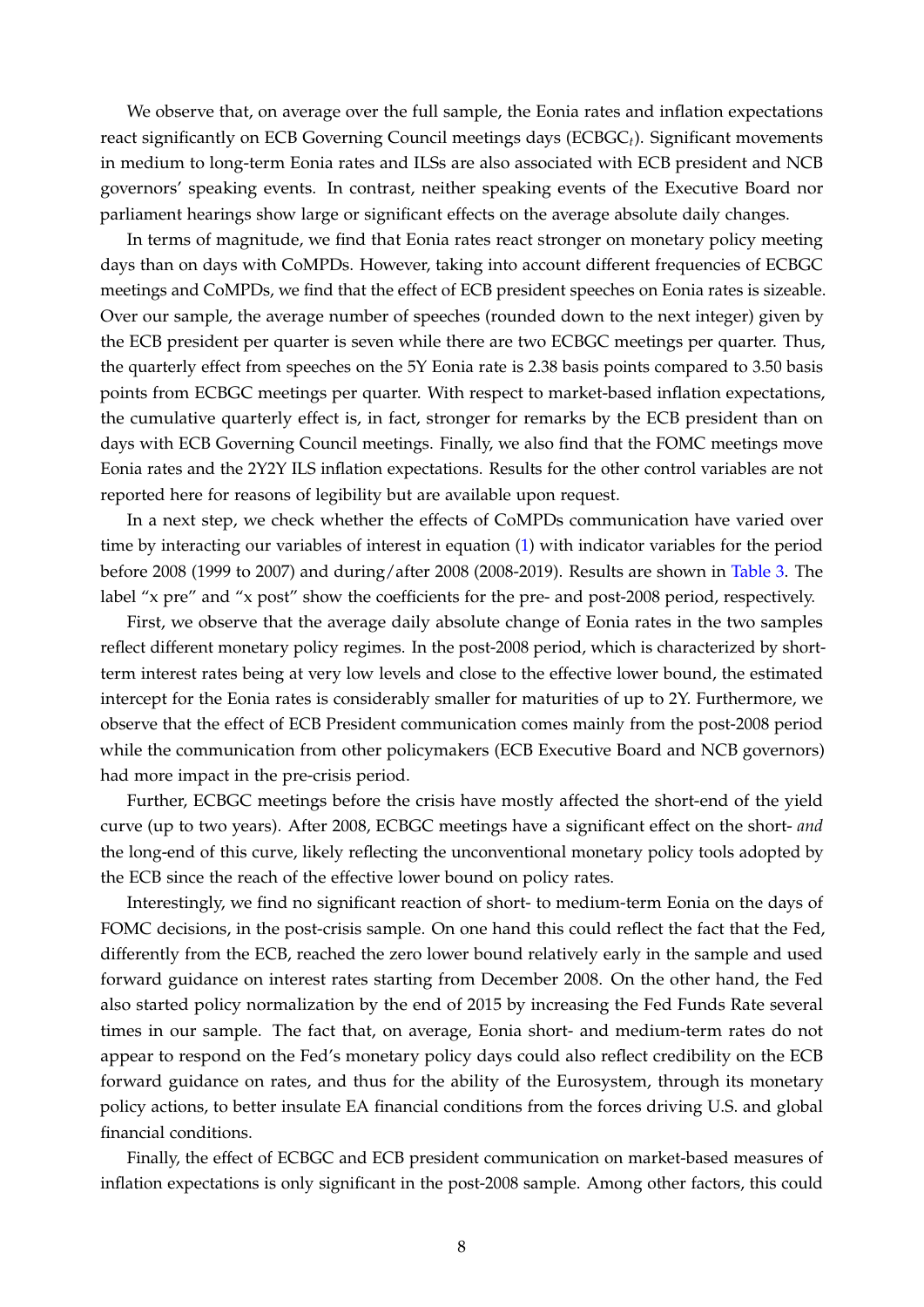We observe that, on average over the full sample, the Eonia rates and inflation expectations react significantly on ECB Governing Council meetings days (ECBGC*t*). Significant movements in medium to long-term Eonia rates and ILSs are also associated with ECB president and NCB governors' speaking events. In contrast, neither speaking events of the Executive Board nor parliament hearings show large or significant effects on the average absolute daily changes.

In terms of magnitude, we find that Eonia rates react stronger on monetary policy meeting days than on days with CoMPDs. However, taking into account different frequencies of ECBGC meetings and CoMPDs, we find that the effect of ECB president speeches on Eonia rates is sizeable. Over our sample, the average number of speeches (rounded down to the next integer) given by the ECB president per quarter is seven while there are two ECBGC meetings per quarter. Thus, the quarterly effect from speeches on the 5Y Eonia rate is 2.38 basis points compared to 3.50 basis points from ECBGC meetings per quarter. With respect to market-based inflation expectations, the cumulative quarterly effect is, in fact, stronger for remarks by the ECB president than on days with ECB Governing Council meetings. Finally, we also find that the FOMC meetings move Eonia rates and the 2Y2Y ILS inflation expectations. Results for the other control variables are not reported here for reasons of legibility but are available upon request.

In a next step, we check whether the effects of CoMPDs communication have varied over time by interacting our variables of interest in equation [\(1\)](#page-8-3) with indicator variables for the period before 2008 (1999 to 2007) and during/after 2008 (2008-2019). Results are shown in [Table 3.](#page-12-0) The label "x pre" and "x post" show the coefficients for the pre- and post-2008 period, respectively.

First, we observe that the average daily absolute change of Eonia rates in the two samples reflect different monetary policy regimes. In the post-2008 period, which is characterized by shortterm interest rates being at very low levels and close to the effective lower bound, the estimated intercept for the Eonia rates is considerably smaller for maturities of up to 2Y. Furthermore, we observe that the effect of ECB President communication comes mainly from the post-2008 period while the communication from other policymakers (ECB Executive Board and NCB governors) had more impact in the pre-crisis period.

Further, ECBGC meetings before the crisis have mostly affected the short-end of the yield curve (up to two years). After 2008, ECBGC meetings have a significant effect on the short- *and* the long-end of this curve, likely reflecting the unconventional monetary policy tools adopted by the ECB since the reach of the effective lower bound on policy rates.

Interestingly, we find no significant reaction of short- to medium-term Eonia on the days of FOMC decisions, in the post-crisis sample. On one hand this could reflect the fact that the Fed, differently from the ECB, reached the zero lower bound relatively early in the sample and used forward guidance on interest rates starting from December 2008. On the other hand, the Fed also started policy normalization by the end of 2015 by increasing the Fed Funds Rate several times in our sample. The fact that, on average, Eonia short- and medium-term rates do not appear to respond on the Fed's monetary policy days could also reflect credibility on the ECB forward guidance on rates, and thus for the ability of the Eurosystem, through its monetary policy actions, to better insulate EA financial conditions from the forces driving U.S. and global financial conditions.

Finally, the effect of ECBGC and ECB president communication on market-based measures of inflation expectations is only significant in the post-2008 sample. Among other factors, this could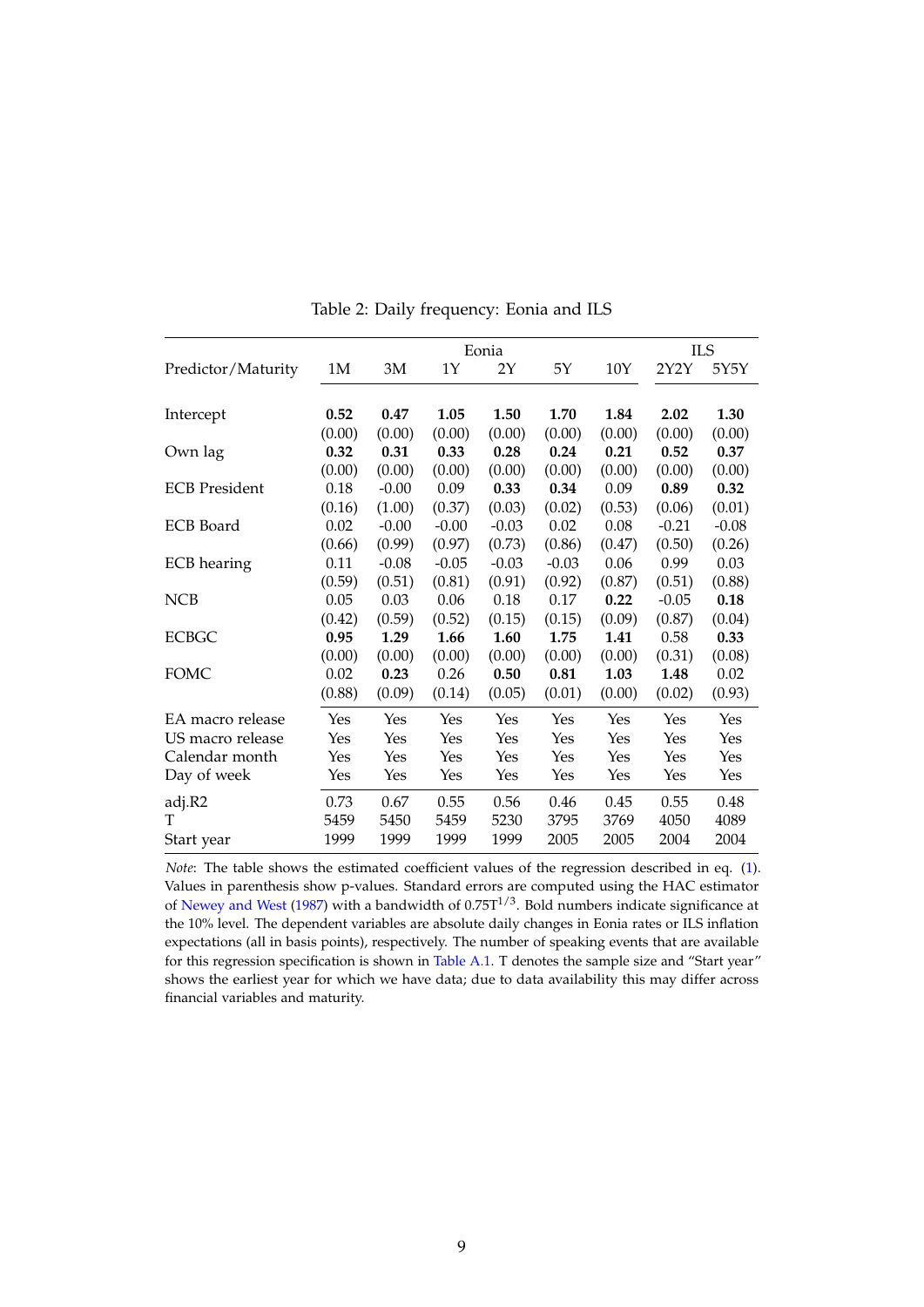<span id="page-10-0"></span>

|                      |        |         |         | Eonia   |         |        |         | <b>ILS</b> |
|----------------------|--------|---------|---------|---------|---------|--------|---------|------------|
| Predictor/Maturity   | 1M     | 3M      | 1Υ      | 2Υ      | 5Υ      | 10Y    | 2Y2Y    | 5Y5Y       |
|                      |        |         |         |         |         |        |         |            |
| Intercept            | 0.52   | 0.47    | 1.05    | 1.50    | 1.70    | 1.84   | 2.02    | 1.30       |
|                      | (0.00) | (0.00)  | (0.00)  | (0.00)  | (0.00)  | (0.00) | (0.00)  | (0.00)     |
| Own lag              | 0.32   | 0.31    | 0.33    | 0.28    | 0.24    | 0.21   | 0.52    | 0.37       |
|                      | (0.00) | (0.00)  | (0.00)  | (0.00)  | (0.00)  | (0.00) | (0.00)  | (0.00)     |
| <b>ECB</b> President | 0.18   | $-0.00$ | 0.09    | 0.33    | 0.34    | 0.09   | 0.89    | 0.32       |
|                      | (0.16) | (1.00)  | (0.37)  | (0.03)  | (0.02)  | (0.53) | (0.06)  | (0.01)     |
| <b>ECB</b> Board     | 0.02   | $-0.00$ | $-0.00$ | $-0.03$ | 0.02    | 0.08   | $-0.21$ | $-0.08$    |
|                      | (0.66) | (0.99)  | (0.97)  | (0.73)  | (0.86)  | (0.47) | (0.50)  | (0.26)     |
| <b>ECB</b> hearing   | 0.11   | $-0.08$ | $-0.05$ | $-0.03$ | $-0.03$ | 0.06   | 0.99    | 0.03       |
|                      | (0.59) | (0.51)  | (0.81)  | (0.91)  | (0.92)  | (0.87) | (0.51)  | (0.88)     |
| <b>NCB</b>           | 0.05   | 0.03    | 0.06    | 0.18    | 0.17    | 0.22   | $-0.05$ | 0.18       |
|                      | (0.42) | (0.59)  | (0.52)  | (0.15)  | (0.15)  | (0.09) | (0.87)  | (0.04)     |
| <b>ECBGC</b>         | 0.95   | 1.29    | 1.66    | 1.60    | 1.75    | 1.41   | 0.58    | 0.33       |
|                      | (0.00) | (0.00)  | (0.00)  | (0.00)  | (0.00)  | (0.00) | (0.31)  | (0.08)     |
| <b>FOMC</b>          | 0.02   | 0.23    | 0.26    | 0.50    | 0.81    | 1.03   | 1.48    | 0.02       |
|                      | (0.88) | (0.09)  | (0.14)  | (0.05)  | (0.01)  | (0.00) | (0.02)  | (0.93)     |
| EA macro release     | Yes    | Yes     | Yes     | Yes     | Yes     | Yes    | Yes     | Yes        |
| US macro release     | Yes    | Yes     | Yes     | Yes     | Yes     | Yes    | Yes     | Yes        |
| Calendar month       | Yes    | Yes     | Yes     | Yes     | Yes     | Yes    | Yes     | Yes        |
| Day of week          | Yes    | Yes     | Yes     | Yes     | Yes     | Yes    | Yes     | Yes        |
| adj.R2               | 0.73   | 0.67    | 0.55    | 0.56    | 0.46    | 0.45   | 0.55    | 0.48       |
| T                    | 5459   | 5450    | 5459    | 5230    | 3795    | 3769   | 4050    | 4089       |
| Start year           | 1999   | 1999    | 1999    | 1999    | 2005    | 2005   | 2004    | 2004       |

Table 2: Daily frequency: Eonia and ILS

*Note*: The table shows the estimated coefficient values of the regression described in eq. [\(1\)](#page-8-3). Values in parenthesis show p-values. Standard errors are computed using the HAC estimator of [Newey and West](#page-21-13) [\(1987\)](#page-21-13) with a bandwidth of  $0.75T^{1/3}$ . Bold numbers indicate significance at the 10% level. The dependent variables are absolute daily changes in Eonia rates or ILS inflation expectations (all in basis points), respectively. The number of speaking events that are available for this regression specification is shown in [Table A.1.](#page-22-0) T denotes the sample size and "Start year" shows the earliest year for which we have data; due to data availability this may differ across financial variables and maturity.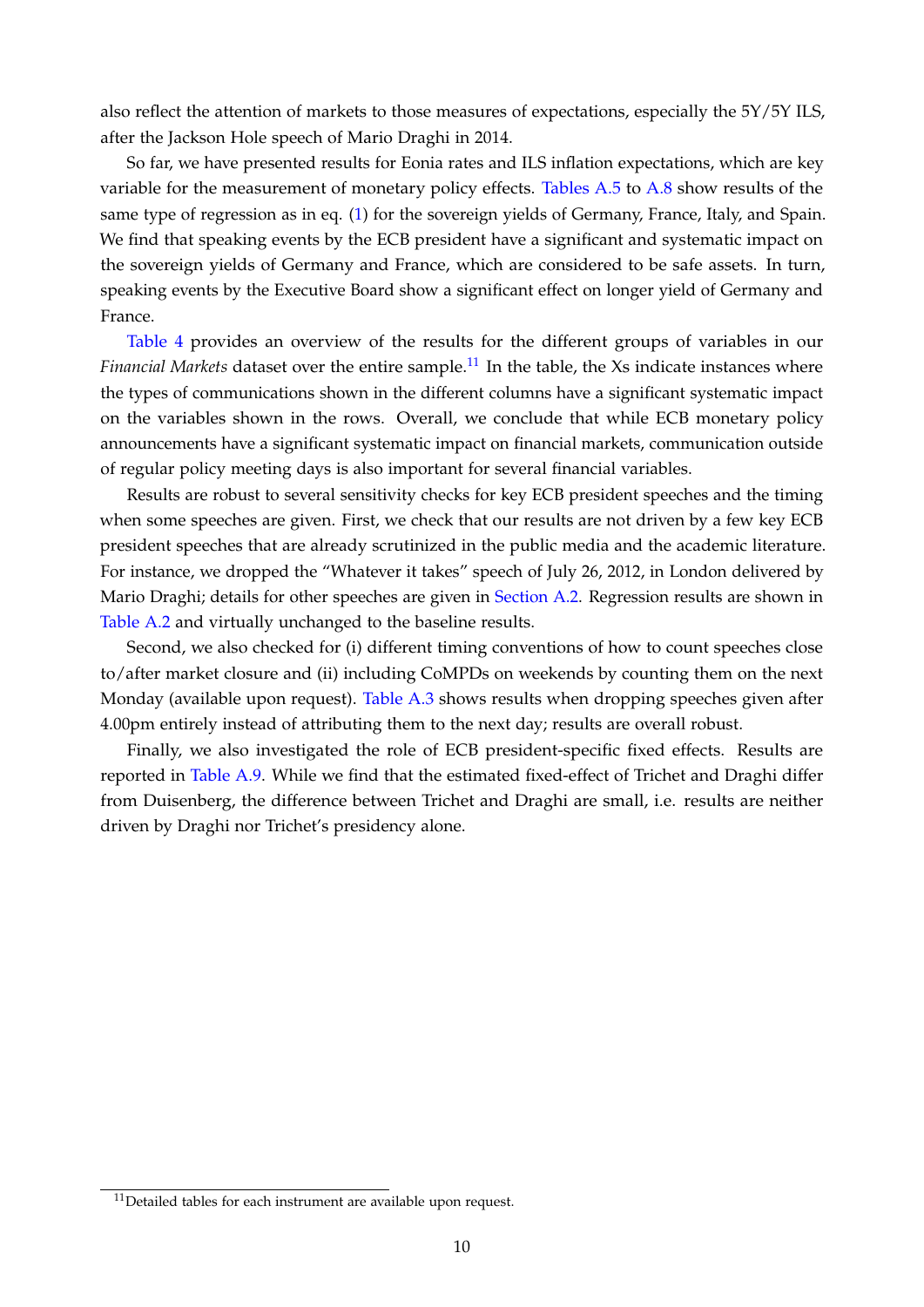also reflect the attention of markets to those measures of expectations, especially the 5Y/5Y ILS, after the Jackson Hole speech of Mario Draghi in 2014.

So far, we have presented results for Eonia rates and ILS inflation expectations, which are key variable for the measurement of monetary policy effects. [Tables A.5](#page-26-0) to [A.8](#page-29-0) show results of the same type of regression as in eq. [\(1\)](#page-8-3) for the sovereign yields of Germany, France, Italy, and Spain. We find that speaking events by the ECB president have a significant and systematic impact on the sovereign yields of Germany and France, which are considered to be safe assets. In turn, speaking events by the Executive Board show a significant effect on longer yield of Germany and France.

[Table 4](#page-13-0) provides an overview of the results for the different groups of variables in our *Financial Markets* dataset over the entire sample.<sup>[11](#page-11-0)</sup> In the table, the Xs indicate instances where the types of communications shown in the different columns have a significant systematic impact on the variables shown in the rows. Overall, we conclude that while ECB monetary policy announcements have a significant systematic impact on financial markets, communication outside of regular policy meeting days is also important for several financial variables.

Results are robust to several sensitivity checks for key ECB president speeches and the timing when some speeches are given. First, we check that our results are not driven by a few key ECB president speeches that are already scrutinized in the public media and the academic literature. For instance, we dropped the "Whatever it takes" speech of July 26, 2012, in London delivered by Mario Draghi; details for other speeches are given in [Section A.2.](#page-22-1) Regression results are shown in [Table A.2](#page-23-0) and virtually unchanged to the baseline results.

Second, we also checked for (i) different timing conventions of how to count speeches close to/after market closure and (ii) including CoMPDs on weekends by counting them on the next Monday (available upon request). [Table A.3](#page-24-0) shows results when dropping speeches given after 4.00pm entirely instead of attributing them to the next day; results are overall robust.

Finally, we also investigated the role of ECB president-specific fixed effects. Results are reported in [Table A.9.](#page-30-0) While we find that the estimated fixed-effect of Trichet and Draghi differ from Duisenberg, the difference between Trichet and Draghi are small, i.e. results are neither driven by Draghi nor Trichet's presidency alone.

<span id="page-11-0"></span> $11$ Detailed tables for each instrument are available upon request.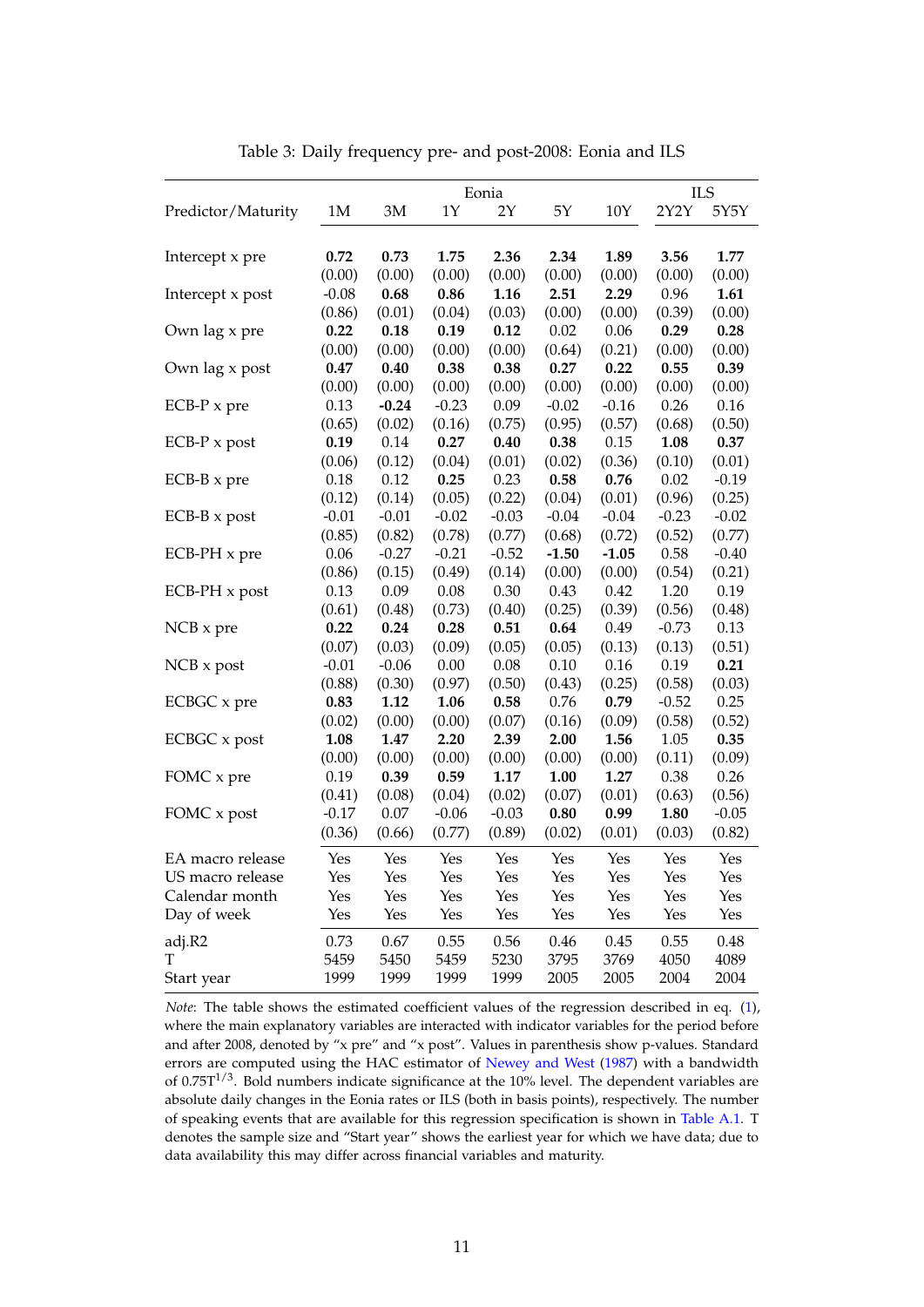<span id="page-12-0"></span>

|                     |         |         |         | Eonia   |         |         |         | <b>ILS</b> |
|---------------------|---------|---------|---------|---------|---------|---------|---------|------------|
| Predictor/Maturity  | 1M      | 3M      | 1Y      | 2Y      | 5Y      | $10Y$   | 2Y2Y    | 5Y5Y       |
|                     |         |         |         |         |         |         |         |            |
| Intercept x pre     | 0.72    | 0.73    | 1.75    | 2.36    | 2.34    | 1.89    | 3.56    | 1.77       |
|                     | (0.00)  | (0.00)  | (0.00)  | (0.00)  | (0.00)  | (0.00)  | (0.00)  | (0.00)     |
| Intercept x post    | $-0.08$ | 0.68    | 0.86    | 1.16    | 2.51    | 2.29    | 0.96    | 1.61       |
|                     | (0.86)  | (0.01)  | (0.04)  | (0.03)  | (0.00)  | (0.00)  | (0.39)  | (0.00)     |
| Own lag x pre       | 0.22    | 0.18    | 0.19    | 0.12    | 0.02    | 0.06    | 0.29    | 0.28       |
|                     | (0.00)  | (0.00)  | (0.00)  | (0.00)  | (0.64)  | (0.21)  | (0.00)  | (0.00)     |
| Own lag x post      | 0.47    | 0.40    | 0.38    | 0.38    | 0.27    | 0.22    | 0.55    | 0.39       |
|                     | (0.00)  | (0.00)  | (0.00)  | (0.00)  | (0.00)  | (0.00)  | (0.00)  | (0.00)     |
| $ECB-P \times pre$  | 0.13    | $-0.24$ | $-0.23$ | 0.09    | $-0.02$ | $-0.16$ | 0.26    | 0.16       |
|                     | (0.65)  | (0.02)  | (0.16)  | (0.75)  | (0.95)  | (0.57)  | (0.68)  | (0.50)     |
| $ECB-P \times post$ | 0.19    | 0.14    | 0.27    | 0.40    | 0.38    | 0.15    | 1.08    | 0.37       |
|                     | (0.06)  | (0.12)  | (0.04)  | (0.01)  | (0.02)  | (0.36)  | (0.10)  | (0.01)     |
| $ECB-B \times pre$  | 0.18    | 0.12    | 0.25    | 0.23    | 0.58    | 0.76    | 0.02    | $-0.19$    |
|                     | (0.12)  | (0.14)  | (0.05)  | (0.22)  | (0.04)  | (0.01)  | (0.96)  | (0.25)     |
| $ECB-B \times post$ | $-0.01$ | $-0.01$ | $-0.02$ | $-0.03$ | $-0.04$ | $-0.04$ | $-0.23$ | $-0.02$    |
|                     | (0.85)  | (0.82)  | (0.78)  | (0.77)  | (0.68)  | (0.72)  | (0.52)  | (0.77)     |
| ECB-PH x pre        | 0.06    | $-0.27$ | $-0.21$ | $-0.52$ | $-1.50$ | $-1.05$ | 0.58    | $-0.40$    |
|                     | (0.86)  | (0.15)  | (0.49)  | (0.14)  | (0.00)  | (0.00)  | (0.54)  | (0.21)     |
| ECB-PH x post       | 0.13    | 0.09    | 0.08    | 0.30    | 0.43    | 0.42    | 1.20    | 0.19       |
|                     | (0.61)  | (0.48)  | (0.73)  | (0.40)  | (0.25)  | (0.39)  | (0.56)  | (0.48)     |
| NCB x pre           | 0.22    | 0.24    | 0.28    | 0.51    | 0.64    | 0.49    | $-0.73$ | 0.13       |
|                     | (0.07)  | (0.03)  | (0.09)  | (0.05)  | (0.05)  | (0.13)  | (0.13)  | (0.51)     |
| $NCB \times post$   | $-0.01$ | $-0.06$ | 0.00    | 0.08    | 0.10    | 0.16    | 0.19    | 0.21       |
|                     | (0.88)  | (0.30)  | (0.97)  | (0.50)  | (0.43)  | (0.25)  | (0.58)  | (0.03)     |
| ECBGC x pre         | 0.83    | 1.12    | 1.06    | 0.58    | 0.76    | 0.79    | $-0.52$ | 0.25       |
|                     | (0.02)  | (0.00)  | (0.00)  | (0.07)  | (0.16)  | (0.09)  | (0.58)  | (0.52)     |
| ECBGC x post        | 1.08    | 1.47    | 2.20    | 2.39    | 2.00    | 1.56    | 1.05    | 0.35       |
|                     | (0.00)  | (0.00)  | (0.00)  | (0.00)  | (0.00)  | (0.00)  | (0.11)  | (0.09)     |
| FOMC x pre          | 0.19    | 0.39    | 0.59    | 1.17    | 1.00    | 1.27    | 0.38    | 0.26       |
|                     | (0.41)  | (0.08)  | (0.04)  | (0.02)  | (0.07)  | (0.01)  | (0.63)  | (0.56)     |
| FOMC x post         | $-0.17$ | 0.07    | $-0.06$ | $-0.03$ | 0.80    | 0.99    | 1.80    | $-0.05$    |
|                     | (0.36)  | (0.66)  | (0.77)  | (0.89)  | (0.02)  | (0.01)  | (0.03)  | (0.82)     |
| EA macro release    | Yes     | Yes     | Yes     | Yes     | Yes     | Yes     | Yes     | Yes        |
| US macro release    | Yes     | Yes     | Yes     | Yes     | Yes     | Yes     | Yes     | Yes        |
| Calendar month      | Yes     | Yes     | Yes     | Yes     | Yes     | Yes     | Yes     | Yes        |
| Day of week         | Yes     | Yes     | Yes     | Yes     | Yes     | Yes     | Yes     | Yes        |
| adj.R2              | 0.73    | 0.67    | 0.55    | 0.56    | 0.46    | 0.45    | 0.55    | 0.48       |
| T                   | 5459    | 5450    | 5459    | 5230    | 3795    | 3769    | 4050    | 4089       |
| Start year          | 1999    | 1999    | 1999    | 1999    | 2005    | 2005    | 2004    | 2004       |

Table 3: Daily frequency pre- and post-2008: Eonia and ILS

*Note*: The table shows the estimated coefficient values of the regression described in eq. [\(1\)](#page-8-3), where the main explanatory variables are interacted with indicator variables for the period before and after 2008, denoted by "x pre" and "x post". Values in parenthesis show p-values. Standard errors are computed using the HAC estimator of [Newey and West](#page-21-13) [\(1987\)](#page-21-13) with a bandwidth of  $0.75T^{1/3}$ . Bold numbers indicate significance at the 10% level. The dependent variables are absolute daily changes in the Eonia rates or ILS (both in basis points), respectively. The number of speaking events that are available for this regression specification is shown in [Table A.1.](#page-22-0) T denotes the sample size and "Start year" shows the earliest year for which we have data; due to data availability this may differ across financial variables and maturity.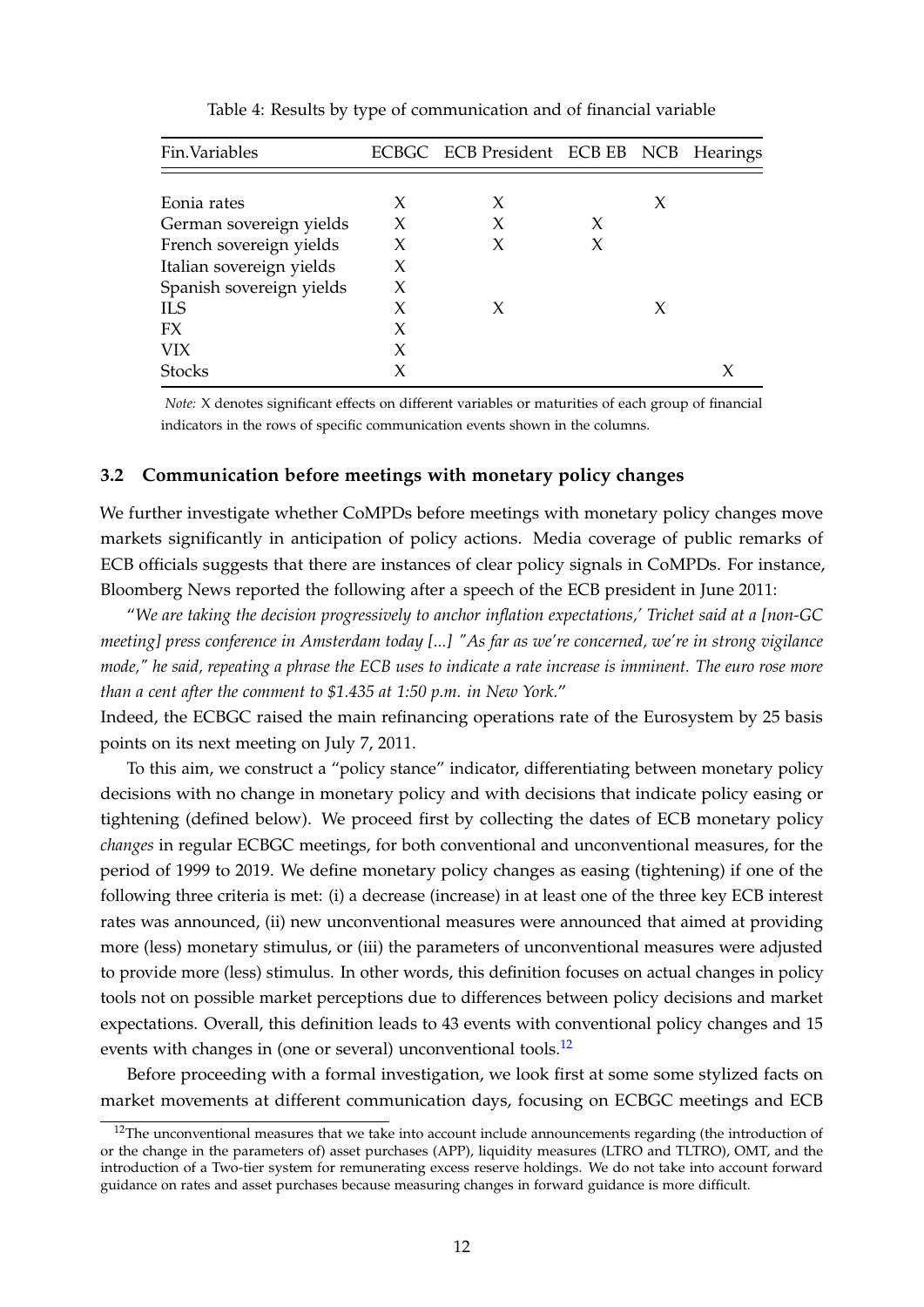<span id="page-13-0"></span>

| Fin.Variables            |   | ECBGC ECB President ECB EB NCB Hearings |   |   |  |  |
|--------------------------|---|-----------------------------------------|---|---|--|--|
|                          |   |                                         |   |   |  |  |
| Eonia rates              | X | X                                       |   | X |  |  |
| German sovereign yields  | X | X                                       | X |   |  |  |
| French sovereign yields  | X | X                                       | X |   |  |  |
| Italian sovereign yields | X |                                         |   |   |  |  |
| Spanish sovereign yields | X |                                         |   |   |  |  |
| ILS                      | X | X                                       |   | X |  |  |
| FX                       | X |                                         |   |   |  |  |
| <b>VIX</b>               | X |                                         |   |   |  |  |
| <b>Stocks</b>            |   |                                         |   |   |  |  |

Table 4: Results by type of communication and of financial variable

*Note:* X denotes significant effects on different variables or maturities of each group of financial indicators in the rows of specific communication events shown in the columns.

#### **3.2 Communication before meetings with monetary policy changes**

We further investigate whether CoMPDs before meetings with monetary policy changes move markets significantly in anticipation of policy actions. Media coverage of public remarks of ECB officials suggests that there are instances of clear policy signals in CoMPDs. For instance, Bloomberg News reported the following after a speech of the ECB president in June 2011:

"*We are taking the decision progressively to anchor inflation expectations,' Trichet said at a [non-GC meeting] press conference in Amsterdam today [...] "As far as we're concerned, we're in strong vigilance mode," he said, repeating a phrase the ECB uses to indicate a rate increase is imminent. The euro rose more than a cent after the comment to \$1.435 at 1:50 p.m. in New York.*"

Indeed, the ECBGC raised the main refinancing operations rate of the Eurosystem by 25 basis points on its next meeting on July 7, 2011.

To this aim, we construct a "policy stance" indicator, differentiating between monetary policy decisions with no change in monetary policy and with decisions that indicate policy easing or tightening (defined below). We proceed first by collecting the dates of ECB monetary policy *changes* in regular ECBGC meetings, for both conventional and unconventional measures, for the period of 1999 to 2019. We define monetary policy changes as easing (tightening) if one of the following three criteria is met: (i) a decrease (increase) in at least one of the three key ECB interest rates was announced, (ii) new unconventional measures were announced that aimed at providing more (less) monetary stimulus, or (iii) the parameters of unconventional measures were adjusted to provide more (less) stimulus. In other words, this definition focuses on actual changes in policy tools not on possible market perceptions due to differences between policy decisions and market expectations. Overall, this definition leads to 43 events with conventional policy changes and 15 events with changes in (one or several) unconventional tools.<sup>[12](#page-13-1)</sup>

Before proceeding with a formal investigation, we look first at some some stylized facts on market movements at different communication days, focusing on ECBGC meetings and ECB

<span id="page-13-1"></span> $12$ The unconventional measures that we take into account include announcements regarding (the introduction of or the change in the parameters of) asset purchases (APP), liquidity measures (LTRO and TLTRO), OMT, and the introduction of a Two-tier system for remunerating excess reserve holdings. We do not take into account forward guidance on rates and asset purchases because measuring changes in forward guidance is more difficult.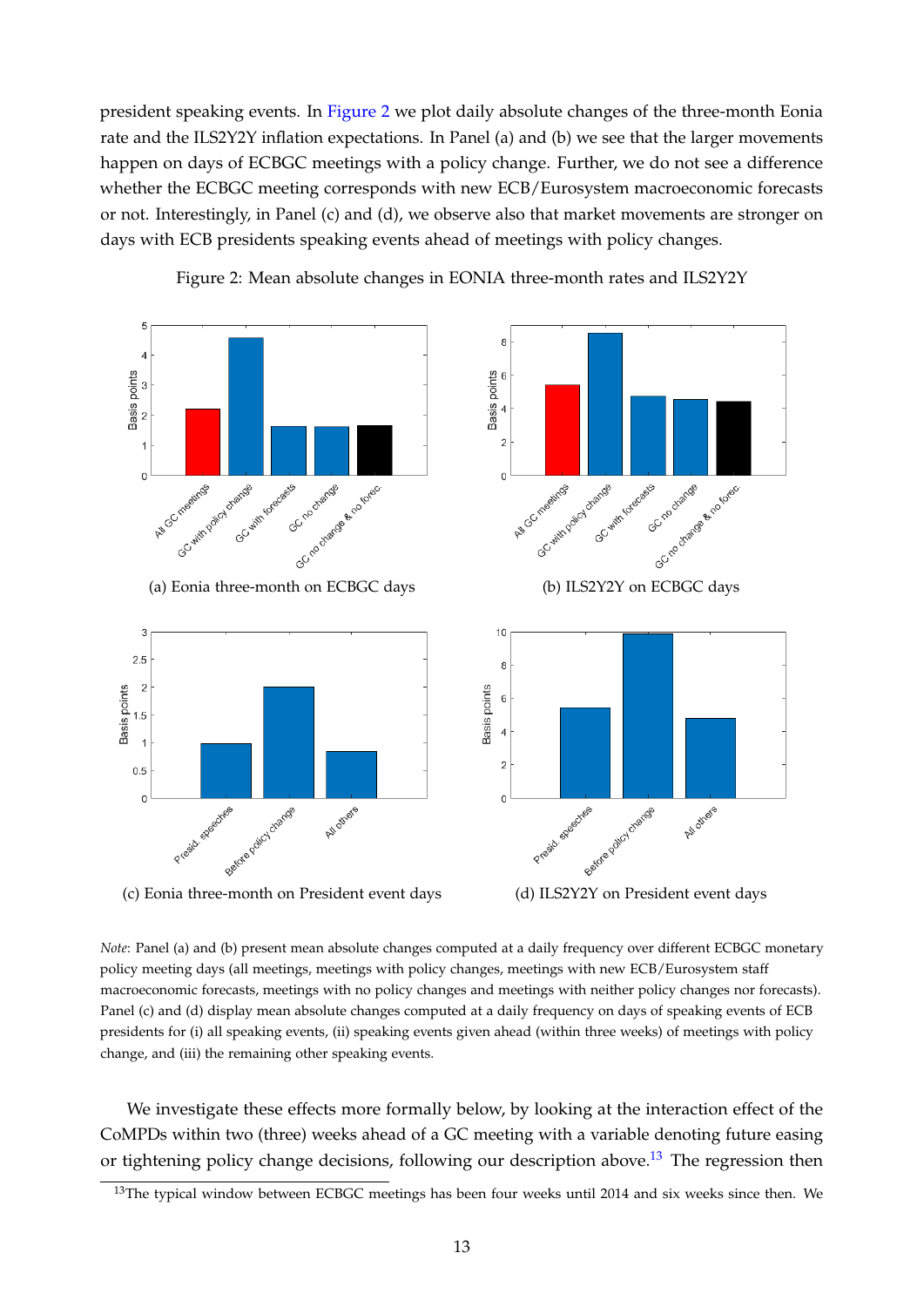president speaking events. In [Figure 2](#page-14-0) we plot daily absolute changes of the three-month Eonia rate and the ILS2Y2Y inflation expectations. In Panel (a) and (b) we see that the larger movements happen on days of ECBGC meetings with a policy change. Further, we do not see a difference whether the ECBGC meeting corresponds with new ECB/Eurosystem macroeconomic forecasts or not. Interestingly, in Panel (c) and (d), we observe also that market movements are stronger on days with ECB presidents speaking events ahead of meetings with policy changes.

<span id="page-14-0"></span>

Figure 2: Mean absolute changes in EONIA three-month rates and ILS2Y2Y



*Note*: Panel (a) and (b) present mean absolute changes computed at a daily frequency over different ECBGC monetary policy meeting days (all meetings, meetings with policy changes, meetings with new ECB/Eurosystem staff macroeconomic forecasts, meetings with no policy changes and meetings with neither policy changes nor forecasts). Panel (c) and (d) display mean absolute changes computed at a daily frequency on days of speaking events of ECB presidents for (i) all speaking events, (ii) speaking events given ahead (within three weeks) of meetings with policy change, and (iii) the remaining other speaking events.

We investigate these effects more formally below, by looking at the interaction effect of the CoMPDs within two (three) weeks ahead of a GC meeting with a variable denoting future easing or tightening policy change decisions, following our description above.<sup>[13](#page-14-1)</sup> The regression then

<span id="page-14-1"></span><sup>&</sup>lt;sup>13</sup>The typical window between ECBGC meetings has been four weeks until 2014 and six weeks since then. We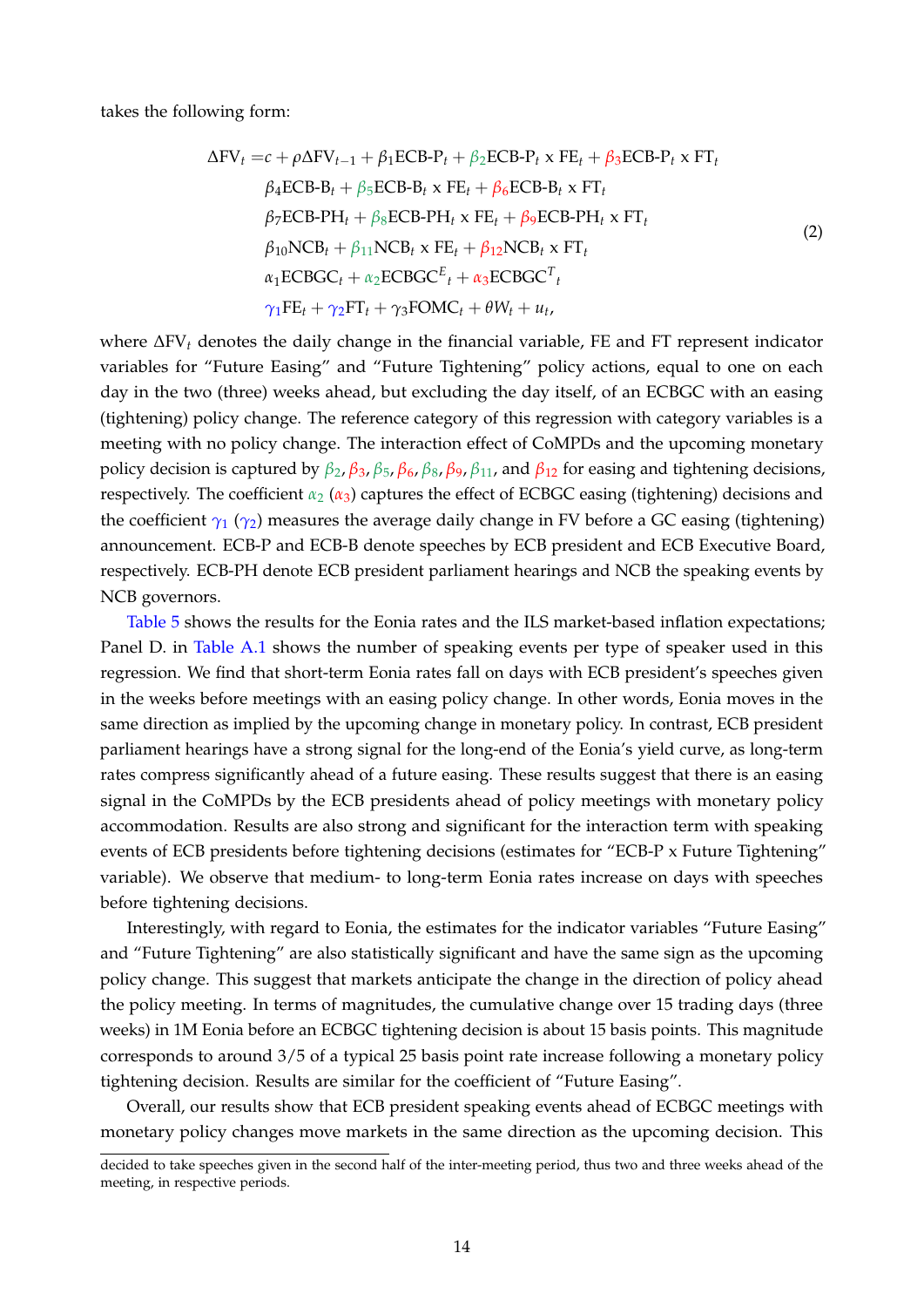takes the following form:

<span id="page-15-0"></span>
$$
\Delta FV_t = c + \rho \Delta FV_{t-1} + \beta_1 ECB - P_t + \beta_2 ECB - P_t \times FE_t + \beta_3 ECB - P_t \times FT_t
$$
  
\n
$$
\beta_4 ECB - B_t + \beta_5 ECB - B_t \times FE_t + \beta_6 ECB - B_t \times FT_t
$$
  
\n
$$
\beta_7 ECB - PH_t + \beta_8 ECB - PH_t \times FE_t + \beta_9 ECB - PH_t \times FT_t
$$
  
\n
$$
\beta_{10} NCB_t + \beta_{11} NCB_t \times FE_t + \beta_{12} NCB_t \times FT_t
$$
  
\n
$$
\alpha_1 ECBGC_t + \alpha_2 ECBGC^E_t + \alpha_3 ECBGC^T_t
$$
  
\n
$$
\gamma_1 FE_t + \gamma_2 FT_t + \gamma_3 FOMC_t + \theta W_t + u_t,
$$
\n(2)

where ∆FV*<sup>t</sup>* denotes the daily change in the financial variable, FE and FT represent indicator variables for "Future Easing" and "Future Tightening" policy actions, equal to one on each day in the two (three) weeks ahead, but excluding the day itself, of an ECBGC with an easing (tightening) policy change. The reference category of this regression with category variables is a meeting with no policy change. The interaction effect of CoMPDs and the upcoming monetary policy decision is captured by *β*2, *β*3, *β*5, *β*6, *β*8, *β*9, *β*11, and *β*<sup>12</sup> for easing and tightening decisions, respectively. The coefficient  $\alpha_2$  ( $\alpha_3$ ) captures the effect of ECBGC easing (tightening) decisions and the coefficient  $\gamma_1$  ( $\gamma_2$ ) measures the average daily change in FV before a GC easing (tightening) announcement. ECB-P and ECB-B denote speeches by ECB president and ECB Executive Board, respectively. ECB-PH denote ECB president parliament hearings and NCB the speaking events by NCB governors.

[Table 5](#page-16-0) shows the results for the Eonia rates and the ILS market-based inflation expectations; Panel D. in [Table A.1](#page-22-0) shows the number of speaking events per type of speaker used in this regression. We find that short-term Eonia rates fall on days with ECB president's speeches given in the weeks before meetings with an easing policy change. In other words, Eonia moves in the same direction as implied by the upcoming change in monetary policy. In contrast, ECB president parliament hearings have a strong signal for the long-end of the Eonia's yield curve, as long-term rates compress significantly ahead of a future easing. These results suggest that there is an easing signal in the CoMPDs by the ECB presidents ahead of policy meetings with monetary policy accommodation. Results are also strong and significant for the interaction term with speaking events of ECB presidents before tightening decisions (estimates for "ECB-P x Future Tightening" variable). We observe that medium- to long-term Eonia rates increase on days with speeches before tightening decisions.

Interestingly, with regard to Eonia, the estimates for the indicator variables "Future Easing" and "Future Tightening" are also statistically significant and have the same sign as the upcoming policy change. This suggest that markets anticipate the change in the direction of policy ahead the policy meeting. In terms of magnitudes, the cumulative change over 15 trading days (three weeks) in 1M Eonia before an ECBGC tightening decision is about 15 basis points. This magnitude corresponds to around 3/5 of a typical 25 basis point rate increase following a monetary policy tightening decision. Results are similar for the coefficient of "Future Easing".

Overall, our results show that ECB president speaking events ahead of ECBGC meetings with monetary policy changes move markets in the same direction as the upcoming decision. This

decided to take speeches given in the second half of the inter-meeting period, thus two and three weeks ahead of the meeting, in respective periods.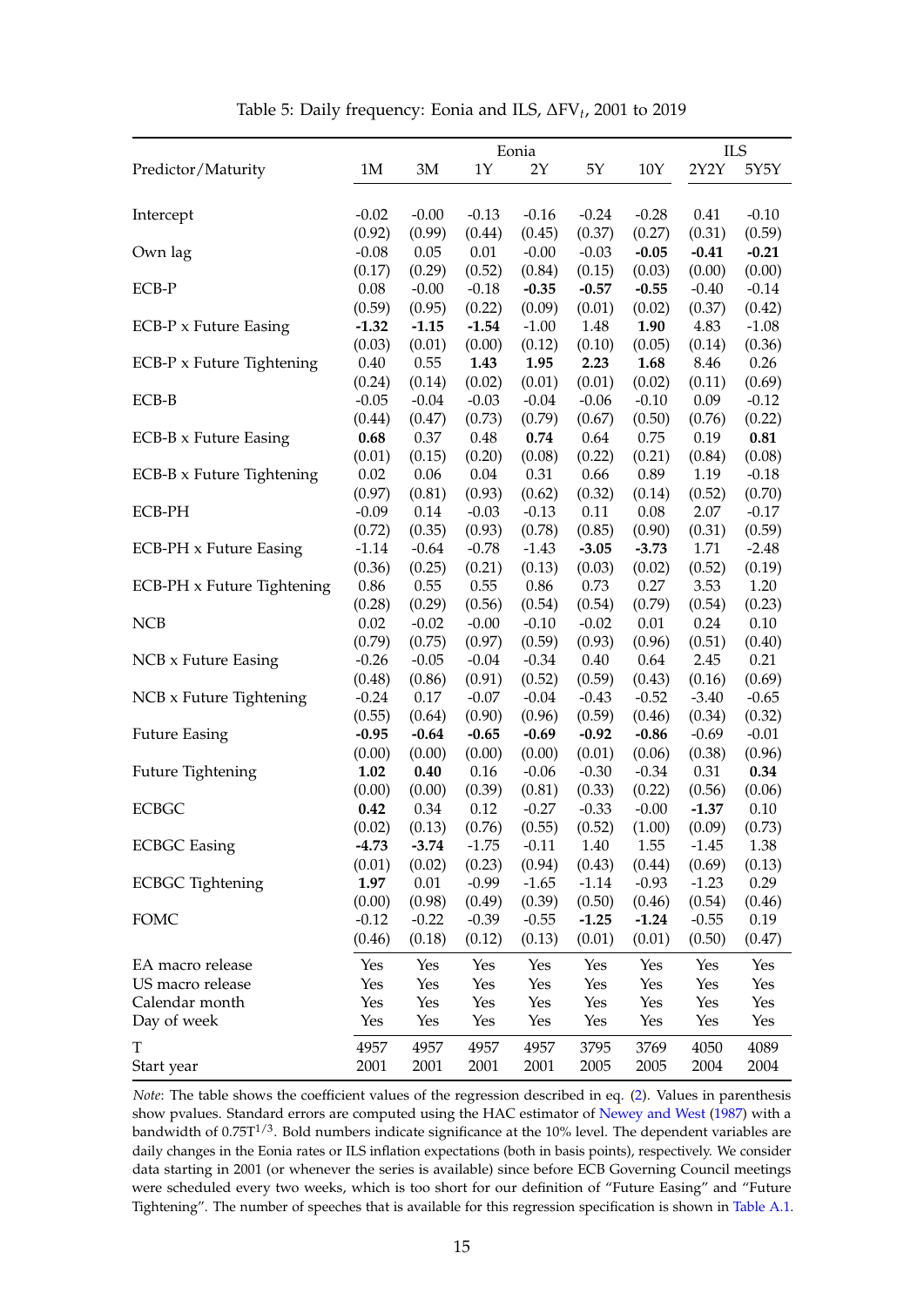<span id="page-16-0"></span>

| 2Y2Y<br>Predictor/Maturity<br>1M<br>3M<br>1Y<br>2Y<br>$5Y$<br>$10Y$<br>5Y5Y<br>$-0.02$<br>$-0.00$<br>$-0.13$<br>$-0.16$<br>$-0.24$<br>$-0.28$<br>0.41<br>$-0.10$<br>Intercept<br>(0.99)<br>(0.44)<br>(0.45)<br>(0.37)<br>(0.31)<br>(0.59)<br>(0.92)<br>(0.27)<br>0.05<br>$0.01\,$<br>Own lag<br>$-0.08$<br>$-0.00$<br>$-0.03$<br>$-0.05$<br>$-0.41$<br>$-0.21$<br>(0.29)<br>(0.52)<br>(0.84)<br>(0.15)<br>(0.00)<br>(0.00)<br>(0.17)<br>(0.03)<br>$0.08\,$<br>ECB-P<br>$-0.00$<br>$-0.18$<br>$-0.35$<br>$-0.57$<br>$-0.55$<br>$-0.40$<br>$-0.14$<br>(0.59)<br>(0.95)<br>(0.22)<br>(0.09)<br>(0.01)<br>(0.37)<br>(0.42)<br>(0.02)<br>$-1.08$<br><b>ECB-P</b> x Future Easing<br>$-1.32$<br>$-1.15$<br>$-1.54$<br>$-1.00$<br>1.48<br>1.90<br>4.83<br>(0.03)<br>(0.01)<br>(0.00)<br>(0.36)<br>(0.12)<br>(0.10)<br>(0.05)<br>(0.14)<br>8.46<br>0.26<br>ECB-P x Future Tightening<br>0.40<br>0.55<br>1.43<br>1.95<br>2.23<br>1.68<br>(0.69)<br>(0.24)<br>(0.14)<br>(0.02)<br>(0.01)<br>(0.01)<br>(0.02)<br>(0.11)<br>$-0.03$<br>ECB-B<br>$-0.05$<br>$-0.04$<br>$-0.04$<br>$-0.06$<br>$-0.10$<br>0.09<br>$-0.12$<br>(0.47)<br>(0.73)<br>(0.67)<br>(0.22)<br>(0.44)<br>(0.79)<br>(0.50)<br>(0.76)<br>0.48<br>$\mathbf{0.81}$<br><b>ECB-B x Future Easing</b><br>0.68<br>0.37<br>0.74<br>0.64<br>0.75<br>0.19<br>(0.01)<br>(0.15)<br>(0.20)<br>(0.08)<br>(0.22)<br>(0.21)<br>(0.84)<br>(0.08)<br>0.02<br>0.06<br>$0.04\,$<br>0.31<br>0.66<br>1.19<br>ECB-B x Future Tightening<br>0.89<br>$-0.18$<br>(0.97)<br>(0.81)<br>(0.93)<br>(0.62)<br>(0.32)<br>(0.52)<br>(0.70)<br>(0.14)<br>2.07<br>ECB-PH<br>$-0.09$<br>0.14<br>$-0.03$<br>$-0.13$<br>0.11<br>0.08<br>$-0.17$<br>(0.72)<br>(0.35)<br>(0.93)<br>(0.78)<br>(0.85)<br>(0.90)<br>(0.31)<br>(0.59)<br><b>ECB-PH</b> x Future Easing<br>$-1.14$<br>$-0.64$<br>$-0.78$<br>$-1.43$<br>$-3.05$<br>$-3.73$<br>1.71<br>$-2.48$<br>(0.36)<br>(0.25)<br>(0.21)<br>(0.13)<br>(0.03)<br>(0.52)<br>(0.02)<br>(0.19)<br>0.55<br>0.27<br>1.20<br>ECB-PH x Future Tightening<br>0.86<br>0.55<br>0.86<br>0.73<br>3.53<br>(0.28)<br>(0.29)<br>(0.56)<br>(0.54)<br>(0.54)<br>(0.79)<br>(0.54)<br>(0.23)<br>0.02<br>0.10<br><b>NCB</b><br>$-0.02$<br>$-0.00$<br>$-0.10$<br>$-0.02$<br>0.01<br>0.24<br>(0.79)<br>(0.75)<br>(0.97)<br>(0.59)<br>(0.93)<br>(0.96)<br>(0.51)<br>(0.40)<br>$-0.04$<br>0.21<br>NCB x Future Easing<br>$-0.26$<br>$-0.05$<br>$-0.34$<br>0.40<br>0.64<br>2.45<br>(0.48)<br>(0.91)<br>(0.16)<br>(0.69)<br>(0.86)<br>(0.52)<br>(0.59)<br>(0.43)<br>NCB x Future Tightening<br>$-0.24$<br>0.17<br>$-0.07$<br>$-0.04$<br>$-0.43$<br>$-0.52$<br>$-3.40$<br>$-0.65$<br>(0.55)<br>(0.90)<br>(0.96)<br>(0.59)<br>(0.46)<br>(0.34)<br>(0.32)<br>(0.64)<br><b>Future Easing</b><br>$-0.95$<br>$-0.64$<br>$-0.65$<br>$-0.69$<br>$-0.92$<br>$-0.86$<br>$-0.69$<br>$-0.01$<br>(0.00)<br>(0.00)<br>(0.00)<br>(0.00)<br>(0.01)<br>(0.06)<br>(0.38)<br>(0.96)<br>$0.16\,$<br>0.34<br>Future Tightening<br>1.02<br>$0.40\,$<br>$-0.06$<br>$-0.30$<br>$-0.34$<br>0.31<br>(0.00)<br>(0.00)<br>(0.39)<br>(0.81)<br>(0.33)<br>(0.06)<br>(0.22)<br>(0.56)<br><b>ECBGC</b><br>0.42<br>0.34<br>0.12<br>$-0.27$<br>$-0.33$<br>$-0.00$<br>$-1.37$<br>0.10<br>(0.55)<br>(0.52)<br>(0.09)<br>(0.73)<br>(0.02)<br>(0.13)<br>(0.76)<br>(1.00)<br><b>ECBGC</b> Easing<br>$-1.75$<br>$-0.11$<br>1.55<br>1.38<br>$-4.73$<br>$-3.74$<br>1.40<br>$-1.45$<br>(0.02)<br>(0.23)<br>(0.94)<br>(0.43)<br>(0.13)<br>(0.01)<br>(0.44)<br>(0.69)<br><b>ECBGC</b> Tightening<br>1.97<br>0.01<br>$-0.99$<br>$-1.65$<br>$-0.93$<br>0.29<br>$-1.14$<br>$-1.23$<br>(0.00)<br>(0.98)<br>(0.49)<br>(0.39)<br>(0.50)<br>(0.46)<br>(0.54)<br>(0.46)<br><b>FOMC</b><br>$-0.39$<br>0.19<br>$-0.12$<br>$-0.22$<br>$-0.55$<br>$-1.25$<br>$-1.24$<br>$-0.55$<br>(0.18)<br>(0.12)<br>(0.13)<br>(0.01)<br>(0.01)<br>(0.50)<br>(0.47)<br>(0.46)<br>Yes<br>Yes<br>Yes<br>Yes<br>Yes<br>Yes<br>Yes<br>Yes<br>Yes<br>US macro release<br>Yes<br>Yes<br>Yes<br>Yes<br>Yes<br>Yes<br>Yes<br>Calendar month<br>Yes<br>Yes<br>Yes<br>Yes<br>Yes<br>Yes<br>Yes<br>Yes<br>Day of week<br>Yes<br>Yes<br>Yes<br>Yes<br>Yes<br>Yes<br>Yes<br>Yes<br>$\mathbf T$<br>4089<br>4957<br>4957<br>4957<br>4957<br>3795<br>3769<br>4050<br>2001<br>Start year<br>2001<br>2001<br>2001<br>2005<br>2005<br>2004<br>2004 |                  |  | Eonia |  | <b>ILS</b> |
|------------------------------------------------------------------------------------------------------------------------------------------------------------------------------------------------------------------------------------------------------------------------------------------------------------------------------------------------------------------------------------------------------------------------------------------------------------------------------------------------------------------------------------------------------------------------------------------------------------------------------------------------------------------------------------------------------------------------------------------------------------------------------------------------------------------------------------------------------------------------------------------------------------------------------------------------------------------------------------------------------------------------------------------------------------------------------------------------------------------------------------------------------------------------------------------------------------------------------------------------------------------------------------------------------------------------------------------------------------------------------------------------------------------------------------------------------------------------------------------------------------------------------------------------------------------------------------------------------------------------------------------------------------------------------------------------------------------------------------------------------------------------------------------------------------------------------------------------------------------------------------------------------------------------------------------------------------------------------------------------------------------------------------------------------------------------------------------------------------------------------------------------------------------------------------------------------------------------------------------------------------------------------------------------------------------------------------------------------------------------------------------------------------------------------------------------------------------------------------------------------------------------------------------------------------------------------------------------------------------------------------------------------------------------------------------------------------------------------------------------------------------------------------------------------------------------------------------------------------------------------------------------------------------------------------------------------------------------------------------------------------------------------------------------------------------------------------------------------------------------------------------------------------------------------------------------------------------------------------------------------------------------------------------------------------------------------------------------------------------------------------------------------------------------------------------------------------------------------------------------------------------------------------------------------------------------------------------------------------------------------------------------------------------------------------------------------------------------------------------------------------------------------------------------------------------------------------------------------------------------------------------------------------------------------------------------------------------------------------------------------------------------------------------------------------------------------------------------------------------------------------------------------------------------------------------------------------------------------------------------------------------------------------------|------------------|--|-------|--|------------|
|                                                                                                                                                                                                                                                                                                                                                                                                                                                                                                                                                                                                                                                                                                                                                                                                                                                                                                                                                                                                                                                                                                                                                                                                                                                                                                                                                                                                                                                                                                                                                                                                                                                                                                                                                                                                                                                                                                                                                                                                                                                                                                                                                                                                                                                                                                                                                                                                                                                                                                                                                                                                                                                                                                                                                                                                                                                                                                                                                                                                                                                                                                                                                                                                                                                                                                                                                                                                                                                                                                                                                                                                                                                                                                                                                                                                                                                                                                                                                                                                                                                                                                                                                                                                                                                                                          |                  |  |       |  |            |
|                                                                                                                                                                                                                                                                                                                                                                                                                                                                                                                                                                                                                                                                                                                                                                                                                                                                                                                                                                                                                                                                                                                                                                                                                                                                                                                                                                                                                                                                                                                                                                                                                                                                                                                                                                                                                                                                                                                                                                                                                                                                                                                                                                                                                                                                                                                                                                                                                                                                                                                                                                                                                                                                                                                                                                                                                                                                                                                                                                                                                                                                                                                                                                                                                                                                                                                                                                                                                                                                                                                                                                                                                                                                                                                                                                                                                                                                                                                                                                                                                                                                                                                                                                                                                                                                                          |                  |  |       |  |            |
|                                                                                                                                                                                                                                                                                                                                                                                                                                                                                                                                                                                                                                                                                                                                                                                                                                                                                                                                                                                                                                                                                                                                                                                                                                                                                                                                                                                                                                                                                                                                                                                                                                                                                                                                                                                                                                                                                                                                                                                                                                                                                                                                                                                                                                                                                                                                                                                                                                                                                                                                                                                                                                                                                                                                                                                                                                                                                                                                                                                                                                                                                                                                                                                                                                                                                                                                                                                                                                                                                                                                                                                                                                                                                                                                                                                                                                                                                                                                                                                                                                                                                                                                                                                                                                                                                          |                  |  |       |  |            |
|                                                                                                                                                                                                                                                                                                                                                                                                                                                                                                                                                                                                                                                                                                                                                                                                                                                                                                                                                                                                                                                                                                                                                                                                                                                                                                                                                                                                                                                                                                                                                                                                                                                                                                                                                                                                                                                                                                                                                                                                                                                                                                                                                                                                                                                                                                                                                                                                                                                                                                                                                                                                                                                                                                                                                                                                                                                                                                                                                                                                                                                                                                                                                                                                                                                                                                                                                                                                                                                                                                                                                                                                                                                                                                                                                                                                                                                                                                                                                                                                                                                                                                                                                                                                                                                                                          |                  |  |       |  |            |
|                                                                                                                                                                                                                                                                                                                                                                                                                                                                                                                                                                                                                                                                                                                                                                                                                                                                                                                                                                                                                                                                                                                                                                                                                                                                                                                                                                                                                                                                                                                                                                                                                                                                                                                                                                                                                                                                                                                                                                                                                                                                                                                                                                                                                                                                                                                                                                                                                                                                                                                                                                                                                                                                                                                                                                                                                                                                                                                                                                                                                                                                                                                                                                                                                                                                                                                                                                                                                                                                                                                                                                                                                                                                                                                                                                                                                                                                                                                                                                                                                                                                                                                                                                                                                                                                                          |                  |  |       |  |            |
|                                                                                                                                                                                                                                                                                                                                                                                                                                                                                                                                                                                                                                                                                                                                                                                                                                                                                                                                                                                                                                                                                                                                                                                                                                                                                                                                                                                                                                                                                                                                                                                                                                                                                                                                                                                                                                                                                                                                                                                                                                                                                                                                                                                                                                                                                                                                                                                                                                                                                                                                                                                                                                                                                                                                                                                                                                                                                                                                                                                                                                                                                                                                                                                                                                                                                                                                                                                                                                                                                                                                                                                                                                                                                                                                                                                                                                                                                                                                                                                                                                                                                                                                                                                                                                                                                          |                  |  |       |  |            |
|                                                                                                                                                                                                                                                                                                                                                                                                                                                                                                                                                                                                                                                                                                                                                                                                                                                                                                                                                                                                                                                                                                                                                                                                                                                                                                                                                                                                                                                                                                                                                                                                                                                                                                                                                                                                                                                                                                                                                                                                                                                                                                                                                                                                                                                                                                                                                                                                                                                                                                                                                                                                                                                                                                                                                                                                                                                                                                                                                                                                                                                                                                                                                                                                                                                                                                                                                                                                                                                                                                                                                                                                                                                                                                                                                                                                                                                                                                                                                                                                                                                                                                                                                                                                                                                                                          |                  |  |       |  |            |
|                                                                                                                                                                                                                                                                                                                                                                                                                                                                                                                                                                                                                                                                                                                                                                                                                                                                                                                                                                                                                                                                                                                                                                                                                                                                                                                                                                                                                                                                                                                                                                                                                                                                                                                                                                                                                                                                                                                                                                                                                                                                                                                                                                                                                                                                                                                                                                                                                                                                                                                                                                                                                                                                                                                                                                                                                                                                                                                                                                                                                                                                                                                                                                                                                                                                                                                                                                                                                                                                                                                                                                                                                                                                                                                                                                                                                                                                                                                                                                                                                                                                                                                                                                                                                                                                                          |                  |  |       |  |            |
|                                                                                                                                                                                                                                                                                                                                                                                                                                                                                                                                                                                                                                                                                                                                                                                                                                                                                                                                                                                                                                                                                                                                                                                                                                                                                                                                                                                                                                                                                                                                                                                                                                                                                                                                                                                                                                                                                                                                                                                                                                                                                                                                                                                                                                                                                                                                                                                                                                                                                                                                                                                                                                                                                                                                                                                                                                                                                                                                                                                                                                                                                                                                                                                                                                                                                                                                                                                                                                                                                                                                                                                                                                                                                                                                                                                                                                                                                                                                                                                                                                                                                                                                                                                                                                                                                          |                  |  |       |  |            |
|                                                                                                                                                                                                                                                                                                                                                                                                                                                                                                                                                                                                                                                                                                                                                                                                                                                                                                                                                                                                                                                                                                                                                                                                                                                                                                                                                                                                                                                                                                                                                                                                                                                                                                                                                                                                                                                                                                                                                                                                                                                                                                                                                                                                                                                                                                                                                                                                                                                                                                                                                                                                                                                                                                                                                                                                                                                                                                                                                                                                                                                                                                                                                                                                                                                                                                                                                                                                                                                                                                                                                                                                                                                                                                                                                                                                                                                                                                                                                                                                                                                                                                                                                                                                                                                                                          |                  |  |       |  |            |
|                                                                                                                                                                                                                                                                                                                                                                                                                                                                                                                                                                                                                                                                                                                                                                                                                                                                                                                                                                                                                                                                                                                                                                                                                                                                                                                                                                                                                                                                                                                                                                                                                                                                                                                                                                                                                                                                                                                                                                                                                                                                                                                                                                                                                                                                                                                                                                                                                                                                                                                                                                                                                                                                                                                                                                                                                                                                                                                                                                                                                                                                                                                                                                                                                                                                                                                                                                                                                                                                                                                                                                                                                                                                                                                                                                                                                                                                                                                                                                                                                                                                                                                                                                                                                                                                                          |                  |  |       |  |            |
|                                                                                                                                                                                                                                                                                                                                                                                                                                                                                                                                                                                                                                                                                                                                                                                                                                                                                                                                                                                                                                                                                                                                                                                                                                                                                                                                                                                                                                                                                                                                                                                                                                                                                                                                                                                                                                                                                                                                                                                                                                                                                                                                                                                                                                                                                                                                                                                                                                                                                                                                                                                                                                                                                                                                                                                                                                                                                                                                                                                                                                                                                                                                                                                                                                                                                                                                                                                                                                                                                                                                                                                                                                                                                                                                                                                                                                                                                                                                                                                                                                                                                                                                                                                                                                                                                          |                  |  |       |  |            |
|                                                                                                                                                                                                                                                                                                                                                                                                                                                                                                                                                                                                                                                                                                                                                                                                                                                                                                                                                                                                                                                                                                                                                                                                                                                                                                                                                                                                                                                                                                                                                                                                                                                                                                                                                                                                                                                                                                                                                                                                                                                                                                                                                                                                                                                                                                                                                                                                                                                                                                                                                                                                                                                                                                                                                                                                                                                                                                                                                                                                                                                                                                                                                                                                                                                                                                                                                                                                                                                                                                                                                                                                                                                                                                                                                                                                                                                                                                                                                                                                                                                                                                                                                                                                                                                                                          |                  |  |       |  |            |
|                                                                                                                                                                                                                                                                                                                                                                                                                                                                                                                                                                                                                                                                                                                                                                                                                                                                                                                                                                                                                                                                                                                                                                                                                                                                                                                                                                                                                                                                                                                                                                                                                                                                                                                                                                                                                                                                                                                                                                                                                                                                                                                                                                                                                                                                                                                                                                                                                                                                                                                                                                                                                                                                                                                                                                                                                                                                                                                                                                                                                                                                                                                                                                                                                                                                                                                                                                                                                                                                                                                                                                                                                                                                                                                                                                                                                                                                                                                                                                                                                                                                                                                                                                                                                                                                                          |                  |  |       |  |            |
|                                                                                                                                                                                                                                                                                                                                                                                                                                                                                                                                                                                                                                                                                                                                                                                                                                                                                                                                                                                                                                                                                                                                                                                                                                                                                                                                                                                                                                                                                                                                                                                                                                                                                                                                                                                                                                                                                                                                                                                                                                                                                                                                                                                                                                                                                                                                                                                                                                                                                                                                                                                                                                                                                                                                                                                                                                                                                                                                                                                                                                                                                                                                                                                                                                                                                                                                                                                                                                                                                                                                                                                                                                                                                                                                                                                                                                                                                                                                                                                                                                                                                                                                                                                                                                                                                          |                  |  |       |  |            |
|                                                                                                                                                                                                                                                                                                                                                                                                                                                                                                                                                                                                                                                                                                                                                                                                                                                                                                                                                                                                                                                                                                                                                                                                                                                                                                                                                                                                                                                                                                                                                                                                                                                                                                                                                                                                                                                                                                                                                                                                                                                                                                                                                                                                                                                                                                                                                                                                                                                                                                                                                                                                                                                                                                                                                                                                                                                                                                                                                                                                                                                                                                                                                                                                                                                                                                                                                                                                                                                                                                                                                                                                                                                                                                                                                                                                                                                                                                                                                                                                                                                                                                                                                                                                                                                                                          |                  |  |       |  |            |
|                                                                                                                                                                                                                                                                                                                                                                                                                                                                                                                                                                                                                                                                                                                                                                                                                                                                                                                                                                                                                                                                                                                                                                                                                                                                                                                                                                                                                                                                                                                                                                                                                                                                                                                                                                                                                                                                                                                                                                                                                                                                                                                                                                                                                                                                                                                                                                                                                                                                                                                                                                                                                                                                                                                                                                                                                                                                                                                                                                                                                                                                                                                                                                                                                                                                                                                                                                                                                                                                                                                                                                                                                                                                                                                                                                                                                                                                                                                                                                                                                                                                                                                                                                                                                                                                                          |                  |  |       |  |            |
|                                                                                                                                                                                                                                                                                                                                                                                                                                                                                                                                                                                                                                                                                                                                                                                                                                                                                                                                                                                                                                                                                                                                                                                                                                                                                                                                                                                                                                                                                                                                                                                                                                                                                                                                                                                                                                                                                                                                                                                                                                                                                                                                                                                                                                                                                                                                                                                                                                                                                                                                                                                                                                                                                                                                                                                                                                                                                                                                                                                                                                                                                                                                                                                                                                                                                                                                                                                                                                                                                                                                                                                                                                                                                                                                                                                                                                                                                                                                                                                                                                                                                                                                                                                                                                                                                          |                  |  |       |  |            |
|                                                                                                                                                                                                                                                                                                                                                                                                                                                                                                                                                                                                                                                                                                                                                                                                                                                                                                                                                                                                                                                                                                                                                                                                                                                                                                                                                                                                                                                                                                                                                                                                                                                                                                                                                                                                                                                                                                                                                                                                                                                                                                                                                                                                                                                                                                                                                                                                                                                                                                                                                                                                                                                                                                                                                                                                                                                                                                                                                                                                                                                                                                                                                                                                                                                                                                                                                                                                                                                                                                                                                                                                                                                                                                                                                                                                                                                                                                                                                                                                                                                                                                                                                                                                                                                                                          |                  |  |       |  |            |
|                                                                                                                                                                                                                                                                                                                                                                                                                                                                                                                                                                                                                                                                                                                                                                                                                                                                                                                                                                                                                                                                                                                                                                                                                                                                                                                                                                                                                                                                                                                                                                                                                                                                                                                                                                                                                                                                                                                                                                                                                                                                                                                                                                                                                                                                                                                                                                                                                                                                                                                                                                                                                                                                                                                                                                                                                                                                                                                                                                                                                                                                                                                                                                                                                                                                                                                                                                                                                                                                                                                                                                                                                                                                                                                                                                                                                                                                                                                                                                                                                                                                                                                                                                                                                                                                                          |                  |  |       |  |            |
|                                                                                                                                                                                                                                                                                                                                                                                                                                                                                                                                                                                                                                                                                                                                                                                                                                                                                                                                                                                                                                                                                                                                                                                                                                                                                                                                                                                                                                                                                                                                                                                                                                                                                                                                                                                                                                                                                                                                                                                                                                                                                                                                                                                                                                                                                                                                                                                                                                                                                                                                                                                                                                                                                                                                                                                                                                                                                                                                                                                                                                                                                                                                                                                                                                                                                                                                                                                                                                                                                                                                                                                                                                                                                                                                                                                                                                                                                                                                                                                                                                                                                                                                                                                                                                                                                          |                  |  |       |  |            |
|                                                                                                                                                                                                                                                                                                                                                                                                                                                                                                                                                                                                                                                                                                                                                                                                                                                                                                                                                                                                                                                                                                                                                                                                                                                                                                                                                                                                                                                                                                                                                                                                                                                                                                                                                                                                                                                                                                                                                                                                                                                                                                                                                                                                                                                                                                                                                                                                                                                                                                                                                                                                                                                                                                                                                                                                                                                                                                                                                                                                                                                                                                                                                                                                                                                                                                                                                                                                                                                                                                                                                                                                                                                                                                                                                                                                                                                                                                                                                                                                                                                                                                                                                                                                                                                                                          |                  |  |       |  |            |
|                                                                                                                                                                                                                                                                                                                                                                                                                                                                                                                                                                                                                                                                                                                                                                                                                                                                                                                                                                                                                                                                                                                                                                                                                                                                                                                                                                                                                                                                                                                                                                                                                                                                                                                                                                                                                                                                                                                                                                                                                                                                                                                                                                                                                                                                                                                                                                                                                                                                                                                                                                                                                                                                                                                                                                                                                                                                                                                                                                                                                                                                                                                                                                                                                                                                                                                                                                                                                                                                                                                                                                                                                                                                                                                                                                                                                                                                                                                                                                                                                                                                                                                                                                                                                                                                                          |                  |  |       |  |            |
|                                                                                                                                                                                                                                                                                                                                                                                                                                                                                                                                                                                                                                                                                                                                                                                                                                                                                                                                                                                                                                                                                                                                                                                                                                                                                                                                                                                                                                                                                                                                                                                                                                                                                                                                                                                                                                                                                                                                                                                                                                                                                                                                                                                                                                                                                                                                                                                                                                                                                                                                                                                                                                                                                                                                                                                                                                                                                                                                                                                                                                                                                                                                                                                                                                                                                                                                                                                                                                                                                                                                                                                                                                                                                                                                                                                                                                                                                                                                                                                                                                                                                                                                                                                                                                                                                          |                  |  |       |  |            |
|                                                                                                                                                                                                                                                                                                                                                                                                                                                                                                                                                                                                                                                                                                                                                                                                                                                                                                                                                                                                                                                                                                                                                                                                                                                                                                                                                                                                                                                                                                                                                                                                                                                                                                                                                                                                                                                                                                                                                                                                                                                                                                                                                                                                                                                                                                                                                                                                                                                                                                                                                                                                                                                                                                                                                                                                                                                                                                                                                                                                                                                                                                                                                                                                                                                                                                                                                                                                                                                                                                                                                                                                                                                                                                                                                                                                                                                                                                                                                                                                                                                                                                                                                                                                                                                                                          |                  |  |       |  |            |
|                                                                                                                                                                                                                                                                                                                                                                                                                                                                                                                                                                                                                                                                                                                                                                                                                                                                                                                                                                                                                                                                                                                                                                                                                                                                                                                                                                                                                                                                                                                                                                                                                                                                                                                                                                                                                                                                                                                                                                                                                                                                                                                                                                                                                                                                                                                                                                                                                                                                                                                                                                                                                                                                                                                                                                                                                                                                                                                                                                                                                                                                                                                                                                                                                                                                                                                                                                                                                                                                                                                                                                                                                                                                                                                                                                                                                                                                                                                                                                                                                                                                                                                                                                                                                                                                                          |                  |  |       |  |            |
|                                                                                                                                                                                                                                                                                                                                                                                                                                                                                                                                                                                                                                                                                                                                                                                                                                                                                                                                                                                                                                                                                                                                                                                                                                                                                                                                                                                                                                                                                                                                                                                                                                                                                                                                                                                                                                                                                                                                                                                                                                                                                                                                                                                                                                                                                                                                                                                                                                                                                                                                                                                                                                                                                                                                                                                                                                                                                                                                                                                                                                                                                                                                                                                                                                                                                                                                                                                                                                                                                                                                                                                                                                                                                                                                                                                                                                                                                                                                                                                                                                                                                                                                                                                                                                                                                          |                  |  |       |  |            |
|                                                                                                                                                                                                                                                                                                                                                                                                                                                                                                                                                                                                                                                                                                                                                                                                                                                                                                                                                                                                                                                                                                                                                                                                                                                                                                                                                                                                                                                                                                                                                                                                                                                                                                                                                                                                                                                                                                                                                                                                                                                                                                                                                                                                                                                                                                                                                                                                                                                                                                                                                                                                                                                                                                                                                                                                                                                                                                                                                                                                                                                                                                                                                                                                                                                                                                                                                                                                                                                                                                                                                                                                                                                                                                                                                                                                                                                                                                                                                                                                                                                                                                                                                                                                                                                                                          |                  |  |       |  |            |
|                                                                                                                                                                                                                                                                                                                                                                                                                                                                                                                                                                                                                                                                                                                                                                                                                                                                                                                                                                                                                                                                                                                                                                                                                                                                                                                                                                                                                                                                                                                                                                                                                                                                                                                                                                                                                                                                                                                                                                                                                                                                                                                                                                                                                                                                                                                                                                                                                                                                                                                                                                                                                                                                                                                                                                                                                                                                                                                                                                                                                                                                                                                                                                                                                                                                                                                                                                                                                                                                                                                                                                                                                                                                                                                                                                                                                                                                                                                                                                                                                                                                                                                                                                                                                                                                                          |                  |  |       |  |            |
|                                                                                                                                                                                                                                                                                                                                                                                                                                                                                                                                                                                                                                                                                                                                                                                                                                                                                                                                                                                                                                                                                                                                                                                                                                                                                                                                                                                                                                                                                                                                                                                                                                                                                                                                                                                                                                                                                                                                                                                                                                                                                                                                                                                                                                                                                                                                                                                                                                                                                                                                                                                                                                                                                                                                                                                                                                                                                                                                                                                                                                                                                                                                                                                                                                                                                                                                                                                                                                                                                                                                                                                                                                                                                                                                                                                                                                                                                                                                                                                                                                                                                                                                                                                                                                                                                          |                  |  |       |  |            |
|                                                                                                                                                                                                                                                                                                                                                                                                                                                                                                                                                                                                                                                                                                                                                                                                                                                                                                                                                                                                                                                                                                                                                                                                                                                                                                                                                                                                                                                                                                                                                                                                                                                                                                                                                                                                                                                                                                                                                                                                                                                                                                                                                                                                                                                                                                                                                                                                                                                                                                                                                                                                                                                                                                                                                                                                                                                                                                                                                                                                                                                                                                                                                                                                                                                                                                                                                                                                                                                                                                                                                                                                                                                                                                                                                                                                                                                                                                                                                                                                                                                                                                                                                                                                                                                                                          |                  |  |       |  |            |
|                                                                                                                                                                                                                                                                                                                                                                                                                                                                                                                                                                                                                                                                                                                                                                                                                                                                                                                                                                                                                                                                                                                                                                                                                                                                                                                                                                                                                                                                                                                                                                                                                                                                                                                                                                                                                                                                                                                                                                                                                                                                                                                                                                                                                                                                                                                                                                                                                                                                                                                                                                                                                                                                                                                                                                                                                                                                                                                                                                                                                                                                                                                                                                                                                                                                                                                                                                                                                                                                                                                                                                                                                                                                                                                                                                                                                                                                                                                                                                                                                                                                                                                                                                                                                                                                                          |                  |  |       |  |            |
|                                                                                                                                                                                                                                                                                                                                                                                                                                                                                                                                                                                                                                                                                                                                                                                                                                                                                                                                                                                                                                                                                                                                                                                                                                                                                                                                                                                                                                                                                                                                                                                                                                                                                                                                                                                                                                                                                                                                                                                                                                                                                                                                                                                                                                                                                                                                                                                                                                                                                                                                                                                                                                                                                                                                                                                                                                                                                                                                                                                                                                                                                                                                                                                                                                                                                                                                                                                                                                                                                                                                                                                                                                                                                                                                                                                                                                                                                                                                                                                                                                                                                                                                                                                                                                                                                          |                  |  |       |  |            |
|                                                                                                                                                                                                                                                                                                                                                                                                                                                                                                                                                                                                                                                                                                                                                                                                                                                                                                                                                                                                                                                                                                                                                                                                                                                                                                                                                                                                                                                                                                                                                                                                                                                                                                                                                                                                                                                                                                                                                                                                                                                                                                                                                                                                                                                                                                                                                                                                                                                                                                                                                                                                                                                                                                                                                                                                                                                                                                                                                                                                                                                                                                                                                                                                                                                                                                                                                                                                                                                                                                                                                                                                                                                                                                                                                                                                                                                                                                                                                                                                                                                                                                                                                                                                                                                                                          |                  |  |       |  |            |
|                                                                                                                                                                                                                                                                                                                                                                                                                                                                                                                                                                                                                                                                                                                                                                                                                                                                                                                                                                                                                                                                                                                                                                                                                                                                                                                                                                                                                                                                                                                                                                                                                                                                                                                                                                                                                                                                                                                                                                                                                                                                                                                                                                                                                                                                                                                                                                                                                                                                                                                                                                                                                                                                                                                                                                                                                                                                                                                                                                                                                                                                                                                                                                                                                                                                                                                                                                                                                                                                                                                                                                                                                                                                                                                                                                                                                                                                                                                                                                                                                                                                                                                                                                                                                                                                                          |                  |  |       |  |            |
|                                                                                                                                                                                                                                                                                                                                                                                                                                                                                                                                                                                                                                                                                                                                                                                                                                                                                                                                                                                                                                                                                                                                                                                                                                                                                                                                                                                                                                                                                                                                                                                                                                                                                                                                                                                                                                                                                                                                                                                                                                                                                                                                                                                                                                                                                                                                                                                                                                                                                                                                                                                                                                                                                                                                                                                                                                                                                                                                                                                                                                                                                                                                                                                                                                                                                                                                                                                                                                                                                                                                                                                                                                                                                                                                                                                                                                                                                                                                                                                                                                                                                                                                                                                                                                                                                          |                  |  |       |  |            |
|                                                                                                                                                                                                                                                                                                                                                                                                                                                                                                                                                                                                                                                                                                                                                                                                                                                                                                                                                                                                                                                                                                                                                                                                                                                                                                                                                                                                                                                                                                                                                                                                                                                                                                                                                                                                                                                                                                                                                                                                                                                                                                                                                                                                                                                                                                                                                                                                                                                                                                                                                                                                                                                                                                                                                                                                                                                                                                                                                                                                                                                                                                                                                                                                                                                                                                                                                                                                                                                                                                                                                                                                                                                                                                                                                                                                                                                                                                                                                                                                                                                                                                                                                                                                                                                                                          |                  |  |       |  |            |
|                                                                                                                                                                                                                                                                                                                                                                                                                                                                                                                                                                                                                                                                                                                                                                                                                                                                                                                                                                                                                                                                                                                                                                                                                                                                                                                                                                                                                                                                                                                                                                                                                                                                                                                                                                                                                                                                                                                                                                                                                                                                                                                                                                                                                                                                                                                                                                                                                                                                                                                                                                                                                                                                                                                                                                                                                                                                                                                                                                                                                                                                                                                                                                                                                                                                                                                                                                                                                                                                                                                                                                                                                                                                                                                                                                                                                                                                                                                                                                                                                                                                                                                                                                                                                                                                                          |                  |  |       |  |            |
|                                                                                                                                                                                                                                                                                                                                                                                                                                                                                                                                                                                                                                                                                                                                                                                                                                                                                                                                                                                                                                                                                                                                                                                                                                                                                                                                                                                                                                                                                                                                                                                                                                                                                                                                                                                                                                                                                                                                                                                                                                                                                                                                                                                                                                                                                                                                                                                                                                                                                                                                                                                                                                                                                                                                                                                                                                                                                                                                                                                                                                                                                                                                                                                                                                                                                                                                                                                                                                                                                                                                                                                                                                                                                                                                                                                                                                                                                                                                                                                                                                                                                                                                                                                                                                                                                          |                  |  |       |  |            |
|                                                                                                                                                                                                                                                                                                                                                                                                                                                                                                                                                                                                                                                                                                                                                                                                                                                                                                                                                                                                                                                                                                                                                                                                                                                                                                                                                                                                                                                                                                                                                                                                                                                                                                                                                                                                                                                                                                                                                                                                                                                                                                                                                                                                                                                                                                                                                                                                                                                                                                                                                                                                                                                                                                                                                                                                                                                                                                                                                                                                                                                                                                                                                                                                                                                                                                                                                                                                                                                                                                                                                                                                                                                                                                                                                                                                                                                                                                                                                                                                                                                                                                                                                                                                                                                                                          |                  |  |       |  |            |
|                                                                                                                                                                                                                                                                                                                                                                                                                                                                                                                                                                                                                                                                                                                                                                                                                                                                                                                                                                                                                                                                                                                                                                                                                                                                                                                                                                                                                                                                                                                                                                                                                                                                                                                                                                                                                                                                                                                                                                                                                                                                                                                                                                                                                                                                                                                                                                                                                                                                                                                                                                                                                                                                                                                                                                                                                                                                                                                                                                                                                                                                                                                                                                                                                                                                                                                                                                                                                                                                                                                                                                                                                                                                                                                                                                                                                                                                                                                                                                                                                                                                                                                                                                                                                                                                                          |                  |  |       |  |            |
|                                                                                                                                                                                                                                                                                                                                                                                                                                                                                                                                                                                                                                                                                                                                                                                                                                                                                                                                                                                                                                                                                                                                                                                                                                                                                                                                                                                                                                                                                                                                                                                                                                                                                                                                                                                                                                                                                                                                                                                                                                                                                                                                                                                                                                                                                                                                                                                                                                                                                                                                                                                                                                                                                                                                                                                                                                                                                                                                                                                                                                                                                                                                                                                                                                                                                                                                                                                                                                                                                                                                                                                                                                                                                                                                                                                                                                                                                                                                                                                                                                                                                                                                                                                                                                                                                          |                  |  |       |  |            |
|                                                                                                                                                                                                                                                                                                                                                                                                                                                                                                                                                                                                                                                                                                                                                                                                                                                                                                                                                                                                                                                                                                                                                                                                                                                                                                                                                                                                                                                                                                                                                                                                                                                                                                                                                                                                                                                                                                                                                                                                                                                                                                                                                                                                                                                                                                                                                                                                                                                                                                                                                                                                                                                                                                                                                                                                                                                                                                                                                                                                                                                                                                                                                                                                                                                                                                                                                                                                                                                                                                                                                                                                                                                                                                                                                                                                                                                                                                                                                                                                                                                                                                                                                                                                                                                                                          | EA macro release |  |       |  |            |
|                                                                                                                                                                                                                                                                                                                                                                                                                                                                                                                                                                                                                                                                                                                                                                                                                                                                                                                                                                                                                                                                                                                                                                                                                                                                                                                                                                                                                                                                                                                                                                                                                                                                                                                                                                                                                                                                                                                                                                                                                                                                                                                                                                                                                                                                                                                                                                                                                                                                                                                                                                                                                                                                                                                                                                                                                                                                                                                                                                                                                                                                                                                                                                                                                                                                                                                                                                                                                                                                                                                                                                                                                                                                                                                                                                                                                                                                                                                                                                                                                                                                                                                                                                                                                                                                                          |                  |  |       |  |            |
|                                                                                                                                                                                                                                                                                                                                                                                                                                                                                                                                                                                                                                                                                                                                                                                                                                                                                                                                                                                                                                                                                                                                                                                                                                                                                                                                                                                                                                                                                                                                                                                                                                                                                                                                                                                                                                                                                                                                                                                                                                                                                                                                                                                                                                                                                                                                                                                                                                                                                                                                                                                                                                                                                                                                                                                                                                                                                                                                                                                                                                                                                                                                                                                                                                                                                                                                                                                                                                                                                                                                                                                                                                                                                                                                                                                                                                                                                                                                                                                                                                                                                                                                                                                                                                                                                          |                  |  |       |  |            |
|                                                                                                                                                                                                                                                                                                                                                                                                                                                                                                                                                                                                                                                                                                                                                                                                                                                                                                                                                                                                                                                                                                                                                                                                                                                                                                                                                                                                                                                                                                                                                                                                                                                                                                                                                                                                                                                                                                                                                                                                                                                                                                                                                                                                                                                                                                                                                                                                                                                                                                                                                                                                                                                                                                                                                                                                                                                                                                                                                                                                                                                                                                                                                                                                                                                                                                                                                                                                                                                                                                                                                                                                                                                                                                                                                                                                                                                                                                                                                                                                                                                                                                                                                                                                                                                                                          |                  |  |       |  |            |
|                                                                                                                                                                                                                                                                                                                                                                                                                                                                                                                                                                                                                                                                                                                                                                                                                                                                                                                                                                                                                                                                                                                                                                                                                                                                                                                                                                                                                                                                                                                                                                                                                                                                                                                                                                                                                                                                                                                                                                                                                                                                                                                                                                                                                                                                                                                                                                                                                                                                                                                                                                                                                                                                                                                                                                                                                                                                                                                                                                                                                                                                                                                                                                                                                                                                                                                                                                                                                                                                                                                                                                                                                                                                                                                                                                                                                                                                                                                                                                                                                                                                                                                                                                                                                                                                                          |                  |  |       |  |            |
|                                                                                                                                                                                                                                                                                                                                                                                                                                                                                                                                                                                                                                                                                                                                                                                                                                                                                                                                                                                                                                                                                                                                                                                                                                                                                                                                                                                                                                                                                                                                                                                                                                                                                                                                                                                                                                                                                                                                                                                                                                                                                                                                                                                                                                                                                                                                                                                                                                                                                                                                                                                                                                                                                                                                                                                                                                                                                                                                                                                                                                                                                                                                                                                                                                                                                                                                                                                                                                                                                                                                                                                                                                                                                                                                                                                                                                                                                                                                                                                                                                                                                                                                                                                                                                                                                          |                  |  |       |  |            |

Table 5: Daily frequency: Eonia and ILS, ∆FV*<sup>t</sup>* , 2001 to 2019

*Note*: The table shows the coefficient values of the regression described in eq. [\(2\)](#page-15-0). Values in parenthesis show pvalues. Standard errors are computed using the HAC estimator of [Newey and West](#page-21-13) [\(1987\)](#page-21-13) with a bandwidth of  $0.75T^{1/3}$ . Bold numbers indicate significance at the 10% level. The dependent variables are daily changes in the Eonia rates or ILS inflation expectations (both in basis points), respectively. We consider data starting in 2001 (or whenever the series is available) since before ECB Governing Council meetings were scheduled every two weeks, which is too short for our definition of "Future Easing" and "Future Tightening". The number of speeches that is available for this regression specification is shown in [Table A.1.](#page-22-0)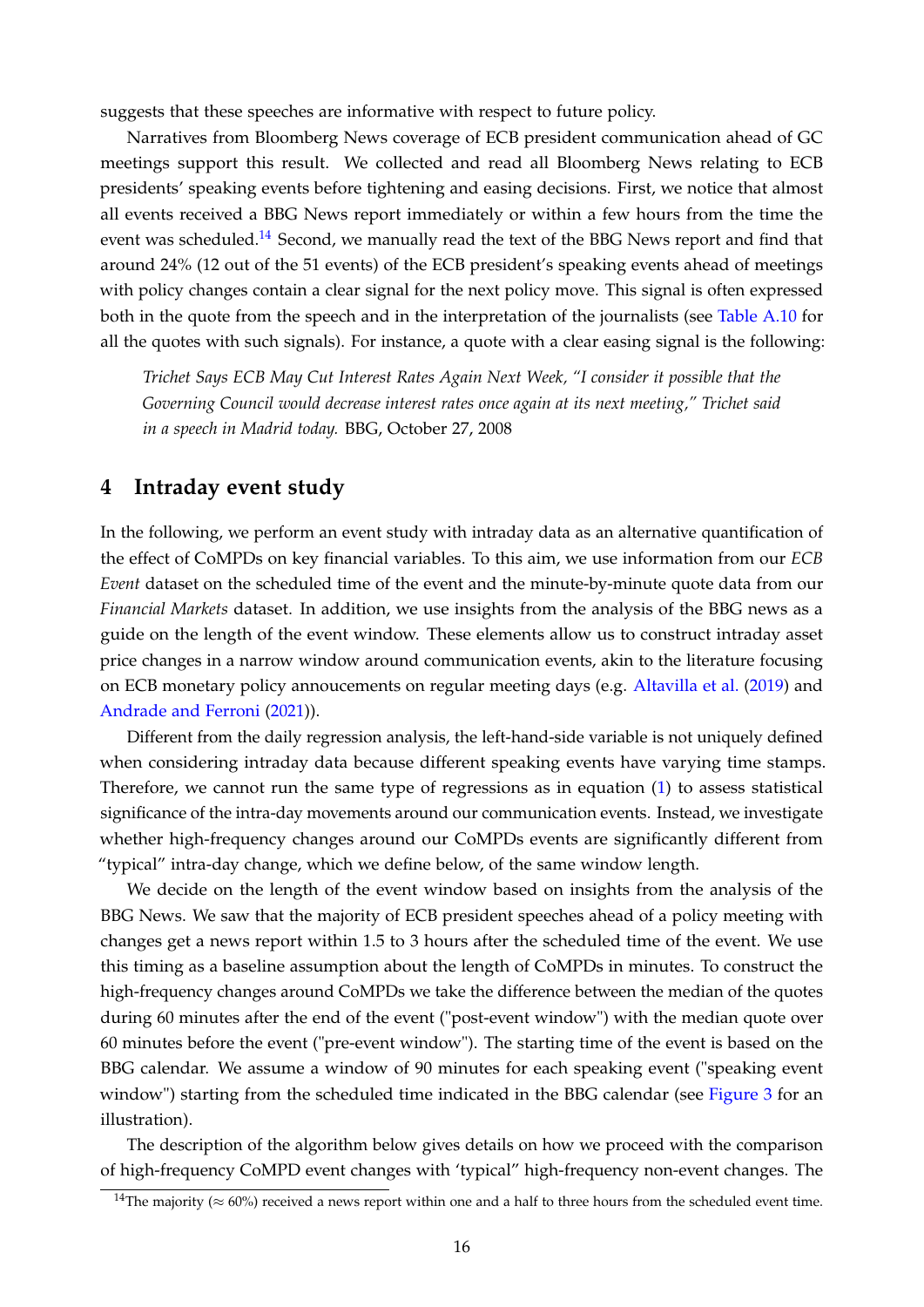suggests that these speeches are informative with respect to future policy.

Narratives from Bloomberg News coverage of ECB president communication ahead of GC meetings support this result. We collected and read all Bloomberg News relating to ECB presidents' speaking events before tightening and easing decisions. First, we notice that almost all events received a BBG News report immediately or within a few hours from the time the event was scheduled.<sup>[14](#page-17-1)</sup> Second, we manually read the text of the BBG News report and find that around 24% (12 out of the 51 events) of the ECB president's speaking events ahead of meetings with policy changes contain a clear signal for the next policy move. This signal is often expressed both in the quote from the speech and in the interpretation of the journalists (see [Table A.10](#page-31-0) for all the quotes with such signals). For instance, a quote with a clear easing signal is the following:

*Trichet Says ECB May Cut Interest Rates Again Next Week, "I consider it possible that the Governing Council would decrease interest rates once again at its next meeting," Trichet said in a speech in Madrid today.* BBG, October 27, 2008

## <span id="page-17-0"></span>**4 Intraday event study**

In the following, we perform an event study with intraday data as an alternative quantification of the effect of CoMPDs on key financial variables. To this aim, we use information from our *ECB Event* dataset on the scheduled time of the event and the minute-by-minute quote data from our *Financial Markets* dataset. In addition, we use insights from the analysis of the BBG news as a guide on the length of the event window. These elements allow us to construct intraday asset price changes in a narrow window around communication events, akin to the literature focusing on ECB monetary policy annoucements on regular meeting days (e.g. [Altavilla et al.](#page-21-2) [\(2019\)](#page-21-2) and [Andrade and Ferroni](#page-21-3) [\(2021\)](#page-21-3)).

Different from the daily regression analysis, the left-hand-side variable is not uniquely defined when considering intraday data because different speaking events have varying time stamps. Therefore, we cannot run the same type of regressions as in equation [\(1\)](#page-8-3) to assess statistical significance of the intra-day movements around our communication events. Instead, we investigate whether high-frequency changes around our CoMPDs events are significantly different from "typical" intra-day change, which we define below, of the same window length.

We decide on the length of the event window based on insights from the analysis of the BBG News. We saw that the majority of ECB president speeches ahead of a policy meeting with changes get a news report within 1.5 to 3 hours after the scheduled time of the event. We use this timing as a baseline assumption about the length of CoMPDs in minutes. To construct the high-frequency changes around CoMPDs we take the difference between the median of the quotes during 60 minutes after the end of the event ("post-event window") with the median quote over 60 minutes before the event ("pre-event window"). The starting time of the event is based on the BBG calendar. We assume a window of 90 minutes for each speaking event ("speaking event window") starting from the scheduled time indicated in the BBG calendar (see [Figure 3](#page-18-0) for an illustration).

The description of the algorithm below gives details on how we proceed with the comparison of high-frequency CoMPD event changes with 'typical" high-frequency non-event changes. The

<span id="page-17-1"></span><sup>&</sup>lt;sup>14</sup>The majority ( $\approx 60\%$ ) received a news report within one and a half to three hours from the scheduled event time.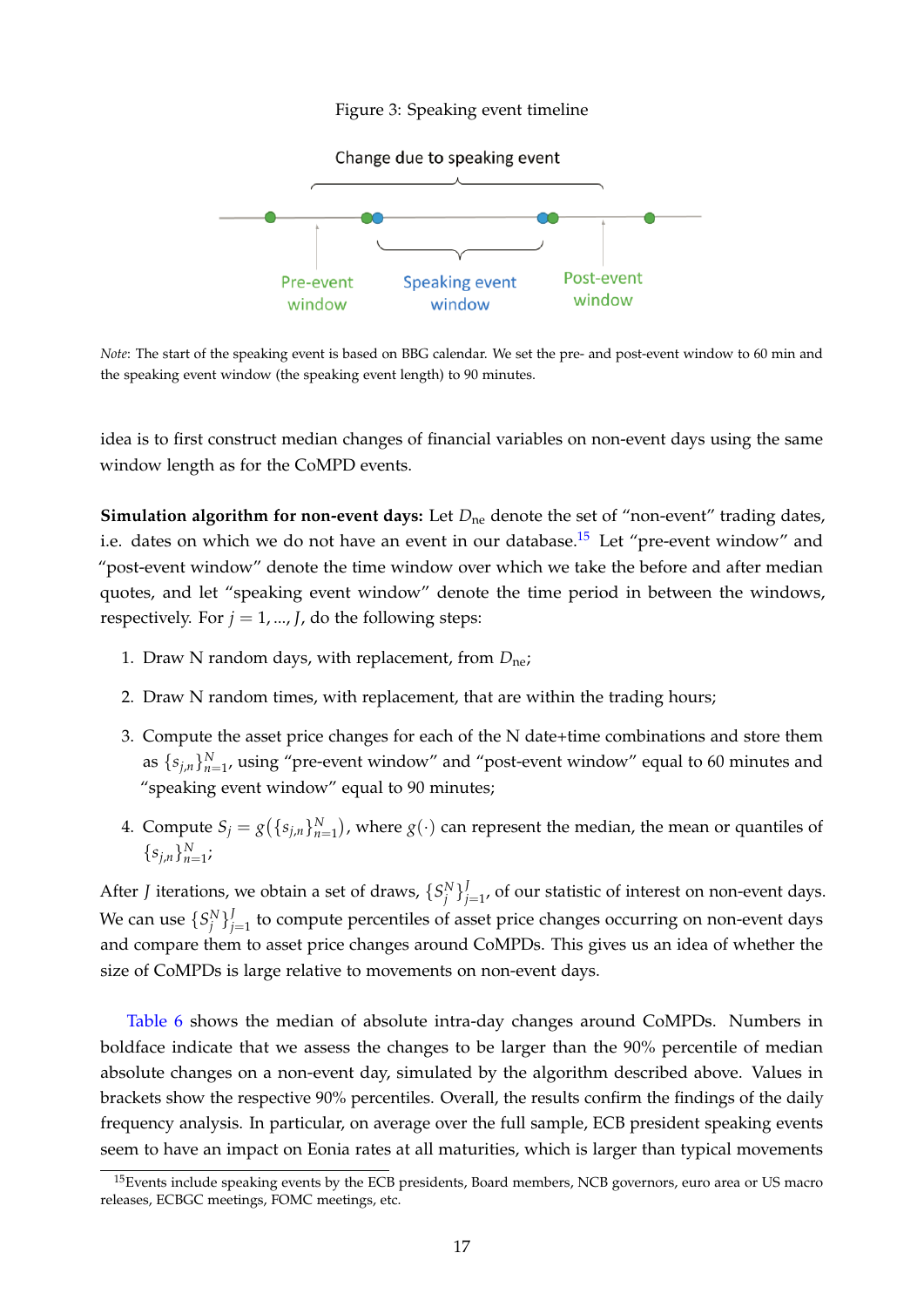Figure 3: Speaking event timeline

<span id="page-18-0"></span>

*Note*: The start of the speaking event is based on BBG calendar. We set the pre- and post-event window to 60 min and the speaking event window (the speaking event length) to 90 minutes.

idea is to first construct median changes of financial variables on non-event days using the same window length as for the CoMPD events.

**Simulation algorithm for non-event days:** Let  $D_{\text{ne}}$  denote the set of "non-event" trading dates, i.e. dates on which we do not have an event in our database.<sup>[15](#page-18-1)</sup> Let "pre-event window" and "post-event window" denote the time window over which we take the before and after median quotes, and let "speaking event window" denote the time period in between the windows, respectively. For  $j = 1, ..., J$ , do the following steps:

- 1. Draw N random days, with replacement, from *D*ne;
- 2. Draw N random times, with replacement, that are within the trading hours;
- 3. Compute the asset price changes for each of the N date+time combinations and store them as  $\{s_{j,n}\}_{n=1}^N$ , using "pre-event window" and "post-event window" equal to 60 minutes and "speaking event window" equal to 90 minutes;
- 4. Compute  $S_j = g({s_{j,n}}_{n=1}^N)$ , where  $g(\cdot)$  can represent the median, the mean or quantiles of  ${s_{j,n}}_{n=1}^N;$

After *J* iterations, we obtain a set of draws,  $\{S_j^N\}$  $j_{j=1}^{\prime}$ , of our statistic of interest on non-event days. We can use  $\{S_j^N\}_{j=1}^J$  $j_{j=1}^{\prime}$  to compute percentiles of asset price changes occurring on non-event days and compare them to asset price changes around CoMPDs. This gives us an idea of whether the size of CoMPDs is large relative to movements on non-event days.

[Table 6](#page-19-1) shows the median of absolute intra-day changes around CoMPDs. Numbers in boldface indicate that we assess the changes to be larger than the 90% percentile of median absolute changes on a non-event day, simulated by the algorithm described above. Values in brackets show the respective 90% percentiles. Overall, the results confirm the findings of the daily frequency analysis. In particular, on average over the full sample, ECB president speaking events seem to have an impact on Eonia rates at all maturities, which is larger than typical movements

<span id="page-18-1"></span><sup>&</sup>lt;sup>15</sup>Events include speaking events by the ECB presidents, Board members, NCB governors, euro area or US macro releases, ECBGC meetings, FOMC meetings, etc.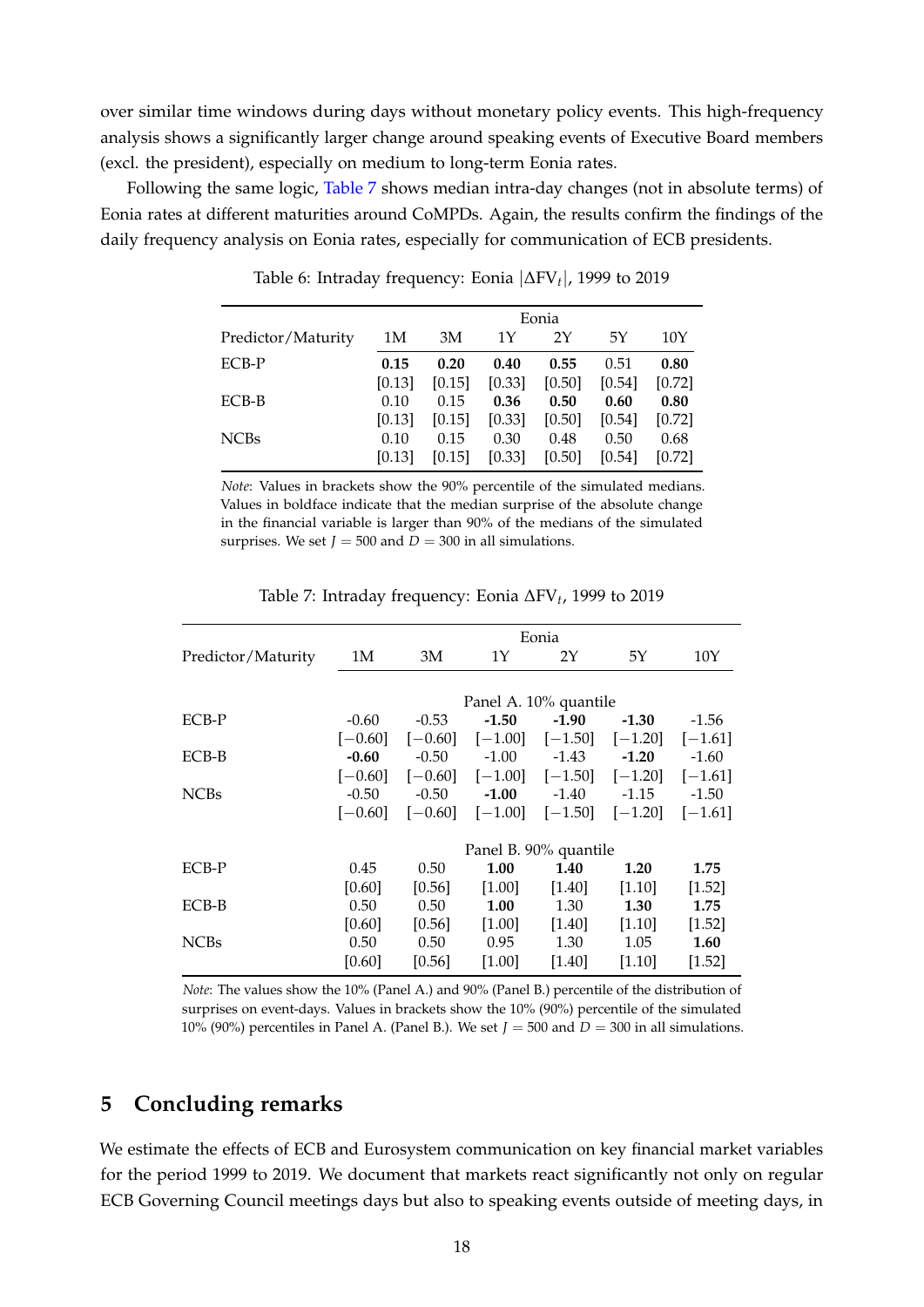over similar time windows during days without monetary policy events. This high-frequency analysis shows a significantly larger change around speaking events of Executive Board members (excl. the president), especially on medium to long-term Eonia rates.

<span id="page-19-1"></span>Following the same logic, [Table 7](#page-19-2) shows median intra-day changes (not in absolute terms) of Eonia rates at different maturities around CoMPDs. Again, the results confirm the findings of the daily frequency analysis on Eonia rates, especially for communication of ECB presidents.

|                    | Eonia  |        |        |        |        |        |  |  |
|--------------------|--------|--------|--------|--------|--------|--------|--|--|
| Predictor/Maturity | 1M     | 3M     | 1Y     | 2Y     | 5Υ     | 10Y    |  |  |
| ECB-P              | 0.15   | 0.20   | 0.40   | 0.55   | 0.51   | 0.80   |  |  |
|                    | [0.13] | [0.15] | [0.33] | [0.50] | [0.54] | [0.72] |  |  |
| ECB-B              | 0.10   | 0.15   | 0.36   | 0.50   | 0.60   | 0.80   |  |  |
|                    | [0.13] | [0.15] | [0.33] | [0.50] | [0.54] | [0.72] |  |  |
| <b>NCBs</b>        | 0.10   | 0.15   | 0.30   | 0.48   | 0.50   | 0.68   |  |  |
|                    | [0.13] | [0.15] | [0.33] | [0.50] | [0.54] | [0.72] |  |  |

Table 6: Intraday frequency: Eonia |∆FV*<sup>t</sup>* |, 1999 to 2019

*Note*: Values in brackets show the 90% percentile of the simulated medians. Values in boldface indicate that the median surprise of the absolute change in the financial variable is larger than 90% of the medians of the simulated surprises. We set  $J = 500$  and  $D = 300$  in all simulations.

<span id="page-19-2"></span>

|                    | Eonia     |                       |                       |                     |           |           |  |  |  |
|--------------------|-----------|-----------------------|-----------------------|---------------------|-----------|-----------|--|--|--|
| Predictor/Maturity | 1M        | 3М                    | 1Y                    | 2Y                  | 5Y        | 10Y       |  |  |  |
|                    |           |                       |                       |                     |           |           |  |  |  |
|                    |           | Panel A. 10% quantile |                       |                     |           |           |  |  |  |
| ECB-P              | $-0.60$   | $-0.53$               | $-1.50$               | $-1.90$             | $-1.30$   | $-1.56$   |  |  |  |
|                    | $[-0.60]$ | $[-0.60]$             |                       | $[-1.00]$ $[-1.50]$ | $[-1.20]$ | $[-1.61]$ |  |  |  |
| ECB-B              | $-0.60$   | $-0.50$               | $-1.00$               | $-1.43$             | $-1.20$   | $-1.60$   |  |  |  |
|                    | $[-0.60]$ | $[-0.60]$             |                       | $[-1.00]$ $[-1.50]$ | $[-1.20]$ | $[-1.61]$ |  |  |  |
| <b>NCBs</b>        | $-0.50$   | $-0.50$               | $-1.00$               | $-1.40$             | $-1.15$   | $-1.50$   |  |  |  |
|                    | $[-0.60]$ | $[-0.60]$             | $[-1.00]$             | $[-1.50]$           | $[-1.20]$ | $[-1.61]$ |  |  |  |
|                    |           |                       | Panel B. 90% quantile |                     |           |           |  |  |  |
| ECB-P              | 0.45      | 0.50                  | 1.00                  | 1.40                | 1.20      | 1.75      |  |  |  |
|                    | [0.60]    | [0.56]                | [1.00]                | $[1.40]$            | [1.10]    | [1.52]    |  |  |  |
| ECB-B              | 0.50      | 0.50                  | 1.00                  | 1.30                | 1.30      | 1.75      |  |  |  |
|                    | [0.60]    | [0.56]                | [1.00]                | $[1.40]$            | [1.10]    | [1.52]    |  |  |  |
| <b>NCBs</b>        | 0.50      | 0.50                  | 0.95                  | 1.30                | 1.05      | 1.60      |  |  |  |
|                    | [0.60]    | [0.56]                | [1.00]                | [1.40]              | [1.10]    | [1.52]    |  |  |  |

Table 7: Intraday frequency: Eonia ∆FV*<sup>t</sup>* , 1999 to 2019

*Note*: The values show the 10% (Panel A.) and 90% (Panel B.) percentile of the distribution of surprises on event-days. Values in brackets show the 10% (90%) percentile of the simulated 10% (90%) percentiles in Panel A. (Panel B.). We set  $J = 500$  and  $D = 300$  in all simulations.

# <span id="page-19-0"></span>**5 Concluding remarks**

We estimate the effects of ECB and Eurosystem communication on key financial market variables for the period 1999 to 2019. We document that markets react significantly not only on regular ECB Governing Council meetings days but also to speaking events outside of meeting days, in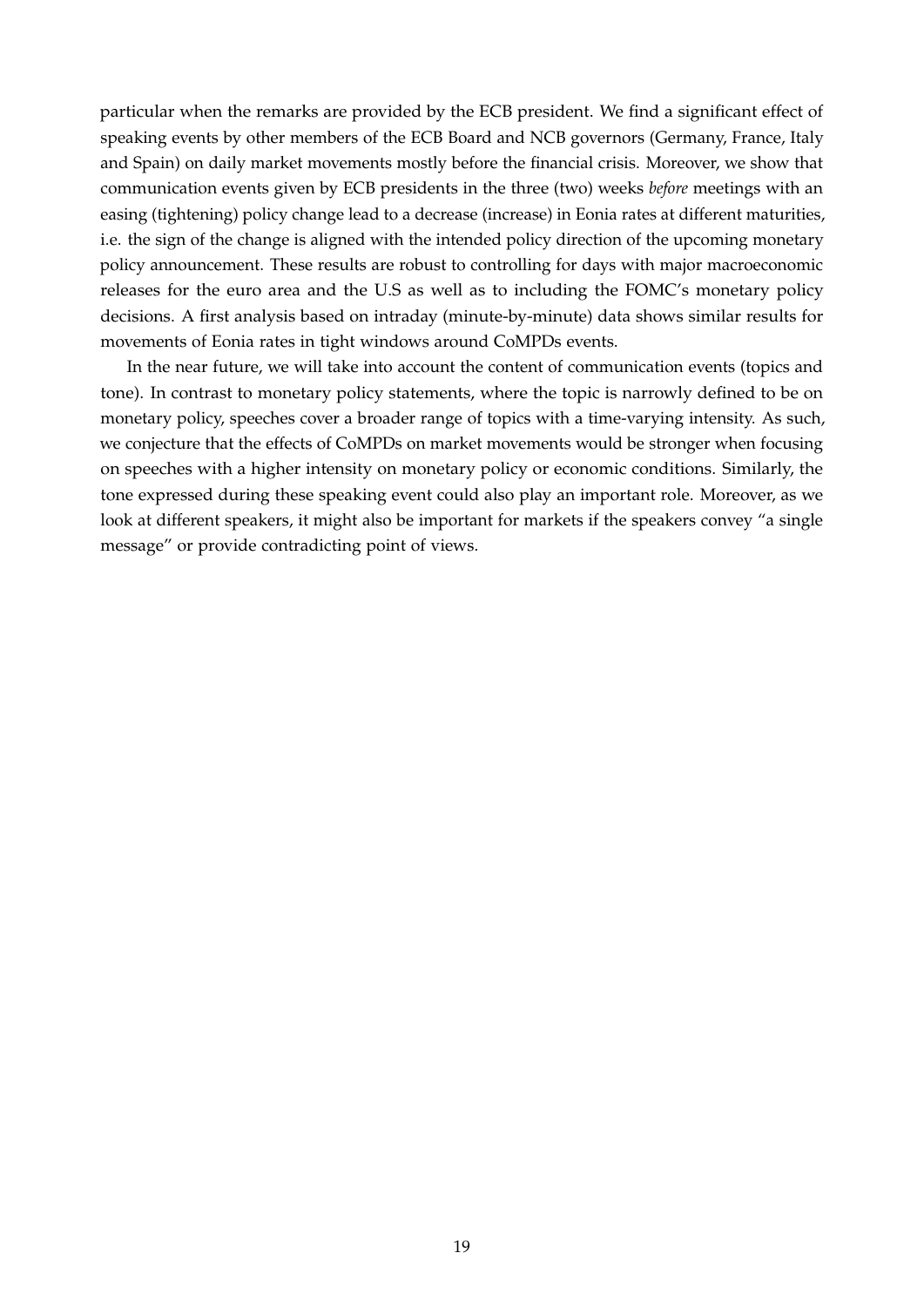particular when the remarks are provided by the ECB president. We find a significant effect of speaking events by other members of the ECB Board and NCB governors (Germany, France, Italy and Spain) on daily market movements mostly before the financial crisis. Moreover, we show that communication events given by ECB presidents in the three (two) weeks *before* meetings with an easing (tightening) policy change lead to a decrease (increase) in Eonia rates at different maturities, i.e. the sign of the change is aligned with the intended policy direction of the upcoming monetary policy announcement. These results are robust to controlling for days with major macroeconomic releases for the euro area and the U.S as well as to including the FOMC's monetary policy decisions. A first analysis based on intraday (minute-by-minute) data shows similar results for movements of Eonia rates in tight windows around CoMPDs events.

In the near future, we will take into account the content of communication events (topics and tone). In contrast to monetary policy statements, where the topic is narrowly defined to be on monetary policy, speeches cover a broader range of topics with a time-varying intensity. As such, we conjecture that the effects of CoMPDs on market movements would be stronger when focusing on speeches with a higher intensity on monetary policy or economic conditions. Similarly, the tone expressed during these speaking event could also play an important role. Moreover, as we look at different speakers, it might also be important for markets if the speakers convey "a single message" or provide contradicting point of views.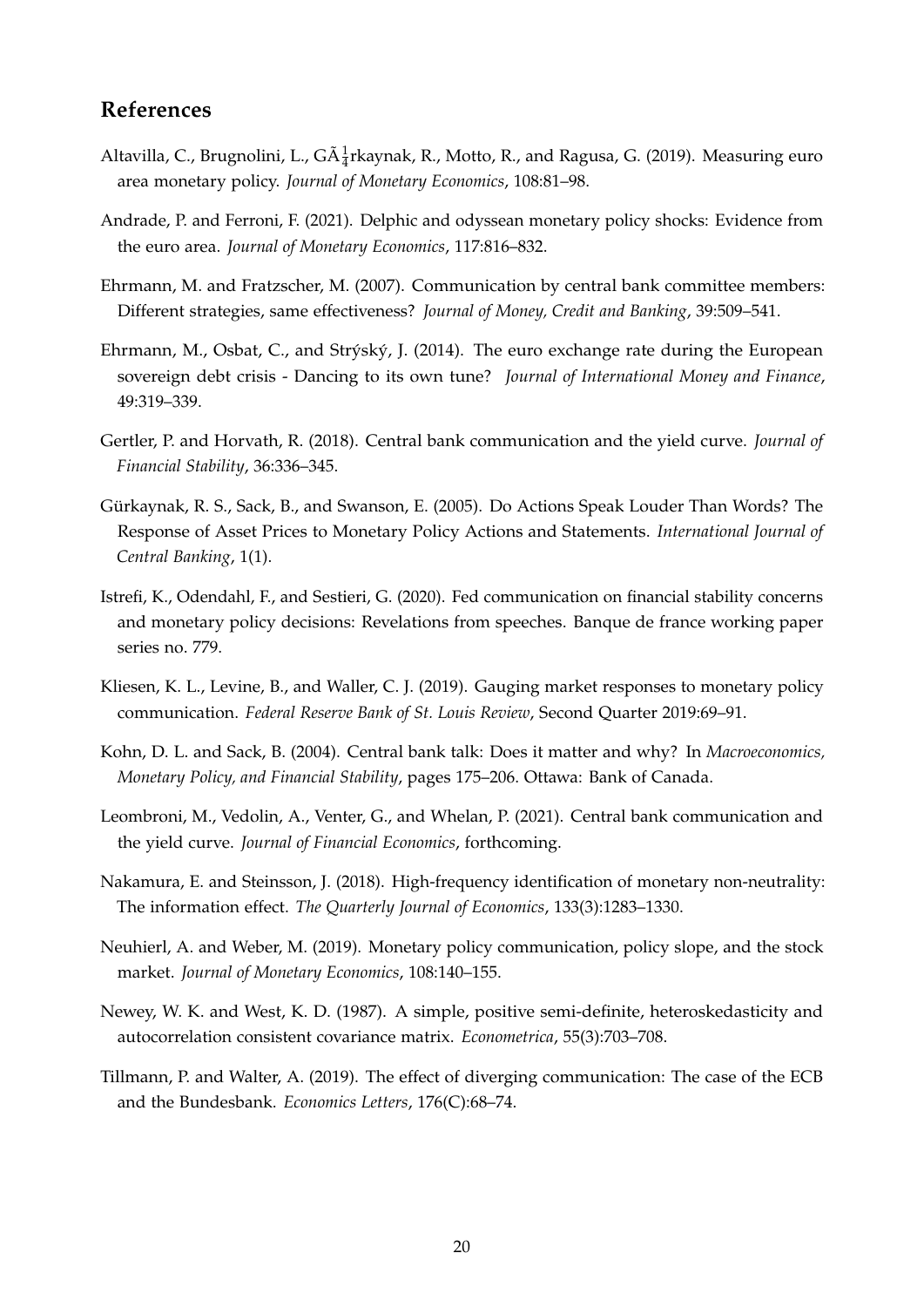# **References**

- <span id="page-21-2"></span>Altavilla, C., Brugnolini, L., G $\tilde{A}^1_{\tilde{4}}$ rkaynak, R., Motto, R., and Ragusa, G. (2019). Measuring euro area monetary policy. *Journal of Monetary Economics*, 108:81–98.
- <span id="page-21-3"></span>Andrade, P. and Ferroni, F. (2021). Delphic and odyssean monetary policy shocks: Evidence from the euro area. *Journal of Monetary Economics*, 117:816–832.
- <span id="page-21-8"></span>Ehrmann, M. and Fratzscher, M. (2007). Communication by central bank committee members: Different strategies, same effectiveness? *Journal of Money, Credit and Banking*, 39:509–541.
- <span id="page-21-9"></span>Ehrmann, M., Osbat, C., and Strýský, J. (2014). The euro exchange rate during the European sovereign debt crisis - Dancing to its own tune? *Journal of International Money and Finance*, 49:319–339.
- <span id="page-21-10"></span>Gertler, P. and Horvath, R. (2018). Central bank communication and the yield curve. *Journal of Financial Stability*, 36:336–345.
- <span id="page-21-0"></span>Gürkaynak, R. S., Sack, B., and Swanson, E. (2005). Do Actions Speak Louder Than Words? The Response of Asset Prices to Monetary Policy Actions and Statements. *International Journal of Central Banking*, 1(1).
- <span id="page-21-7"></span>Istrefi, K., Odendahl, F., and Sestieri, G. (2020). Fed communication on financial stability concerns and monetary policy decisions: Revelations from speeches. Banque de france working paper series no. 779.
- <span id="page-21-5"></span>Kliesen, K. L., Levine, B., and Waller, C. J. (2019). Gauging market responses to monetary policy communication. *Federal Reserve Bank of St. Louis Review*, Second Quarter 2019:69–91.
- <span id="page-21-4"></span>Kohn, D. L. and Sack, B. (2004). Central bank talk: Does it matter and why? In *Macroeconomics, Monetary Policy, and Financial Stability*, pages 175–206. Ottawa: Bank of Canada.
- <span id="page-21-12"></span>Leombroni, M., Vedolin, A., Venter, G., and Whelan, P. (2021). Central bank communication and the yield curve. *Journal of Financial Economics*, forthcoming.
- <span id="page-21-1"></span>Nakamura, E. and Steinsson, J. (2018). High-frequency identification of monetary non-neutrality: The information effect. *The Quarterly Journal of Economics*, 133(3):1283–1330.
- <span id="page-21-6"></span>Neuhierl, A. and Weber, M. (2019). Monetary policy communication, policy slope, and the stock market. *Journal of Monetary Economics*, 108:140–155.
- <span id="page-21-13"></span>Newey, W. K. and West, K. D. (1987). A simple, positive semi-definite, heteroskedasticity and autocorrelation consistent covariance matrix. *Econometrica*, 55(3):703–708.
- <span id="page-21-11"></span>Tillmann, P. and Walter, A. (2019). The effect of diverging communication: The case of the ECB and the Bundesbank. *Economics Letters*, 176(C):68–74.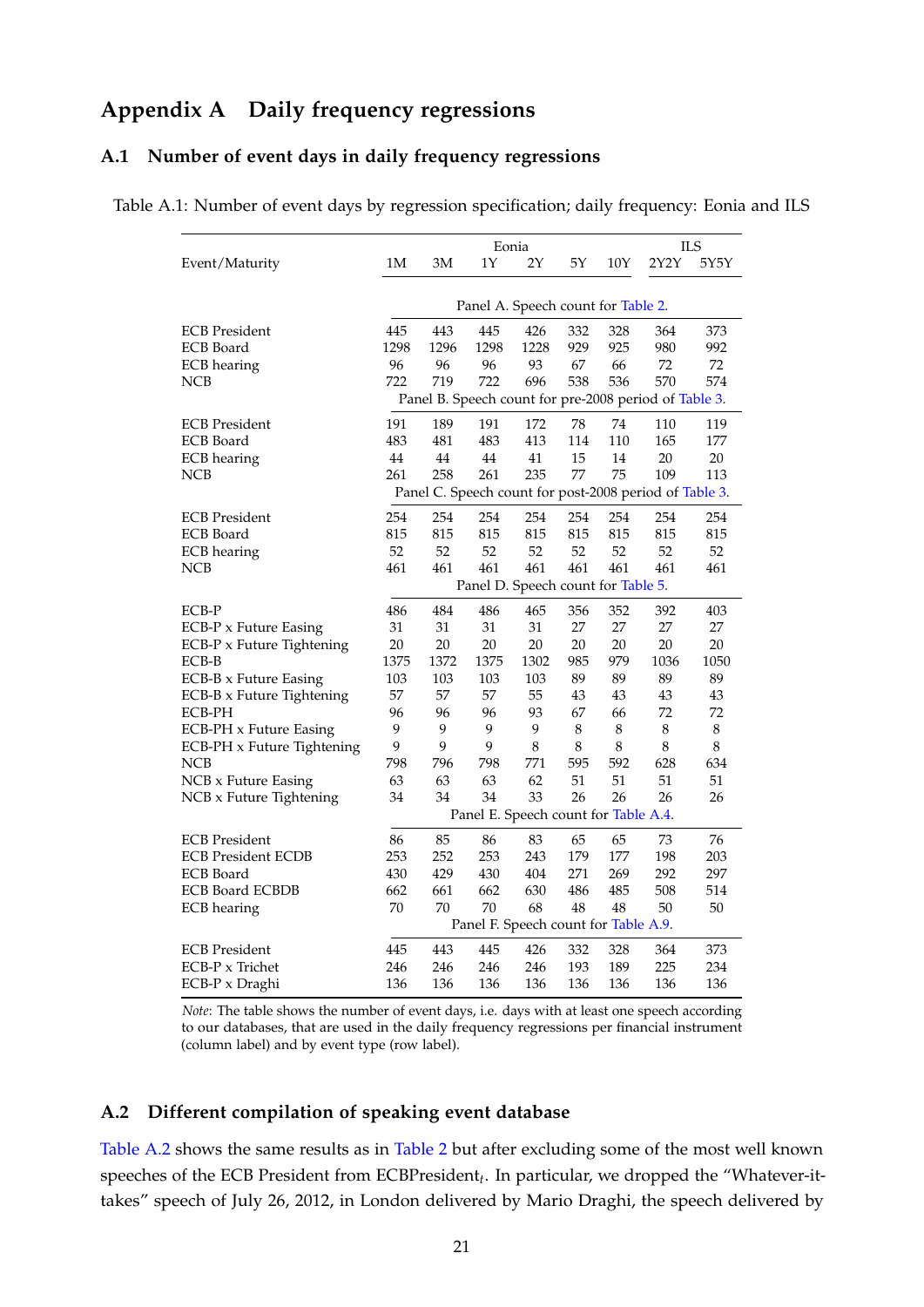# **Appendix A Daily frequency regressions**

#### **A.1 Number of event days in daily frequency regressions**

<span id="page-22-0"></span>Table A.1: Number of event days by regression specification; daily frequency: Eonia and ILS

|                            |      |               | Eonia                                |         |             |          |                                                        | ILS     |
|----------------------------|------|---------------|--------------------------------------|---------|-------------|----------|--------------------------------------------------------|---------|
| Event/Maturity             | 1M   | $3\mathrm{M}$ | 1Y                                   | 2Y      | 5Υ          | 10Y      | 2Y2Y                                                   | 5Y5Y    |
|                            |      |               |                                      |         |             |          |                                                        |         |
|                            |      |               | Panel A. Speech count for Table 2.   |         |             |          |                                                        |         |
| <b>ECB</b> President       | 445  | 443           | 445                                  | 426     | 332         | 328      | 364                                                    | 373     |
| ECB Board                  | 1298 | 1296          | 1298                                 | 1228    | 929         | 925      | 980                                                    | 992     |
| <b>ECB</b> hearing         | 96   | 96            | 96                                   | 93      | 67          | 66       | 72                                                     | 72      |
| NCB                        | 722  | 719           | 722                                  | 696     | 538         | 536      | 570                                                    | 574     |
|                            |      |               |                                      |         |             |          | Panel B. Speech count for pre-2008 period of Table 3.  |         |
| <b>ECB</b> President       | 191  | 189           | 191                                  | 172     | 78          | 74       | 110                                                    | 119     |
| <b>ECB</b> Board           | 483  | 481           | 483                                  | 413     | 114         | 110      | 165                                                    | 177     |
| <b>ECB</b> hearing         | 44   | 44            | 44                                   | 41      | 15          | 14       | 20                                                     | 20      |
| <b>NCB</b>                 | 261  | 258           | 261                                  | 235     | 77          | 75       | 109                                                    | 113     |
|                            |      |               |                                      |         |             |          | Panel C. Speech count for post-2008 period of Table 3. |         |
| <b>ECB</b> President       | 254  | 254           | 254                                  | 254     | 254         | 254      | 254                                                    | 254     |
| ECB Board                  | 815  | 815           | 815                                  | 815     | 815         | 815      | 815                                                    | 815     |
| <b>ECB</b> hearing         | 52   | 52            | 52                                   | 52      | 52          | 52       | 52                                                     | 52      |
| NCB                        | 461  | 461           | 461                                  | 461     | 461         | 461      | 461                                                    | 461     |
|                            |      |               | Panel D. Speech count for Table 5.   |         |             |          |                                                        |         |
| ECB-P                      | 486  | 484           | 486                                  | 465     | 356         | 352      | 392                                                    | 403     |
| ECB-P x Future Easing      | 31   | 31            | 31                                   | 31      | 27          | 27       | 27                                                     | 27      |
| ECB-P x Future Tightening  | 20   | 20            | 20                                   | 20      | 20          | 20       | 20                                                     | 20      |
| ECB-B                      | 1375 | 1372          | 1375                                 | 1302    | 985         | 979      | 1036                                                   | 1050    |
| ECB-B x Future Easing      | 103  | 103           | 103                                  | 103     | 89          | 89       | 89                                                     | 89      |
| ECB-B x Future Tightening  | 57   | 57            | 57                                   | 55      | 43          | 43       | 43                                                     | 43      |
| ECB-PH                     | 96   | 96            | 96                                   | 93      | 67          | 66       | 72                                                     | 72      |
| ECB-PH x Future Easing     | 9    | 9             | 9                                    | 9       | 8           | 8        | 8                                                      | 8       |
| ECB-PH x Future Tightening | 9    | 9             | 9                                    | $\,8\,$ | $\,$ 8 $\,$ | $\,8\,$  | $\,8\,$                                                | $\,8\,$ |
| <b>NCB</b>                 | 798  | 796           | 798                                  | 771     | 595         | 592      | 628                                                    | 634     |
| NCB x Future Easing        | 63   | 63            | 63                                   | 62      | 51          | 51       | 51                                                     | 51      |
| NCB x Future Tightening    | 34   | 34            | 34                                   | 33      | 26          | 26       | 26                                                     | 26      |
|                            |      |               | Panel E. Speech count for Table A.4. |         |             |          |                                                        |         |
| <b>ECB</b> President       | 86   | 85            | 86                                   | 83      | 65          | 65       | 73                                                     | 76      |
| <b>ECB President ECDB</b>  | 253  | 252           | 253                                  | 243     | 179         | 177      | 198                                                    | 203     |
| <b>ECB</b> Board           | 430  | 429           | 430                                  | 404     | 271         | 269      | 292                                                    | 297     |
| <b>ECB Board ECBDB</b>     | 662  | 661           | 662                                  | 630     | 486         | 485      | 508                                                    | 514     |
| <b>ECB</b> hearing         | 70   | 70            | 70                                   | 68      | $\rm 48$    | $\rm 48$ | 50                                                     | 50      |
|                            |      |               | Panel F. Speech count for Table A.9. |         |             |          |                                                        |         |
| <b>ECB</b> President       | 445  | 443           | 445                                  | 426     | 332         | 328      | 364                                                    | 373     |
| ECB-P x Trichet            | 246  | 246           | 246                                  | 246     | 193         | 189      | 225                                                    | 234     |
| ECB-P x Draghi             | 136  | 136           | 136                                  | 136     | 136         | 136      | 136                                                    | 136     |

*Note*: The table shows the number of event days, i.e. days with at least one speech according to our databases, that are used in the daily frequency regressions per financial instrument (column label) and by event type (row label).

#### <span id="page-22-1"></span>**A.2 Different compilation of speaking event database**

[Table A.2](#page-23-0) shows the same results as in [Table 2](#page-10-0) but after excluding some of the most well known speeches of the ECB President from ECBPresident*<sup>t</sup>* . In particular, we dropped the "Whatever-ittakes" speech of July 26, 2012, in London delivered by Mario Draghi, the speech delivered by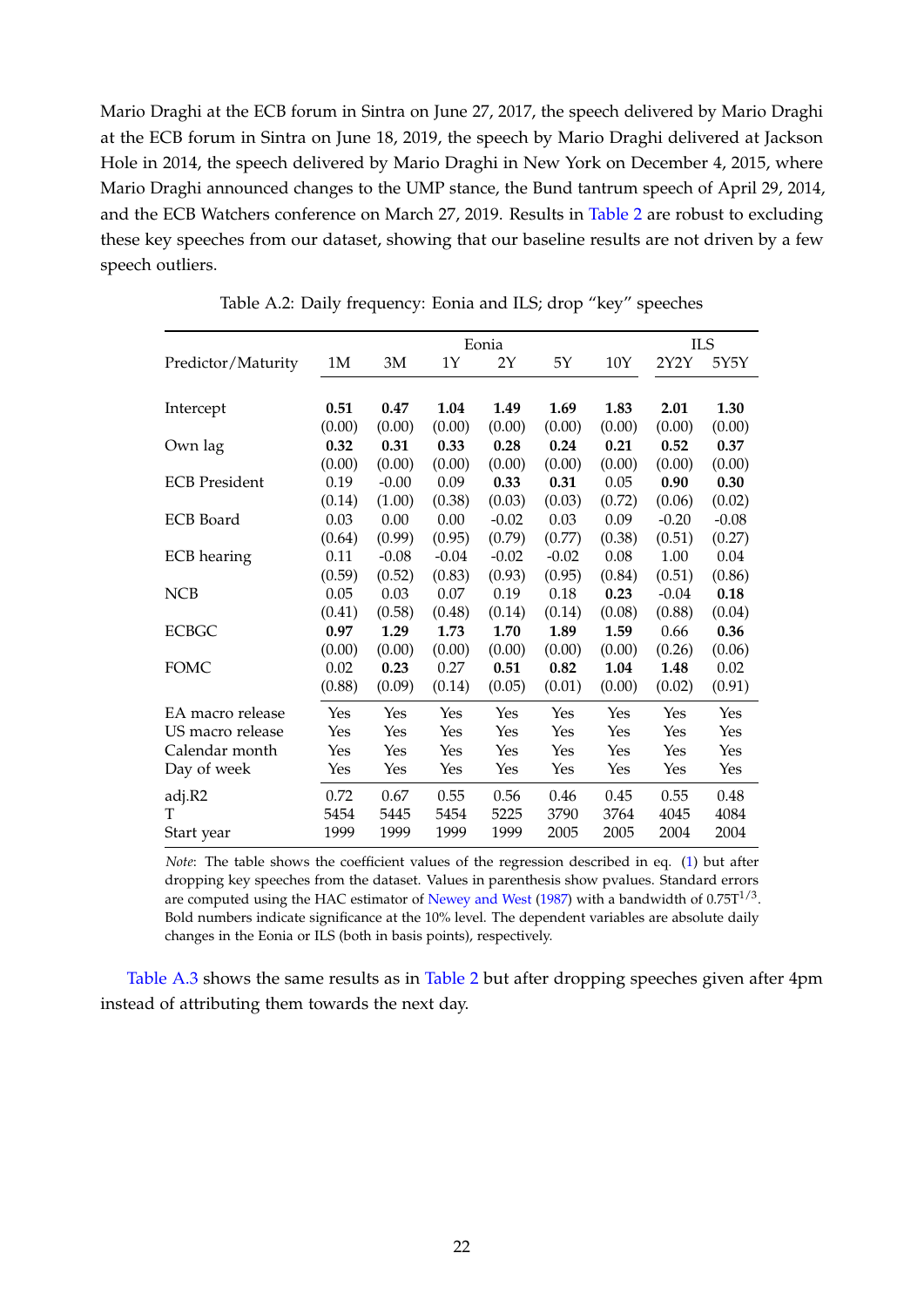Mario Draghi at the ECB forum in Sintra on June 27, 2017, the speech delivered by Mario Draghi at the ECB forum in Sintra on June 18, 2019, the speech by Mario Draghi delivered at Jackson Hole in 2014, the speech delivered by Mario Draghi in New York on December 4, 2015, where Mario Draghi announced changes to the UMP stance, the Bund tantrum speech of April 29, 2014, and the ECB Watchers conference on March 27, 2019. Results in [Table 2](#page-10-0) are robust to excluding these key speeches from our dataset, showing that our baseline results are not driven by a few speech outliers.

<span id="page-23-0"></span>

|                      |        |         |         | Eonia   |         |        |         | <b>ILS</b> |
|----------------------|--------|---------|---------|---------|---------|--------|---------|------------|
| Predictor/Maturity   | 1M     | 3M      | 1Y      | 2Y      | 5Υ      | 10Y    | 2Y2Y    | 5Y5Y       |
|                      |        |         |         |         |         |        |         |            |
| Intercept            | 0.51   | 0.47    | 1.04    | 1.49    | 1.69    | 1.83   | 2.01    | 1.30       |
|                      | (0.00) | (0.00)  | (0.00)  | (0.00)  | (0.00)  | (0.00) | (0.00)  | (0.00)     |
| Own lag              | 0.32   | 0.31    | 0.33    | 0.28    | 0.24    | 0.21   | 0.52    | 0.37       |
|                      | (0.00) | (0.00)  | (0.00)  | (0.00)  | (0.00)  | (0.00) | (0.00)  | (0.00)     |
| <b>ECB</b> President | 0.19   | $-0.00$ | 0.09    | 0.33    | 0.31    | 0.05   | 0.90    | 0.30       |
|                      | (0.14) | (1.00)  | (0.38)  | (0.03)  | (0.03)  | (0.72) | (0.06)  | (0.02)     |
| <b>ECB</b> Board     | 0.03   | 0.00    | 0.00    | $-0.02$ | 0.03    | 0.09   | $-0.20$ | $-0.08$    |
|                      | (0.64) | (0.99)  | (0.95)  | (0.79)  | (0.77)  | (0.38) | (0.51)  | (0.27)     |
| <b>ECB</b> hearing   | 0.11   | $-0.08$ | $-0.04$ | $-0.02$ | $-0.02$ | 0.08   | 1.00    | 0.04       |
|                      | (0.59) | (0.52)  | (0.83)  | (0.93)  | (0.95)  | (0.84) | (0.51)  | (0.86)     |
| <b>NCB</b>           | 0.05   | 0.03    | 0.07    | 0.19    | 0.18    | 0.23   | $-0.04$ | 0.18       |
|                      | (0.41) | (0.58)  | (0.48)  | (0.14)  | (0.14)  | (0.08) | (0.88)  | (0.04)     |
| <b>ECBGC</b>         | 0.97   | 1.29    | 1.73    | 1.70    | 1.89    | 1.59   | 0.66    | 0.36       |
|                      | (0.00) | (0.00)  | (0.00)  | (0.00)  | (0.00)  | (0.00) | (0.26)  | (0.06)     |
| <b>FOMC</b>          | 0.02   | 0.23    | 0.27    | 0.51    | 0.82    | 1.04   | 1.48    | 0.02       |
|                      | (0.88) | (0.09)  | (0.14)  | (0.05)  | (0.01)  | (0.00) | (0.02)  | (0.91)     |
| EA macro release     | Yes    | Yes     | Yes     | Yes     | Yes     | Yes    | Yes     | Yes        |
| US macro release     | Yes    | Yes     | Yes     | Yes     | Yes     | Yes    | Yes     | Yes        |
| Calendar month       | Yes    | Yes     | Yes     | Yes     | Yes     | Yes    | Yes     | Yes        |
| Day of week          | Yes    | Yes     | Yes     | Yes     | Yes     | Yes    | Yes     | Yes        |
| adj.R2               | 0.72   | 0.67    | 0.55    | 0.56    | 0.46    | 0.45   | 0.55    | 0.48       |
| т                    | 5454   | 5445    | 5454    | 5225    | 3790    | 3764   | 4045    | 4084       |
| Start year           | 1999   | 1999    | 1999    | 1999    | 2005    | 2005   | 2004    | 2004       |

Table A.2: Daily frequency: Eonia and ILS; drop "key" speeches

*Note*: The table shows the coefficient values of the regression described in eq. [\(1\)](#page-8-3) but after dropping key speeches from the dataset. Values in parenthesis show pvalues. Standard errors are computed using the HAC estimator of [Newey and West](#page-21-13) [\(1987\)](#page-21-13) with a bandwidth of 0.75 $T^{1/3}$ . Bold numbers indicate significance at the 10% level. The dependent variables are absolute daily changes in the Eonia or ILS (both in basis points), respectively.

[Table A.3](#page-24-0) shows the same results as in [Table 2](#page-10-0) but after dropping speeches given after 4pm instead of attributing them towards the next day.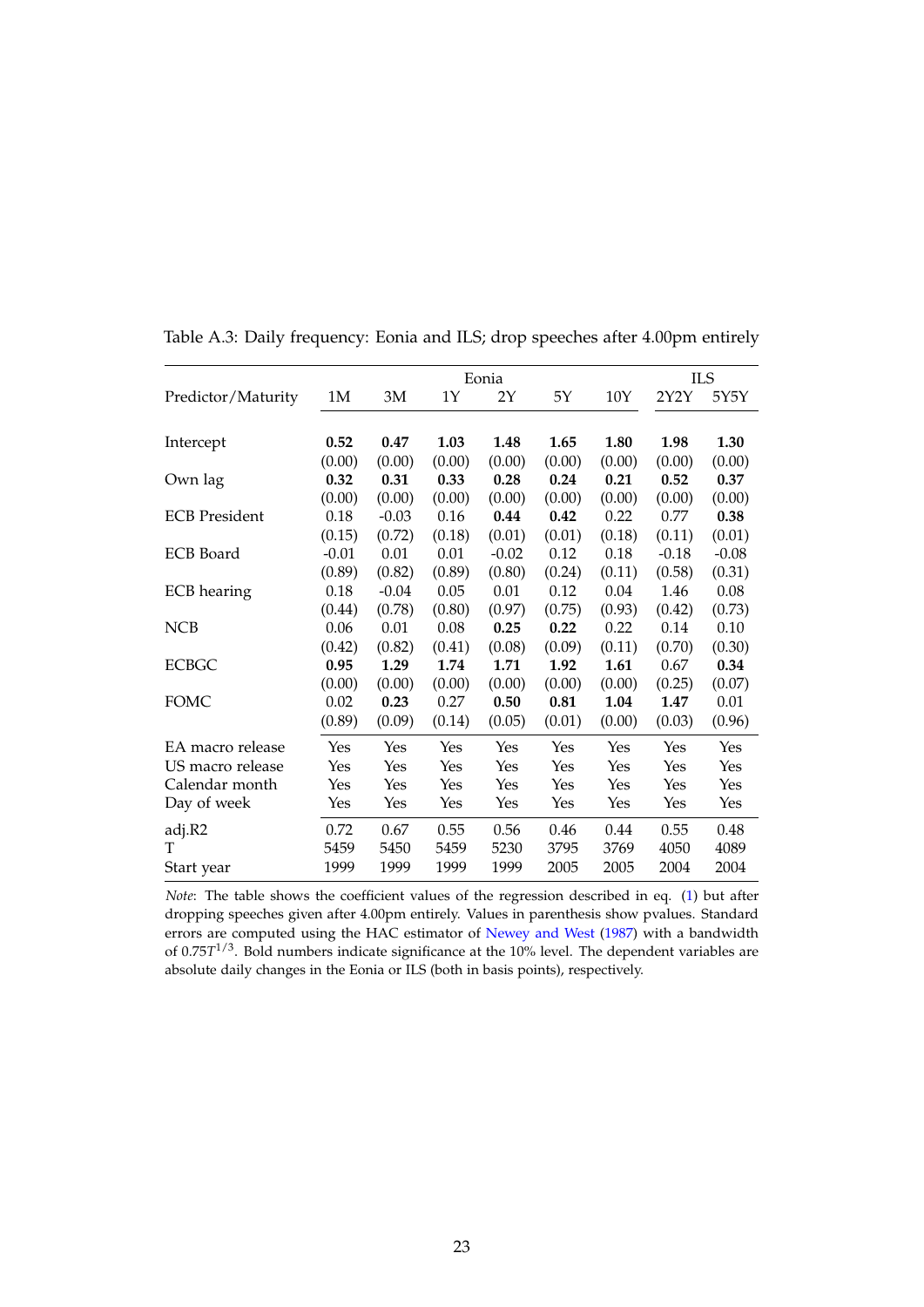|                      |         | <b>ILS</b> |        |         |        |        |         |         |
|----------------------|---------|------------|--------|---------|--------|--------|---------|---------|
| Predictor/Maturity   | 1M      | 3M         | 1Y     | 2Y      | 5Y     | 10Y    | 2Y2Y    | 5Y5Y    |
|                      |         |            |        |         |        |        |         |         |
| Intercept            | 0.52    | 0.47       | 1.03   | 1.48    | 1.65   | 1.80   | 1.98    | 1.30    |
|                      | (0.00)  | (0.00)     | (0.00) | (0.00)  | (0.00) | (0.00) | (0.00)  | (0.00)  |
| Own lag              | 0.32    | 0.31       | 0.33   | 0.28    | 0.24   | 0.21   | 0.52    | 0.37    |
|                      | (0.00)  | (0.00)     | (0.00) | (0.00)  | (0.00) | (0.00) | (0.00)  | (0.00)  |
| <b>ECB</b> President | 0.18    | $-0.03$    | 0.16   | 0.44    | 0.42   | 0.22   | 0.77    | 0.38    |
|                      | (0.15)  | (0.72)     | (0.18) | (0.01)  | (0.01) | (0.18) | (0.11)  | (0.01)  |
| <b>ECB</b> Board     | $-0.01$ | 0.01       | 0.01   | $-0.02$ | 0.12   | 0.18   | $-0.18$ | $-0.08$ |
|                      | (0.89)  | (0.82)     | (0.89) | (0.80)  | (0.24) | (0.11) | (0.58)  | (0.31)  |
| <b>ECB</b> hearing   | 0.18    | $-0.04$    | 0.05   | 0.01    | 0.12   | 0.04   | 1.46    | 0.08    |
|                      | (0.44)  | (0.78)     | (0.80) | (0.97)  | (0.75) | (0.93) | (0.42)  | (0.73)  |
| <b>NCB</b>           | 0.06    | 0.01       | 0.08   | 0.25    | 0.22   | 0.22   | 0.14    | 0.10    |
|                      | (0.42)  | (0.82)     | (0.41) | (0.08)  | (0.09) | (0.11) | (0.70)  | (0.30)  |
| <b>ECBGC</b>         | 0.95    | 1.29       | 1.74   | 1.71    | 1.92   | 1.61   | 0.67    | 0.34    |
|                      | (0.00)  | (0.00)     | (0.00) | (0.00)  | (0.00) | (0.00) | (0.25)  | (0.07)  |
| FOMC                 | 0.02    | 0.23       | 0.27   | 0.50    | 0.81   | 1.04   | 1.47    | 0.01    |
|                      | (0.89)  | (0.09)     | (0.14) | (0.05)  | (0.01) | (0.00) | (0.03)  | (0.96)  |
| EA macro release     | Yes     | Yes        | Yes    | Yes     | Yes    | Yes    | Yes     | Yes     |
| US macro release     | Yes     | Yes        | Yes    | Yes     | Yes    | Yes    | Yes     | Yes     |
| Calendar month       | Yes     | Yes        | Yes    | Yes     | Yes    | Yes    | Yes     | Yes     |
| Day of week          | Yes     | Yes        | Yes    | Yes     | Yes    | Yes    | Yes     | Yes     |
| adj.R2               | 0.72    | 0.67       | 0.55   | 0.56    | 0.46   | 0.44   | 0.55    | 0.48    |
| т                    | 5459    | 5450       | 5459   | 5230    | 3795   | 3769   | 4050    | 4089    |
| Start year           | 1999    | 1999       | 1999   | 1999    | 2005   | 2005   | 2004    | 2004    |

<span id="page-24-0"></span>Table A.3: Daily frequency: Eonia and ILS; drop speeches after 4.00pm entirely

*Note*: The table shows the coefficient values of the regression described in eq. [\(1\)](#page-8-3) but after dropping speeches given after 4.00pm entirely. Values in parenthesis show pvalues. Standard errors are computed using the HAC estimator of [Newey and West](#page-21-13) [\(1987\)](#page-21-13) with a bandwidth of 0.75*T* 1/3. Bold numbers indicate significance at the 10% level. The dependent variables are absolute daily changes in the Eonia or ILS (both in basis points), respectively.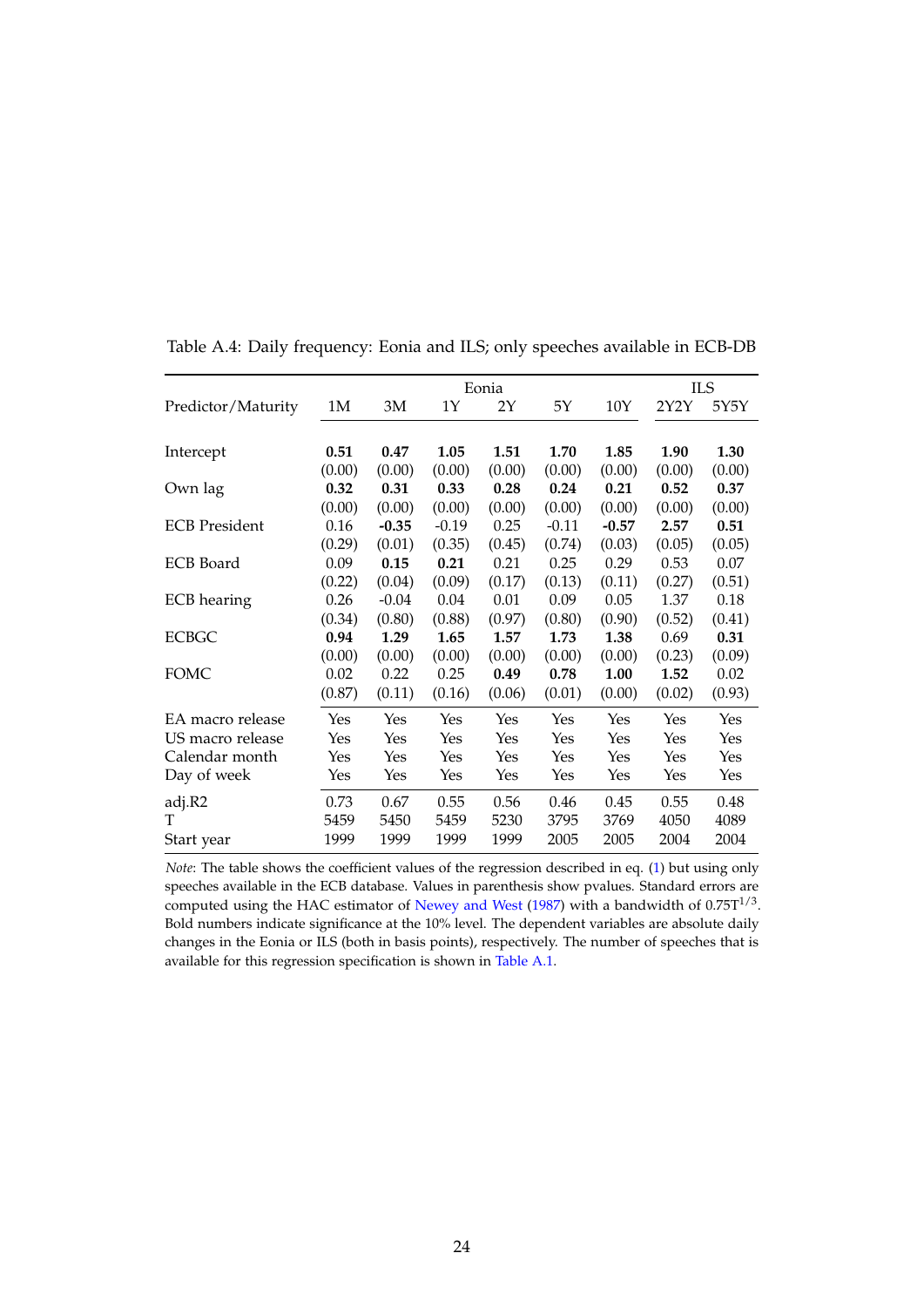|                      |        |         |         | Eonia  |         |         | ILS    |        |
|----------------------|--------|---------|---------|--------|---------|---------|--------|--------|
| Predictor/Maturity   | 1M     | 3M      | 1Υ      | 2Y     | 5Y      | 10Y     | 2Y2Y   | 5Y5Y   |
|                      |        |         |         |        |         |         |        |        |
| Intercept            | 0.51   | 0.47    | 1.05    | 1.51   | 1.70    | 1.85    | 1.90   | 1.30   |
|                      | (0.00) | (0.00)  | (0.00)  | (0.00) | (0.00)  | (0.00)  | (0.00) | (0.00) |
| Own lag              | 0.32   | 0.31    | 0.33    | 0.28   | 0.24    | 0.21    | 0.52   | 0.37   |
|                      | (0.00) | (0.00)  | (0.00)  | (0.00) | (0.00)  | (0.00)  | (0.00) | (0.00) |
| <b>ECB</b> President | 0.16   | $-0.35$ | $-0.19$ | 0.25   | $-0.11$ | $-0.57$ | 2.57   | 0.51   |
|                      | (0.29) | (0.01)  | (0.35)  | (0.45) | (0.74)  | (0.03)  | (0.05) | (0.05) |
| <b>ECB</b> Board     | 0.09   | 0.15    | 0.21    | 0.21   | 0.25    | 0.29    | 0.53   | 0.07   |
|                      | (0.22) | (0.04)  | (0.09)  | (0.17) | (0.13)  | (0.11)  | (0.27) | (0.51) |
| ECB hearing          | 0.26   | $-0.04$ | 0.04    | 0.01   | 0.09    | 0.05    | 1.37   | 0.18   |
|                      | (0.34) | (0.80)  | (0.88)  | (0.97) | (0.80)  | (0.90)  | (0.52) | (0.41) |
| <b>ECBGC</b>         | 0.94   | 1.29    | 1.65    | 1.57   | 1.73    | 1.38    | 0.69   | 0.31   |
|                      | (0.00) | (0.00)  | (0.00)  | (0.00) | (0.00)  | (0.00)  | (0.23) | (0.09) |
| FOMC                 | 0.02   | 0.22    | 0.25    | 0.49   | 0.78    | 1.00    | 1.52   | 0.02   |
|                      | (0.87) | (0.11)  | (0.16)  | (0.06) | (0.01)  | (0.00)  | (0.02) | (0.93) |
| EA macro release     | Yes    | Yes     | Yes     | Yes    | Yes     | Yes     | Yes    | Yes    |
| US macro release     | Yes    | Yes     | Yes     | Yes    | Yes     | Yes     | Yes    | Yes    |
| Calendar month       | Yes    | Yes     | Yes     | Yes    | Yes     | Yes     | Yes    | Yes    |
| Day of week          | Yes    | Yes     | Yes     | Yes    | Yes     | Yes     | Yes    | Yes    |
| adj.R2               | 0.73   | 0.67    | 0.55    | 0.56   | 0.46    | 0.45    | 0.55   | 0.48   |
| T                    | 5459   | 5450    | 5459    | 5230   | 3795    | 3769    | 4050   | 4089   |
| Start year           | 1999   | 1999    | 1999    | 1999   | 2005    | 2005    | 2004   | 2004   |

<span id="page-25-0"></span>Table A.4: Daily frequency: Eonia and ILS; only speeches available in ECB-DB

*Note*: The table shows the coefficient values of the regression described in eq. [\(1\)](#page-8-3) but using only speeches available in the ECB database. Values in parenthesis show pvalues. Standard errors are computed using the HAC estimator of [Newey and West](#page-21-13) [\(1987\)](#page-21-13) with a bandwidth of  $0.75T^{1/3}$ . Bold numbers indicate significance at the 10% level. The dependent variables are absolute daily changes in the Eonia or ILS (both in basis points), respectively. The number of speeches that is available for this regression specification is shown in [Table A.1.](#page-22-0)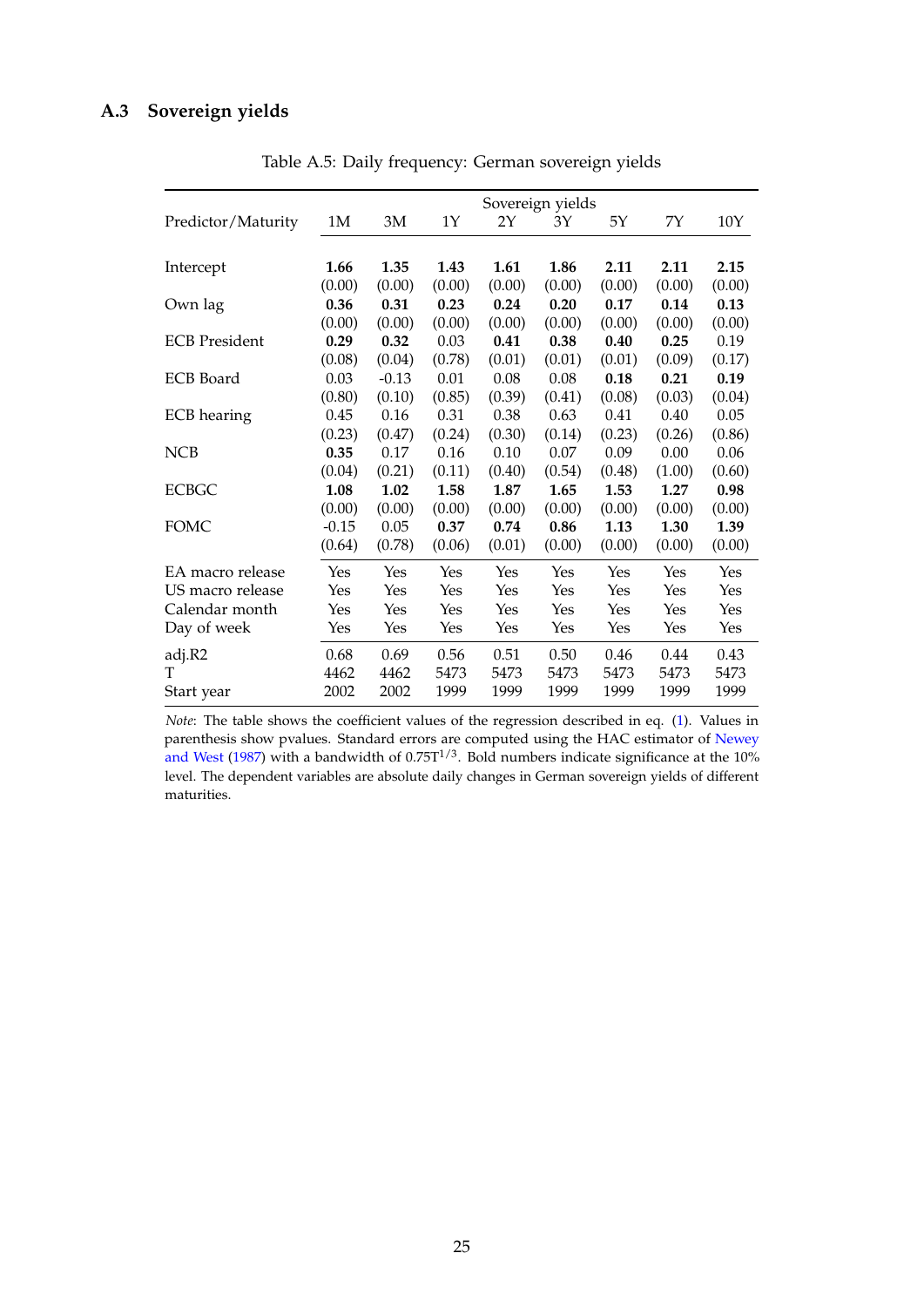# <span id="page-26-0"></span>**A.3 Sovereign yields**

|                      |         |         |        |        | Sovereign yields |        |        |        |
|----------------------|---------|---------|--------|--------|------------------|--------|--------|--------|
| Predictor/Maturity   | 1M      | 3M      | 1Υ     | 2Y     | 3Y               | 5Υ     | 7Υ     | 10Y    |
|                      |         |         |        |        |                  |        |        |        |
| Intercept            | 1.66    | 1.35    | 1.43   | 1.61   | 1.86             | 2.11   | 2.11   | 2.15   |
|                      | (0.00)  | (0.00)  | (0.00) | (0.00) | (0.00)           | (0.00) | (0.00) | (0.00) |
| Own lag              | 0.36    | 0.31    | 0.23   | 0.24   | 0.20             | 0.17   | 0.14   | 0.13   |
|                      | (0.00)  | (0.00)  | (0.00) | (0.00) | (0.00)           | (0.00) | (0.00) | (0.00) |
| <b>ECB</b> President | 0.29    | 0.32    | 0.03   | 0.41   | 0.38             | 0.40   | 0.25   | 0.19   |
|                      | (0.08)  | (0.04)  | (0.78) | (0.01) | (0.01)           | (0.01) | (0.09) | (0.17) |
| <b>ECB</b> Board     | 0.03    | $-0.13$ | 0.01   | 0.08   | 0.08             | 0.18   | 0.21   | 0.19   |
|                      | (0.80)  | (0.10)  | (0.85) | (0.39) | (0.41)           | (0.08) | (0.03) | (0.04) |
| <b>ECB</b> hearing   | 0.45    | 0.16    | 0.31   | 0.38   | 0.63             | 0.41   | 0.40   | 0.05   |
|                      | (0.23)  | (0.47)  | (0.24) | (0.30) | (0.14)           | (0.23) | (0.26) | (0.86) |
| <b>NCB</b>           | 0.35    | 0.17    | 0.16   | 0.10   | 0.07             | 0.09   | 0.00   | 0.06   |
|                      | (0.04)  | (0.21)  | (0.11) | (0.40) | (0.54)           | (0.48) | (1.00) | (0.60) |
| <b>ECBGC</b>         | 1.08    | 1.02    | 1.58   | 1.87   | 1.65             | 1.53   | 1.27   | 0.98   |
|                      | (0.00)  | (0.00)  | (0.00) | (0.00) | (0.00)           | (0.00) | (0.00) | (0.00) |
| <b>FOMC</b>          | $-0.15$ | 0.05    | 0.37   | 0.74   | 0.86             | 1.13   | 1.30   | 1.39   |
|                      | (0.64)  | (0.78)  | (0.06) | (0.01) | (0.00)           | (0.00) | (0.00) | (0.00) |
| EA macro release     | Yes     | Yes     | Yes    | Yes    | Yes              | Yes    | Yes    | Yes    |
| US macro release     | Yes     | Yes     | Yes    | Yes    | Yes              | Yes    | Yes    | Yes    |
| Calendar month       | Yes     | Yes     | Yes    | Yes    | Yes              | Yes    | Yes    | Yes    |
| Day of week          | Yes     | Yes     | Yes    | Yes    | Yes              | Yes    | Yes    | Yes    |
| adj.R2               | 0.68    | 0.69    | 0.56   | 0.51   | 0.50             | 0.46   | 0.44   | 0.43   |
| T                    | 4462    | 4462    | 5473   | 5473   | 5473             | 5473   | 5473   | 5473   |
| Start year           | 2002    | 2002    | 1999   | 1999   | 1999             | 1999   | 1999   | 1999   |

Table A.5: Daily frequency: German sovereign yields

*Note*: The table shows the coefficient values of the regression described in eq. [\(1\)](#page-8-3). Values in parenthesis show pvalues. Standard errors are computed using the HAC estimator of [Newey](#page-21-13) [and West](#page-21-13) [\(1987\)](#page-21-13) with a bandwidth of  $0.75T^{1/3}$ . Bold numbers indicate significance at the 10% level. The dependent variables are absolute daily changes in German sovereign yields of different maturities.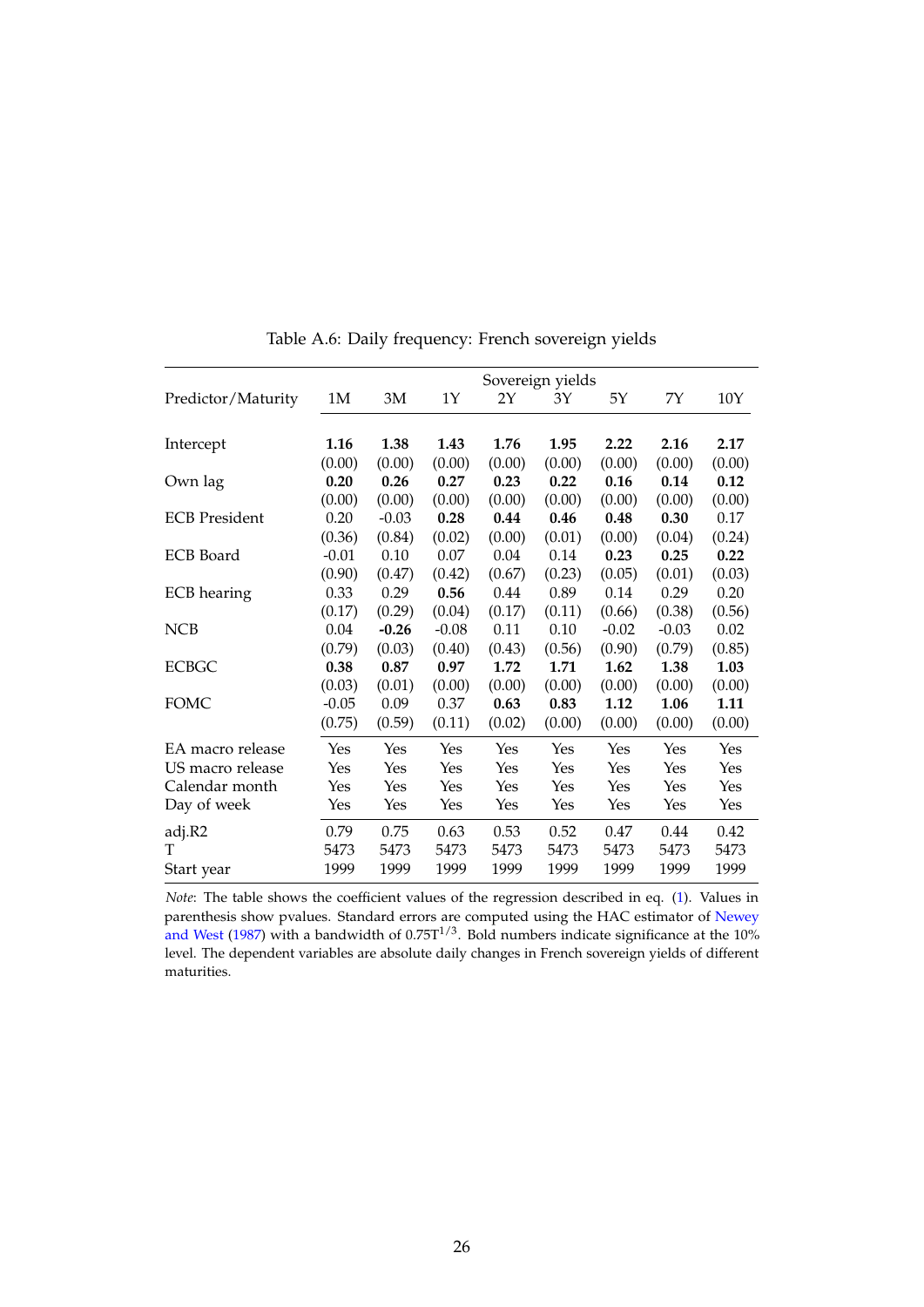|                      | Sovereign yields |         |         |        |        |         |         |        |
|----------------------|------------------|---------|---------|--------|--------|---------|---------|--------|
| Predictor/Maturity   | 1M               | 3M      | 1Y      | 2Y     | 3Y     | 5Y      | 7Y      | 10Y    |
|                      |                  |         |         |        |        |         |         |        |
| Intercept            | 1.16             | 1.38    | 1.43    | 1.76   | 1.95   | 2.22    | 2.16    | 2.17   |
|                      | (0.00)           | (0.00)  | (0.00)  | (0.00) | (0.00) | (0.00)  | (0.00)  | (0.00) |
| Own lag              | 0.20             | 0.26    | 0.27    | 0.23   | 0.22   | 0.16    | 0.14    | 0.12   |
|                      | (0.00)           | (0.00)  | (0.00)  | (0.00) | (0.00) | (0.00)  | (0.00)  | (0.00) |
| <b>ECB</b> President | 0.20             | $-0.03$ | 0.28    | 0.44   | 0.46   | 0.48    | 0.30    | 0.17   |
|                      | (0.36)           | (0.84)  | (0.02)  | (0.00) | (0.01) | (0.00)  | (0.04)  | (0.24) |
| <b>ECB</b> Board     | $-0.01$          | 0.10    | 0.07    | 0.04   | 0.14   | 0.23    | 0.25    | 0.22   |
|                      | (0.90)           | (0.47)  | (0.42)  | (0.67) | (0.23) | (0.05)  | (0.01)  | (0.03) |
| <b>ECB</b> hearing   | 0.33             | 0.29    | 0.56    | 0.44   | 0.89   | 0.14    | 0.29    | 0.20   |
|                      | (0.17)           | (0.29)  | (0.04)  | (0.17) | (0.11) | (0.66)  | (0.38)  | (0.56) |
| <b>NCB</b>           | 0.04             | $-0.26$ | $-0.08$ | 0.11   | 0.10   | $-0.02$ | $-0.03$ | 0.02   |
|                      | (0.79)           | (0.03)  | (0.40)  | (0.43) | (0.56) | (0.90)  | (0.79)  | (0.85) |
| <b>ECBGC</b>         | 0.38             | 0.87    | 0.97    | 1.72   | 1.71   | 1.62    | 1.38    | 1.03   |
|                      | (0.03)           | (0.01)  | (0.00)  | (0.00) | (0.00) | (0.00)  | (0.00)  | (0.00) |
| <b>FOMC</b>          | $-0.05$          | 0.09    | 0.37    | 0.63   | 0.83   | 1.12    | 1.06    | 1.11   |
|                      | (0.75)           | (0.59)  | (0.11)  | (0.02) | (0.00) | (0.00)  | (0.00)  | (0.00) |
| EA macro release     | Yes              | Yes     | Yes     | Yes    | Yes    | Yes     | Yes     | Yes    |
| US macro release     | Yes              | Yes     | Yes     | Yes    | Yes    | Yes     | Yes     | Yes    |
| Calendar month       | Yes              | Yes     | Yes     | Yes    | Yes    | Yes     | Yes     | Yes    |
| Day of week          | Yes              | Yes     | Yes     | Yes    | Yes    | Yes     | Yes     | Yes    |
| adj.R2               | 0.79             | 0.75    | 0.63    | 0.53   | 0.52   | 0.47    | 0.44    | 0.42   |
| т                    | 5473             | 5473    | 5473    | 5473   | 5473   | 5473    | 5473    | 5473   |
| Start year           | 1999             | 1999    | 1999    | 1999   | 1999   | 1999    | 1999    | 1999   |

Table A.6: Daily frequency: French sovereign yields

*Note*: The table shows the coefficient values of the regression described in eq. [\(1\)](#page-8-3). Values in parenthesis show pvalues. Standard errors are computed using the HAC estimator of [Newey](#page-21-13) [and West](#page-21-13) [\(1987\)](#page-21-13) with a bandwidth of  $0.75T^{1/3}$ . Bold numbers indicate significance at the 10% level. The dependent variables are absolute daily changes in French sovereign yields of different maturities.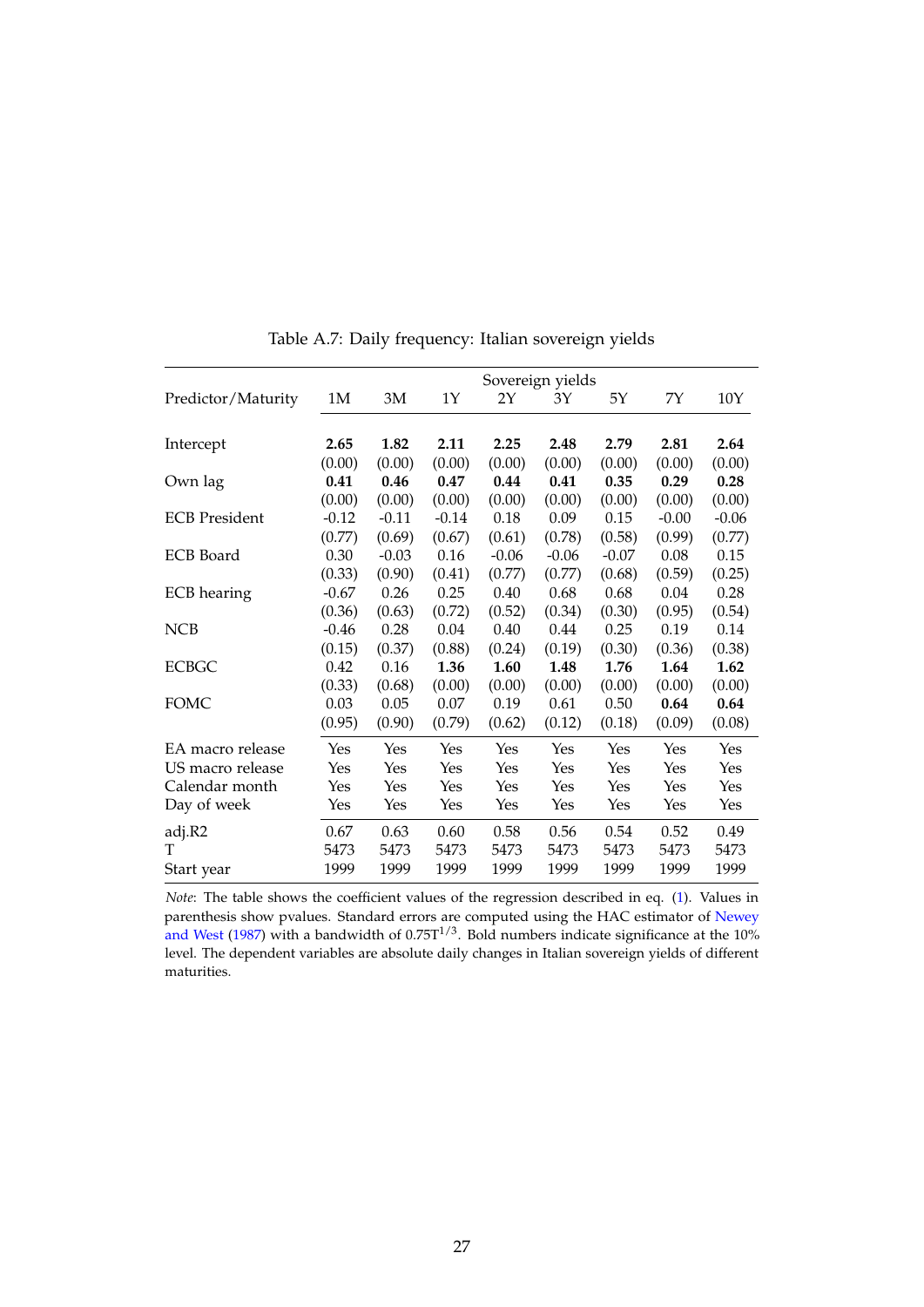|                      | Sovereign yields |         |         |         |         |         |         |         |
|----------------------|------------------|---------|---------|---------|---------|---------|---------|---------|
| Predictor/Maturity   | 1M               | 3M      | 1Y      | 2Y      | 3Y      | 5Y      | 7Y      | 10Y     |
|                      |                  |         |         |         |         |         |         |         |
| Intercept            | 2.65             | 1.82    | 2.11    | 2.25    | 2.48    | 2.79    | 2.81    | 2.64    |
|                      | (0.00)           | (0.00)  | (0.00)  | (0.00)  | (0.00)  | (0.00)  | (0.00)  | (0.00)  |
| Own lag              | 0.41             | 0.46    | 0.47    | 0.44    | 0.41    | 0.35    | 0.29    | 0.28    |
|                      | (0.00)           | (0.00)  | (0.00)  | (0.00)  | (0.00)  | (0.00)  | (0.00)  | (0.00)  |
| <b>ECB</b> President | $-0.12$          | $-0.11$ | $-0.14$ | 0.18    | 0.09    | 0.15    | $-0.00$ | $-0.06$ |
|                      | (0.77)           | (0.69)  | (0.67)  | (0.61)  | (0.78)  | (0.58)  | (0.99)  | (0.77)  |
| <b>ECB</b> Board     | 0.30             | $-0.03$ | 0.16    | $-0.06$ | $-0.06$ | $-0.07$ | 0.08    | 0.15    |
|                      | (0.33)           | (0.90)  | (0.41)  | (0.77)  | (0.77)  | (0.68)  | (0.59)  | (0.25)  |
| <b>ECB</b> hearing   | $-0.67$          | 0.26    | 0.25    | 0.40    | 0.68    | 0.68    | 0.04    | 0.28    |
|                      | (0.36)           | (0.63)  | (0.72)  | (0.52)  | (0.34)  | (0.30)  | (0.95)  | (0.54)  |
| <b>NCB</b>           | $-0.46$          | 0.28    | 0.04    | 0.40    | 0.44    | 0.25    | 0.19    | 0.14    |
|                      | (0.15)           | (0.37)  | (0.88)  | (0.24)  | (0.19)  | (0.30)  | (0.36)  | (0.38)  |
| <b>ECBGC</b>         | 0.42             | 0.16    | 1.36    | 1.60    | 1.48    | 1.76    | 1.64    | 1.62    |
|                      | (0.33)           | (0.68)  | (0.00)  | (0.00)  | (0.00)  | (0.00)  | (0.00)  | (0.00)  |
| <b>FOMC</b>          | 0.03             | 0.05    | 0.07    | 0.19    | 0.61    | 0.50    | 0.64    | 0.64    |
|                      | (0.95)           | (0.90)  | (0.79)  | (0.62)  | (0.12)  | (0.18)  | (0.09)  | (0.08)  |
| EA macro release     | Yes              | Yes     | Yes     | Yes     | Yes     | Yes     | Yes     | Yes     |
| US macro release     | Yes              | Yes     | Yes     | Yes     | Yes     | Yes     | Yes     | Yes     |
| Calendar month       | Yes              | Yes     | Yes     | Yes     | Yes     | Yes     | Yes     | Yes     |
| Day of week          | Yes              | Yes     | Yes     | Yes     | Yes     | Yes     | Yes     | Yes     |
| adj.R2               | 0.67             | 0.63    | 0.60    | 0.58    | 0.56    | 0.54    | 0.52    | 0.49    |
| т                    | 5473             | 5473    | 5473    | 5473    | 5473    | 5473    | 5473    | 5473    |
| Start year           | 1999             | 1999    | 1999    | 1999    | 1999    | 1999    | 1999    | 1999    |

Table A.7: Daily frequency: Italian sovereign yields

*Note*: The table shows the coefficient values of the regression described in eq. [\(1\)](#page-8-3). Values in parenthesis show pvalues. Standard errors are computed using the HAC estimator of [Newey](#page-21-13) [and West](#page-21-13) [\(1987\)](#page-21-13) with a bandwidth of  $0.75T^{1/3}$ . Bold numbers indicate significance at the 10% level. The dependent variables are absolute daily changes in Italian sovereign yields of different maturities.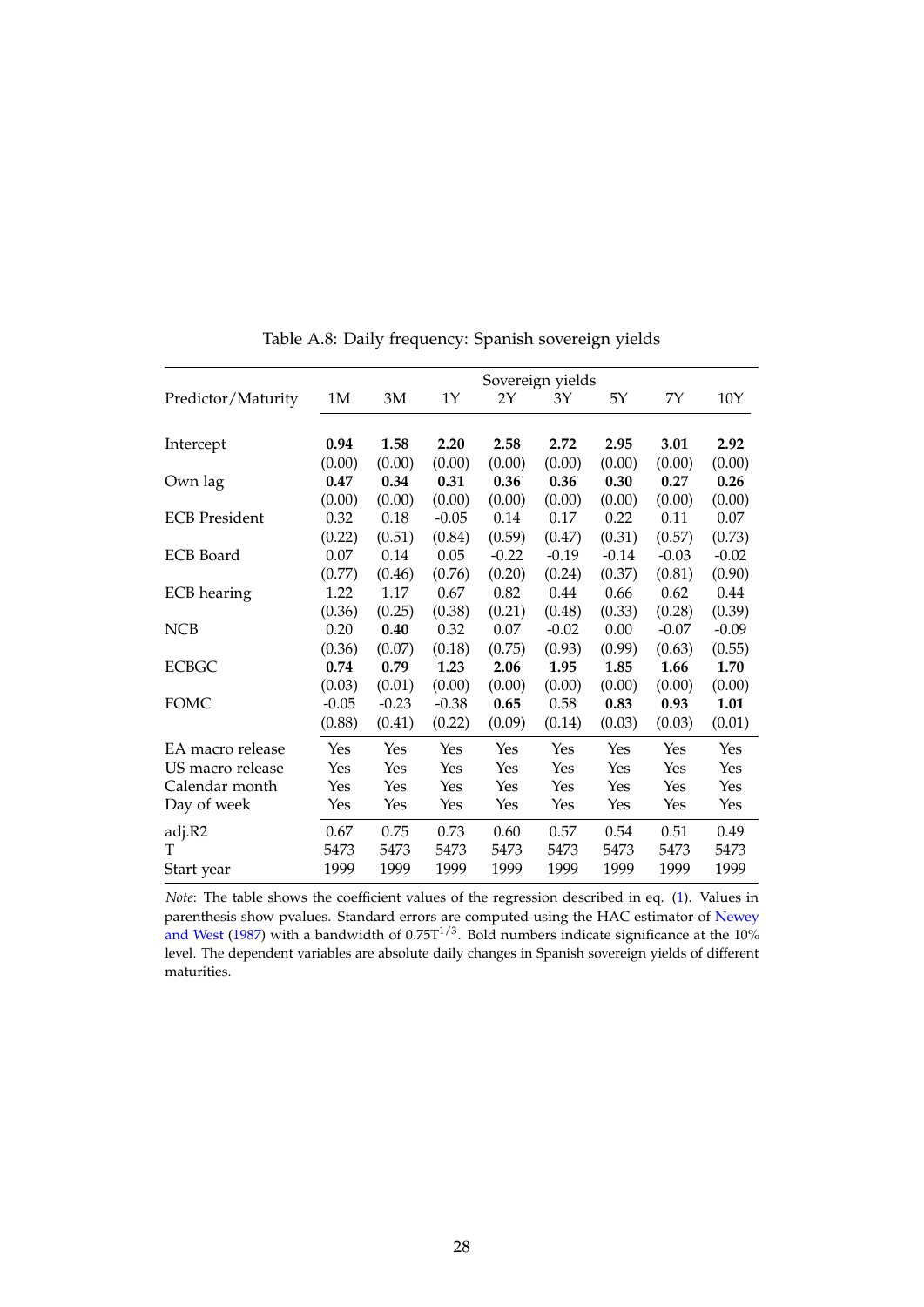<span id="page-29-0"></span>

|                      | Sovereign yields |         |         |         |         |         |         |         |
|----------------------|------------------|---------|---------|---------|---------|---------|---------|---------|
| Predictor/Maturity   | 1M               | 3M      | 1Y      | 2Y      | 3Y      | 5Y      | 7Y      | 10Y     |
|                      |                  |         |         |         |         |         |         |         |
| Intercept            | 0.94             | 1.58    | 2.20    | 2.58    | 2.72    | 2.95    | 3.01    | 2.92    |
|                      | (0.00)           | (0.00)  | (0.00)  | (0.00)  | (0.00)  | (0.00)  | (0.00)  | (0.00)  |
| Own lag              | 0.47             | 0.34    | 0.31    | 0.36    | 0.36    | 0.30    | 0.27    | 0.26    |
|                      | (0.00)           | (0.00)  | (0.00)  | (0.00)  | (0.00)  | (0.00)  | (0.00)  | (0.00)  |
| <b>ECB</b> President | 0.32             | 0.18    | $-0.05$ | 0.14    | 0.17    | 0.22    | 0.11    | 0.07    |
|                      | (0.22)           | (0.51)  | (0.84)  | (0.59)  | (0.47)  | (0.31)  | (0.57)  | (0.73)  |
| <b>ECB</b> Board     | 0.07             | 0.14    | 0.05    | $-0.22$ | $-0.19$ | $-0.14$ | $-0.03$ | $-0.02$ |
|                      | (0.77)           | (0.46)  | (0.76)  | (0.20)  | (0.24)  | (0.37)  | (0.81)  | (0.90)  |
| <b>ECB</b> hearing   | 1.22             | 1.17    | 0.67    | 0.82    | 0.44    | 0.66    | 0.62    | 0.44    |
|                      | (0.36)           | (0.25)  | (0.38)  | (0.21)  | (0.48)  | (0.33)  | (0.28)  | (0.39)  |
| <b>NCB</b>           | 0.20             | 0.40    | 0.32    | 0.07    | $-0.02$ | 0.00    | $-0.07$ | $-0.09$ |
|                      | (0.36)           | (0.07)  | (0.18)  | (0.75)  | (0.93)  | (0.99)  | (0.63)  | (0.55)  |
| <b>ECBGC</b>         | 0.74             | 0.79    | 1.23    | 2.06    | 1.95    | 1.85    | 1.66    | 1.70    |
|                      | (0.03)           | (0.01)  | (0.00)  | (0.00)  | (0.00)  | (0.00)  | (0.00)  | (0.00)  |
| <b>FOMC</b>          | $-0.05$          | $-0.23$ | $-0.38$ | 0.65    | 0.58    | 0.83    | 0.93    | 1.01    |
|                      | (0.88)           | (0.41)  | (0.22)  | (0.09)  | (0.14)  | (0.03)  | (0.03)  | (0.01)  |
| EA macro release     | Yes              | Yes     | Yes     | Yes     | Yes     | Yes     | Yes     | Yes     |
| US macro release     | Yes              | Yes     | Yes     | Yes     | Yes     | Yes     | Yes     | Yes     |
| Calendar month       | Yes              | Yes     | Yes     | Yes     | Yes     | Yes     | Yes     | Yes     |
| Day of week          | Yes              | Yes     | Yes     | Yes     | Yes     | Yes     | Yes     | Yes     |
| adj.R2               | 0.67             | 0.75    | 0.73    | 0.60    | 0.57    | 0.54    | 0.51    | 0.49    |
| T                    | 5473             | 5473    | 5473    | 5473    | 5473    | 5473    | 5473    | 5473    |
| Start year           | 1999             | 1999    | 1999    | 1999    | 1999    | 1999    | 1999    | 1999    |

Table A.8: Daily frequency: Spanish sovereign yields

*Note*: The table shows the coefficient values of the regression described in eq. [\(1\)](#page-8-3). Values in parenthesis show pvalues. Standard errors are computed using the HAC estimator of [Newey](#page-21-13) [and West](#page-21-13) [\(1987\)](#page-21-13) with a bandwidth of  $0.75T^{1/3}$ . Bold numbers indicate significance at the 10% level. The dependent variables are absolute daily changes in Spanish sovereign yields of different maturities.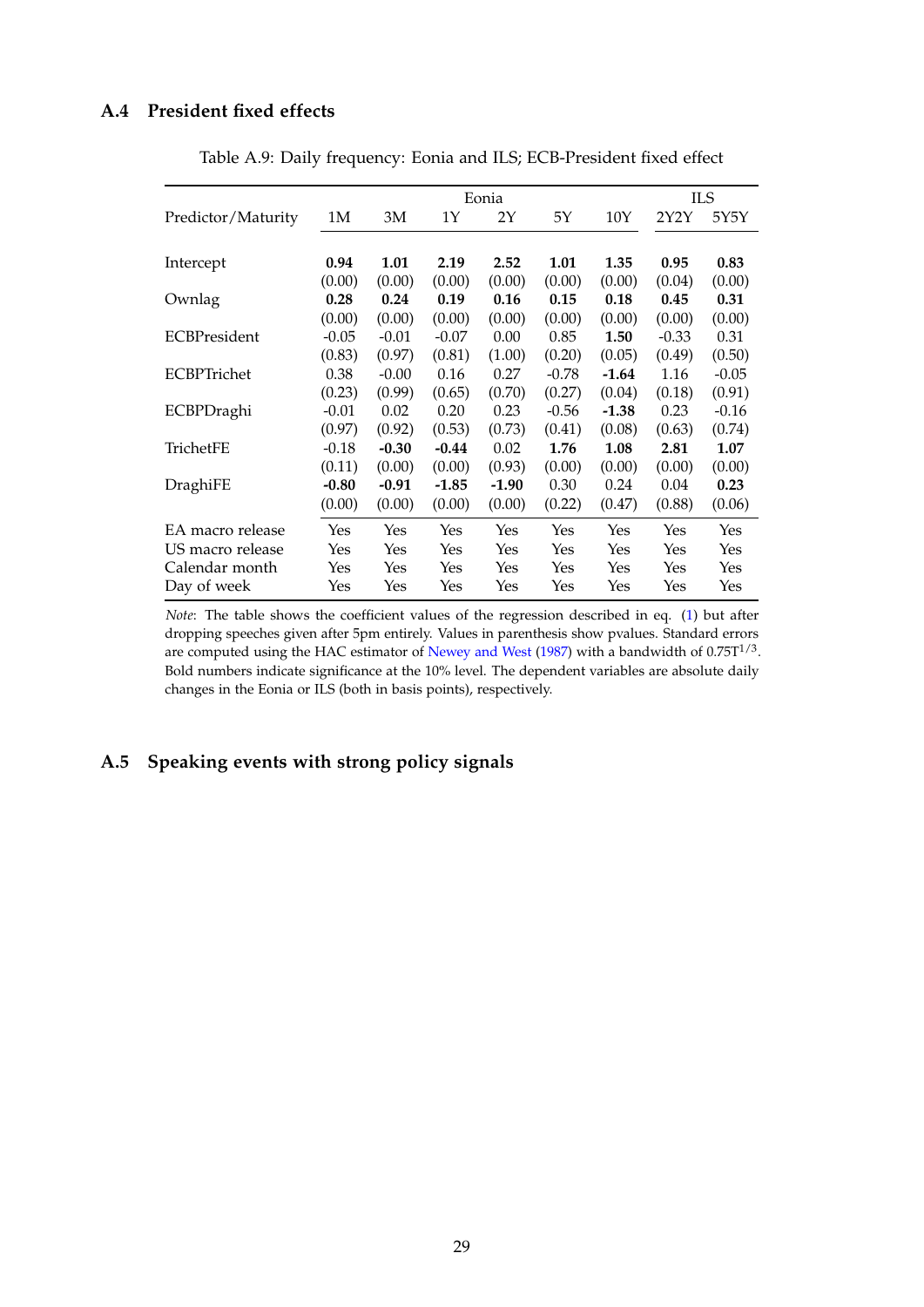### <span id="page-30-0"></span>**A.4 President fixed effects**

|                     |         |         |         | Eonia   |         |         |         | ILS     |
|---------------------|---------|---------|---------|---------|---------|---------|---------|---------|
| Predictor/Maturity  | 1M      | 3M      | 1Υ      | 2Y      | 5Υ      | 10Y     | 2Y2Y    | 5Y5Y    |
|                     |         |         |         |         |         |         |         |         |
| Intercept           | 0.94    | 1.01    | 2.19    | 2.52    | 1.01    | 1.35    | 0.95    | 0.83    |
|                     | (0.00)  | (0.00)  | (0.00)  | (0.00)  | (0.00)  | (0.00)  | (0.04)  | (0.00)  |
| Ownlag              | 0.28    | 0.24    | 0.19    | 0.16    | 0.15    | 0.18    | 0.45    | 0.31    |
|                     | (0.00)  | (0.00)  | (0.00)  | (0.00)  | (0.00)  | (0.00)  | (0.00)  | (0.00)  |
| <b>ECBPresident</b> | $-0.05$ | $-0.01$ | $-0.07$ | 0.00    | 0.85    | 1.50    | $-0.33$ | 0.31    |
|                     | (0.83)  | (0.97)  | (0.81)  | (1.00)  | (0.20)  | (0.05)  | (0.49)  | (0.50)  |
| ECBPTrichet         | 0.38    | $-0.00$ | 0.16    | 0.27    | $-0.78$ | $-1.64$ | 1.16    | $-0.05$ |
|                     | (0.23)  | (0.99)  | (0.65)  | (0.70)  | (0.27)  | (0.04)  | (0.18)  | (0.91)  |
| ECBPDraghi          | $-0.01$ | 0.02    | 0.20    | 0.23    | $-0.56$ | $-1.38$ | 0.23    | $-0.16$ |
|                     | (0.97)  | (0.92)  | (0.53)  | (0.73)  | (0.41)  | (0.08)  | (0.63)  | (0.74)  |
| TrichetFE           | $-0.18$ | $-0.30$ | $-0.44$ | 0.02    | 1.76    | 1.08    | 2.81    | 1.07    |
|                     | (0.11)  | (0.00)  | (0.00)  | (0.93)  | (0.00)  | (0.00)  | (0.00)  | (0.00)  |
| DraghiFE            | $-0.80$ | $-0.91$ | $-1.85$ | $-1.90$ | 0.30    | 0.24    | 0.04    | 0.23    |
|                     | (0.00)  | (0.00)  | (0.00)  | (0.00)  | (0.22)  | (0.47)  | (0.88)  | (0.06)  |
| EA macro release    | Yes     | Yes     | Yes     | Yes     | Yes     | Yes     | Yes     | Yes     |
| US macro release    | Yes     | Yes     | Yes     | Yes     | Yes     | Yes     | Yes     | Yes     |
| Calendar month      | Yes     | Yes     | Yes     | Yes     | Yes     | Yes     | Yes     | Yes     |
| Day of week         | Yes     | Yes     | Yes     | Yes     | Yes     | Yes     | Yes     | Yes     |

Table A.9: Daily frequency: Eonia and ILS; ECB-President fixed effect

*Note*: The table shows the coefficient values of the regression described in eq. [\(1\)](#page-8-3) but after dropping speeches given after 5pm entirely. Values in parenthesis show pvalues. Standard errors are computed using the HAC estimator of [Newey and West](#page-21-13) [\(1987\)](#page-21-13) with a bandwidth of 0.75 $T^{1/3}$ . Bold numbers indicate significance at the 10% level. The dependent variables are absolute daily changes in the Eonia or ILS (both in basis points), respectively.

# **A.5 Speaking events with strong policy signals**